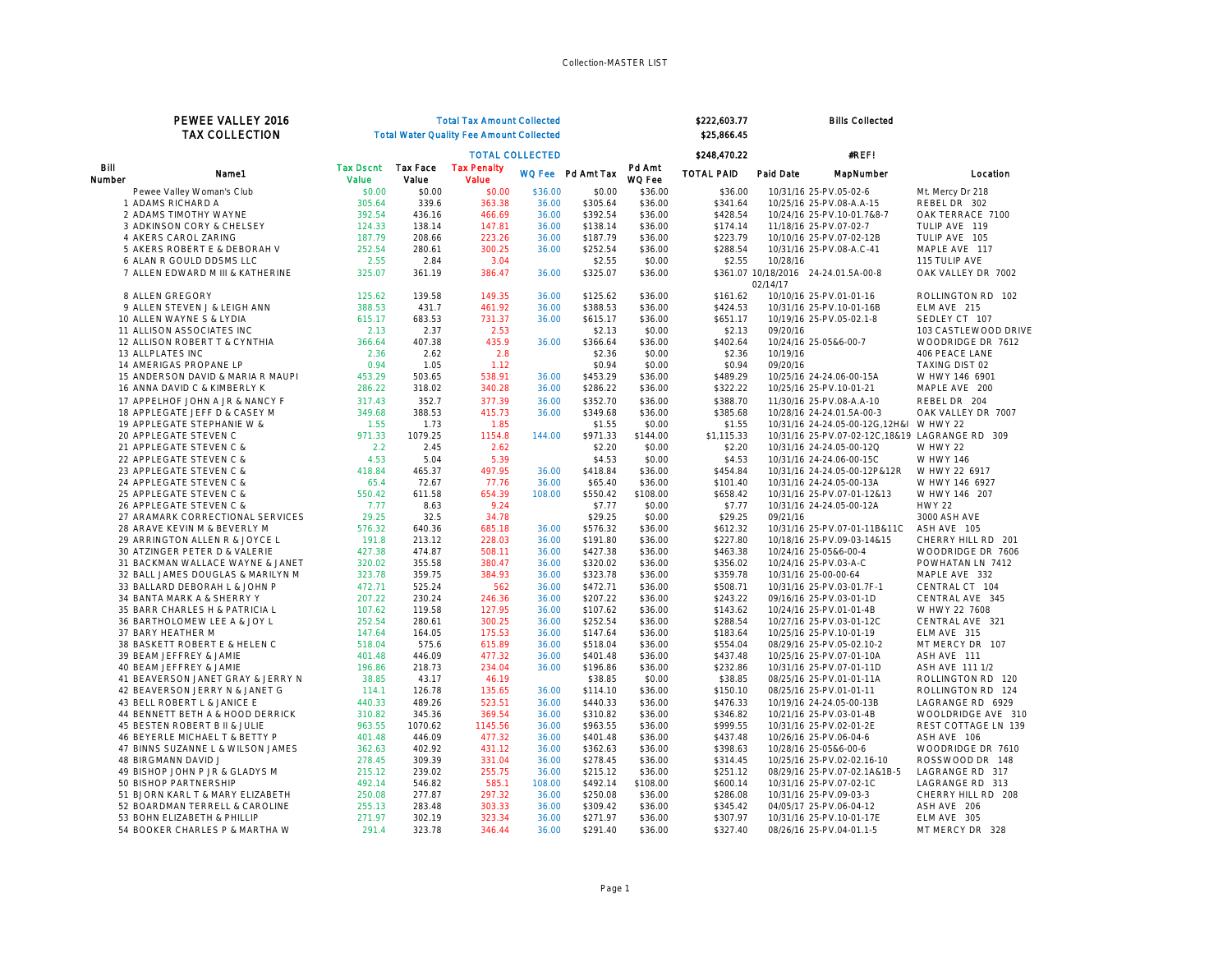|                | PEWEE VALLEY 2016<br><b>TAX COLLECTION</b>                  |                           |                          | <b>Total Tax Amount Collected</b><br><b>Total Water Quality Fee Amount Collected</b> |                        |                      | \$222,603.77<br><b>Bills Collected</b><br>\$25,866.45 |                      |           |                                                            |                                    |
|----------------|-------------------------------------------------------------|---------------------------|--------------------------|--------------------------------------------------------------------------------------|------------------------|----------------------|-------------------------------------------------------|----------------------|-----------|------------------------------------------------------------|------------------------------------|
|                |                                                             |                           |                          |                                                                                      | <b>TOTAL COLLECTED</b> |                      |                                                       | \$248,470.22         |           | #REFI                                                      |                                    |
| BIII<br>Number | Name1                                                       | <b>Tax Dscnt</b><br>Value | <b>Tax Face</b><br>Value | <b>Tax Penalty</b><br>Value                                                          |                        | WQ Fee Pd Amt Tax    | Pd Amt<br>WQ Fee                                      | <b>TOTAL PAID</b>    | Paid Date | MapNumber                                                  | Location                           |
|                | Pewee Valley Woman's Club                                   | \$0.00                    | \$0.00                   | \$0.00                                                                               | \$36.00                | \$0.00               | \$36.00                                               | \$36.00              |           | 10/31/16 25-PV.05-02-6                                     | Mt. Mercy Dr 218                   |
|                | 1 ADAMS RICHARD A                                           | 305.64                    | 339.6                    | 363.38                                                                               | 36.00                  | \$305.64             | \$36.00                                               | \$341.64             |           | 10/25/16 25-PV.08-A.A-15                                   | REBEL DR 302                       |
|                | 2 ADAMS TIMOTHY WAYNE                                       | 392.54                    | 436.16                   | 466.69                                                                               | 36.00                  | \$392.54             | \$36.00                                               | \$428.54             |           | 10/24/16 25-PV.10-01.7&8-7                                 | OAK TERRACE 7100                   |
|                | 3 ADKINSON CORY & CHELSEY                                   | 124.33                    | 138.14                   | 147.81                                                                               | 36.00                  | \$138.14             | \$36.00                                               | \$174.14             |           | 11/18/16 25-PV.07-02-7                                     | TULIP AVE 119                      |
|                | 4 AKERS CAROL ZARING                                        | 187.79                    | 208.66                   | 223.26                                                                               | 36.00                  | \$187.79             | \$36.00                                               | \$223.79             |           | 10/10/16 25-PV.07-02-12B                                   | TULIP AVE 105                      |
|                | 5 AKERS ROBERT E & DEBORAH V                                | 252.54                    | 280.61                   | 300.25                                                                               | 36.00                  | \$252.54             | \$36.00                                               | \$288.54             |           | 10/31/16 25-PV.08-A.C-41                                   | MAPLE AVE 117                      |
|                | 6 ALAN R GOULD DDSMS LLC                                    | 2.55                      | 2.84                     | 3.04                                                                                 |                        | \$2.55               | \$0.00                                                | \$2.55               | 10/28/16  |                                                            | 115 TULIP AVE                      |
|                | 7 ALLEN EDWARD M III & KATHERINE                            | 325.07                    | 361.19                   | 386.47                                                                               | 36.00                  | \$325.07             | \$36.00                                               |                      | 02/14/17  | \$361.07 10/18/2016 24-24.01.5A-00-8                       | OAK VALLEY DR 7002                 |
|                | 8 ALLEN GREGORY                                             | 125.62                    | 139.58                   | 149.35                                                                               | 36.00                  | \$125.62             | \$36.00                                               | \$161.62             |           | 10/10/16 25-PV.01-01-16                                    | ROLLINGTON RD 102                  |
|                | 9 ALLEN STEVEN J & LEIGH ANN                                | 388.53                    | 431.7                    | 461.92                                                                               | 36.00                  | \$388.53             | \$36.00                                               | \$424.53             |           | 10/31/16 25-PV.10-01-16B                                   | ELM AVE 215                        |
|                | 10 ALLEN WAYNE S & LYDIA                                    | 615.17                    | 683.53                   | 731.37                                                                               | 36.00                  | \$615.17             | \$36.00                                               | \$651.17             |           | 10/19/16 25-PV.05-02.1-8                                   | SEDLEY CT 107                      |
|                | 11 ALLISON ASSOCIATES INC                                   | 2.13                      | 2.37                     | 2.53                                                                                 |                        | \$2.13               | \$0.00                                                | \$2.13               | 09/20/16  |                                                            | 103 CASTLEWOOD DRIVE               |
|                | 12 ALLISON ROBERT T & CYNTHIA                               | 366.64                    | 407.38                   | 435.9                                                                                | 36.00                  | \$366.64             | \$36.00                                               | \$402.64             |           | 10/24/16 25-05&6-00-7                                      | WOODRIDGE DR 7612                  |
|                | 13 ALLPLATES INC                                            | 2.36                      | 2.62                     | 2.8                                                                                  |                        | \$2.36               | \$0.00                                                | \$2.36               | 10/19/16  |                                                            | 406 PEACE LANE                     |
|                | 14 AMERIGAS PROPANE LP                                      | 0.94                      | 1.05                     | 1.12                                                                                 |                        | \$0.94               | \$0.00                                                | \$0.94               | 09/20/16  |                                                            | TAXING DIST 02                     |
|                | 15 ANDERSON DAVID & MARIA R MAUPI                           | 453.29                    | 503.65                   | 538.91                                                                               | 36.00                  | \$453.29             | \$36.00                                               | \$489.29             |           | 10/25/16 24-24.06-00-15A                                   | W HWY 146 6901                     |
|                | 16 ANNA DAVID C & KIMBERLY K                                | 286.22                    | 318.02                   | 340.28                                                                               | 36.00                  | \$286.22             | \$36.00                                               | \$322.22             |           | 10/25/16 25-PV.10-01-21                                    | MAPLE AVE 200                      |
|                | 17 APPELHOF JOHN A JR & NANCY F                             | 317.43                    | 352.7                    | 377.39                                                                               | 36.00                  | \$352.70             | \$36.00                                               | \$388.70             |           | 11/30/16 25-PV.08-A.A-10                                   | REBEL DR 204                       |
|                | 18 APPLEGATE JEFF D & CASEY M                               | 349.68                    | 388.53                   | 415.73                                                                               | 36.00                  | \$349.68             | \$36.00                                               | \$385.68             |           | 10/28/16 24-24.01.5A-00-3                                  | OAK VALLEY DR 7007                 |
|                | 19 APPLEGATE STEPHANIE W &                                  | 1.55                      | 1.73                     | 1.85                                                                                 |                        | \$1.55               | \$0.00                                                | \$1.55               |           | 10/31/16 24-24.05-00-12G,12H&I                             | W HWY 22                           |
|                | 20 APPLEGATE STEVEN C                                       | 971.33                    | 1079.25                  | 1154.8                                                                               | 144.00                 | \$971.33             | \$144.00                                              | \$1,115.33           |           | 10/31/16 25-PV.07-02-12C,18&19 LAGRANGE RD 309             |                                    |
|                | 21 APPLEGATE STEVEN C &                                     | 2.2                       | 2.45                     | 2.62                                                                                 |                        | \$2.20               | \$0.00                                                | \$2.20               |           | 10/31/16 24-24.05-00-12Q                                   | W HWY 22                           |
|                | 22 APPLEGATE STEVEN C &                                     | 4.53                      | 5.04                     | 5.39                                                                                 |                        | \$4.53               | \$0.00                                                | \$4.53               |           | 10/31/16 24-24.06-00-15C                                   | W HWY 146                          |
|                | 23 APPLEGATE STEVEN C &                                     | 418.84                    | 465.37                   | 497.95                                                                               | 36.00                  | \$418.84             | \$36.00                                               | \$454.84             |           | 10/31/16 24-24.05-00-12P&12R                               | W HWY 22 6917                      |
|                | 24 APPLEGATE STEVEN C &                                     | 65.4                      | 72.67                    | 77.76                                                                                | 36.00                  | \$65.40              | \$36.00                                               | \$101.40             |           | 10/31/16 24-24.05-00-13A                                   | W HWY 146 6927                     |
|                | 25 APPLEGATE STEVEN C &                                     | 550.42<br>7.77            | 611.58                   | 654.39                                                                               | 108.00                 | \$550.42             | \$108.00                                              | \$658.42<br>\$7.77   |           | 10/31/16 25-PV.07-01-12&13                                 | W HWY 146 207                      |
|                | 26 APPLEGATE STEVEN C &<br>27 ARAMARK CORRECTIONAL SERVICES | 29.25                     | 8.63<br>32.5             | 9.24<br>34.78                                                                        |                        | \$7.77<br>\$29.25    | \$0.00<br>\$0.00                                      | \$29.25              | 09/21/16  | 10/31/16 24-24.05-00-12A                                   | <b>HWY 22</b><br>3000 ASH AVE      |
|                | 28 ARAVE KEVIN M & BEVERLY M                                | 576.32                    | 640.36                   | 685.18                                                                               | 36.00                  | \$576.32             | \$36.00                                               | \$612.32             |           | 10/31/16 25-PV.07-01-11B&11C                               | ASH AVE 105                        |
|                | 29 ARRINGTON ALLEN R & JOYCE L                              | 191.8                     | 213.12                   | 228.03                                                                               | 36.00                  | \$191.80             | \$36.00                                               | \$227.80             |           | 10/18/16 25-PV.09-03-14&15                                 | CHERRY HILL RD 201                 |
|                | 30 ATZINGER PETER D & VALERIE                               | 427.38                    | 474.87                   | 508.11                                                                               | 36.00                  | \$427.38             | \$36.00                                               | \$463.38             |           | 10/24/16 25-05&6-00-4                                      | WOODRIDGE DR 7606                  |
|                | 31 BACKMAN WALLACE WAYNE & JANET                            | 320.02                    | 355.58                   | 380.47                                                                               | 36.00                  | \$320.02             | \$36.00                                               | \$356.02             |           | 10/24/16 25-PV.03-A-C                                      | POWHATAN LN 7412                   |
|                | 32 BALL JAMES DOUGLAS & MARILYN M                           | 323.78                    | 359.75                   | 384.93                                                                               | 36.00                  | \$323.78             | \$36.00                                               | \$359.78             |           | 10/31/16 25-00-00-64                                       | MAPLE AVE 332                      |
|                | 33 BALLARD DEBORAH L & JOHN P                               | 472.71                    | 525.24                   | 562                                                                                  | 36.00                  | \$472.71             | \$36.00                                               | \$508.71             |           | 10/31/16 25-PV.03-01.7F-1                                  | CENTRAL CT 104                     |
|                | 34 BANTA MARK A & SHERRY Y                                  | 207.22                    | 230.24                   | 246.36                                                                               | 36.00                  | \$207.22             | \$36.00                                               | \$243.22             |           | 09/16/16 25-PV.03-01-1D                                    | CENTRAL AVE 345                    |
|                | 35 BARR CHARLES H & PATRICIA L                              | 107.62                    | 119.58                   | 127.95                                                                               | 36.00                  | \$107.62             | \$36.00                                               | \$143.62             |           | 10/24/16 25-PV.01-01-4B                                    | W HWY 22 7608                      |
|                | 36 BARTHOLOMEW LEE A & JOY L                                | 252.54                    | 280.61                   | 300.25                                                                               | 36.00                  | \$252.54             | \$36.00                                               | \$288.54             |           | 10/27/16 25-PV.03-01-12C                                   | CENTRAL AVE 321                    |
|                | 37 BARY HEATHER M                                           | 147.64                    | 164.05                   | 175.53                                                                               | 36.00                  | \$147.64             | \$36.00                                               | \$183.64             |           | 10/25/16 25-PV.10-01-19                                    | ELM AVE 315                        |
|                | 38 BASKETT ROBERT E & HELEN C                               | 518.04                    | 575.6                    | 615.89                                                                               | 36.00                  | \$518.04             | \$36.00                                               | \$554.04             |           | 08/29/16 25-PV.05-02.10-2                                  | MT MERCY DR 107                    |
|                | 39 BEAM JEFFREY & JAMIE                                     | 401.48                    | 446.09                   | 477.32                                                                               | 36.00                  | \$401.48             | \$36.00                                               | \$437.48             |           | 10/25/16 25-PV.07-01-10A                                   | ASH AVE 111                        |
|                | 40 BEAM JEFFREY & JAMIE                                     | 196.86                    | 218.73                   | 234.04                                                                               | 36.00                  | \$196.86             | \$36.00                                               | \$232.86             |           | 10/31/16 25-PV.07-01-11D                                   | ASH AVE 111 1/2                    |
|                | 41 BEAVERSON JANET GRAY & JERRY N                           | 38.85                     | 43.17                    | 46.19                                                                                |                        | \$38.85              | \$0.00                                                | \$38.85              |           | 08/25/16 25-PV.01-01-11A                                   | ROLLINGTON RD<br>120               |
|                | 42 BEAVERSON JERRY N & JANET G                              | 114.1                     | 126.78                   | 135.65                                                                               | 36.00                  | \$114.10             | \$36.00                                               | \$150.10             |           | 08/25/16 25-PV.01-01-11                                    | ROLLINGTON RD 124                  |
|                | 43 BELL ROBERT L & JANICE E                                 | 440.33                    | 489.26                   | 523.51                                                                               | 36.00                  | \$440.33             | \$36.00                                               | \$476.33             |           | 10/19/16 24-24.05-00-13B                                   | LAGRANGE RD 6929                   |
|                | 44 BENNETT BETH A & HOOD DERRICK                            | 310.82                    | 345.36                   | 369.54                                                                               | 36.00                  | \$310.82             | \$36.00                                               | \$346.82             |           | 10/21/16 25-PV.03-01-4B                                    | WOOLDRIDGE AVE 310                 |
|                | 45 BESTEN ROBERT B II & JULIE                               | 963.55                    | 1070.62                  | 1145.56                                                                              | 36.00                  | \$963.55             | \$36.00                                               | \$999.55             |           | 10/31/16 25-PV.02-01-2E                                    | REST COTTAGE LN 139                |
|                | 46 BEYERLE MICHAEL T & BETTY P                              | 401.48                    | 446.09                   | 477.32                                                                               | 36.00                  | \$401.48             | \$36.00                                               | \$437.48             |           | 10/26/16 25-PV.06-04-6                                     | ASH AVE 106                        |
|                | 47 BINNS SUZANNE L & WILSON JAMES                           | 362.63                    | 402.92                   | 431.12                                                                               | 36.00                  | \$362.63             | \$36.00                                               | \$398.63             |           | 10/28/16 25-05&6-00-6                                      | WOODRIDGE DR 7610                  |
|                | 48 BIRGMANN DAVID J<br>49 BISHOP JOHN P JR & GLADYS M       | 278.45<br>215.12          | 309.39<br>239.02         | 331.04<br>255.75                                                                     | 36.00<br>36.00         | \$278.45<br>\$215.12 | \$36.00<br>\$36.00                                    | \$314.45<br>\$251.12 |           | 10/25/16 25-PV.02-02.16-10<br>08/29/16 25-PV.07-02.1A&1B-5 | ROSSWOOD DR 148<br>LAGRANGE RD 317 |
|                | 50 BISHOP PARTNERSHIP                                       | 492.14                    | 546.82                   | 585.1                                                                                | 108.00                 | \$492.14             | \$108.00                                              | \$600.14             |           | 10/31/16 25-PV.07-02-1C                                    | LAGRANGE RD 313                    |
|                | 51 BJORN KARL T & MARY ELIZABETH                            | 250.08                    | 277.87                   | 297.32                                                                               | 36.00                  | \$250.08             | \$36.00                                               | \$286.08             |           | 10/31/16 25-PV.09-03-3                                     | CHERRY HILL RD 208                 |
|                | 52 BOARDMAN TERRELL & CAROLINE                              | 255.13                    | 283.48                   | 303.33                                                                               | 36.00                  | \$309.42             | \$36.00                                               | \$345.42             |           | 04/05/17 25-PV.06-04-12                                    | ASH AVE 206                        |
|                | 53 BOHN ELIZABETH & PHILLIP                                 | 271.97                    | 302.19                   | 323.34                                                                               | 36.00                  | \$271.97             | \$36.00                                               | \$307.97             |           | 10/31/16 25-PV.10-01-17E                                   | ELM AVE 305                        |
|                | 54 BOOKER CHARLES P & MARTHA W                              | 291.4                     | 323.78                   | 346.44                                                                               | 36.00                  | \$291.40             | \$36.00                                               | \$327.40             |           | 08/26/16 25-PV.04-01.1-5                                   | MT MERCY DR 328                    |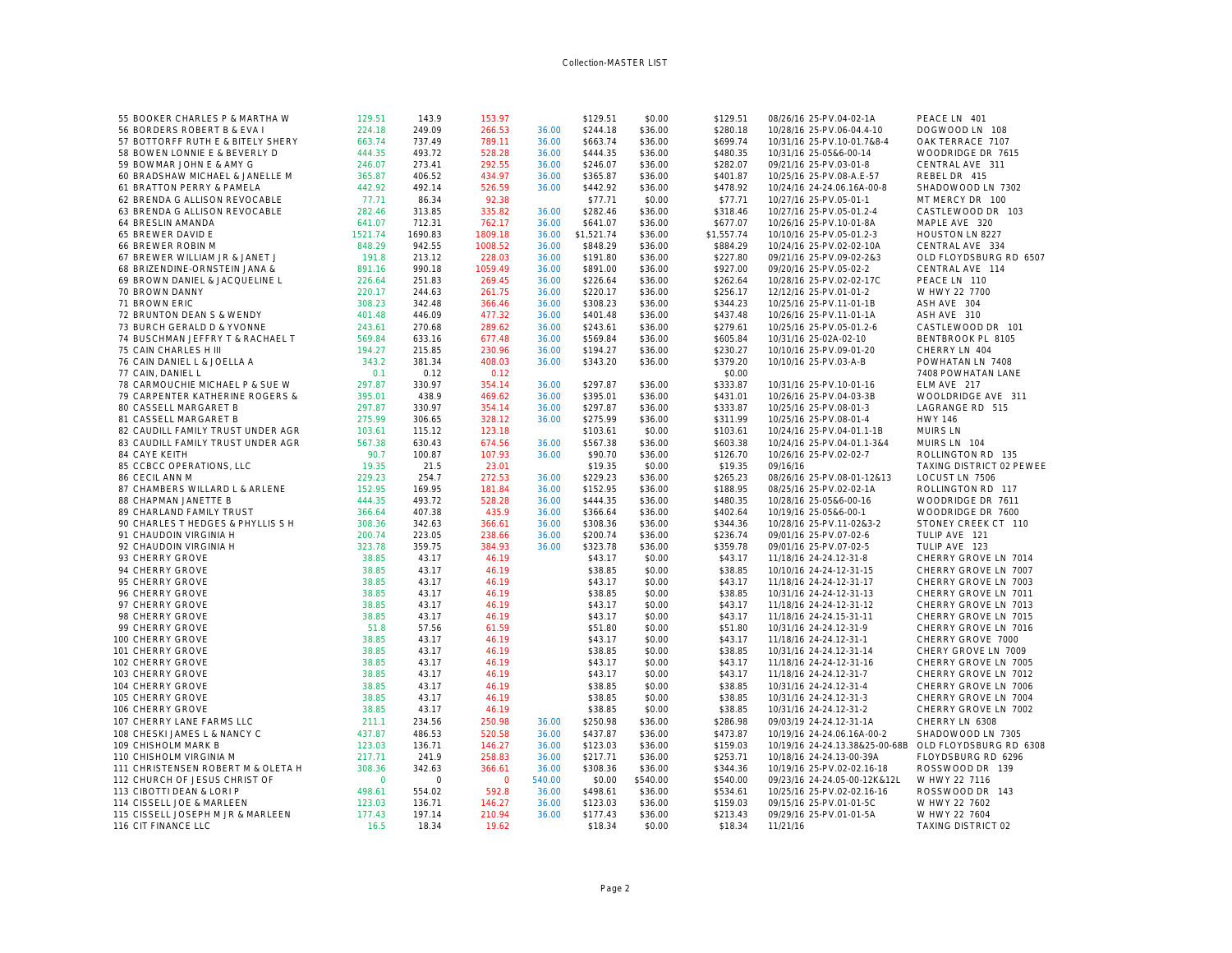| 55 BOOKER CHARLES P & MARTHA W     | 129.51         | 143.9   | 153.97         |        | \$129.51   | \$0.00           | \$129.51   | 08/26/16 25-PV.04-02-1A                               | PEACE LN 401                                 |
|------------------------------------|----------------|---------|----------------|--------|------------|------------------|------------|-------------------------------------------------------|----------------------------------------------|
| 56 BORDERS ROBERT B & EVA I        | 224.18         | 249.09  | 266.53         | 36.00  | \$244.18   | \$36.00          | \$280.18   | 10/28/16 25-PV.06-04.4-10                             | DOGWOOD LN 108                               |
| 57 BOTTORFF RUTH E & BITELY SHERY  | 663.74         | 737.49  | 789.11         | 36.00  | \$663.74   | \$36.00          | \$699.74   | 10/31/16 25-PV.10-01.7&8-4                            | OAK TERRACE 7107                             |
| 58 BOWEN LONNIE E & BEVERLY D      | 444.35         | 493.72  | 528.28         | 36.00  | \$444.35   | \$36.00          | \$480.35   | 10/31/16 25-05&6-00-14                                | WOODRIDGE DR 7615                            |
| 59 BOWMAR JOHN E & AMY G           | 246.07         | 273.41  | 292.55         | 36.00  | \$246.07   | \$36.00          | \$282.07   | 09/21/16 25-PV.03-01-8                                | CENTRAL AVE 311                              |
| 60 BRADSHAW MICHAEL & JANELLE M    | 365.87         | 406.52  | 434.97         | 36.00  | \$365.87   | \$36.00          | \$401.87   | 10/25/16 25-PV.08-A.E-57                              | REBEL DR 415                                 |
| 61 BRATTON PERRY & PAMELA          | 442.92         | 492.14  | 526.59         | 36.00  | \$442.92   | \$36.00          | \$478.92   | 10/24/16 24-24.06.16A-00-8                            | SHADOWOOD LN 7302                            |
| 62 BRENDA G ALLISON REVOCABLE      | 77.71          | 86.34   | 92.38          |        | \$77.71    | \$0.00           | \$77.71    | 10/27/16 25-PV.05-01-1                                | MT MERCY DR 100                              |
| 63 BRENDA G ALLISON REVOCABLE      | 282.46         | 313.85  | 335.82         | 36.00  | \$282.46   | \$36.00          | \$318.46   | 10/27/16 25-PV.05-01.2-4                              | CASTLEWOOD DR 103                            |
| 64 BRESLIN AMANDA                  | 641.07         | 712.31  | 762.17         | 36.00  | \$641.07   | \$36.00          | \$677.07   | 10/26/16 25-PV.10-01-8A                               | MAPLE AVE 320                                |
| 65 BREWER DAVID E                  | 1521.74        | 1690.83 | 1809.18        | 36.00  | \$1,521.74 | \$36.00          | \$1,557.74 | 10/10/16 25-PV.05-01.2-3                              | HOUSTON LN 8227                              |
| 66 BREWER ROBIN M                  | 848.29         | 942.55  | 1008.52        | 36.00  | \$848.29   | \$36.00          | \$884.29   | 10/24/16 25-PV.02-02-10A                              | CENTRAL AVE 334                              |
| 67 BREWER WILLIAM JR & JANET J     | 191.8          | 213.12  | 228.03         | 36.00  | \$191.80   | \$36.00          | \$227.80   | 09/21/16 25-PV.09-02-2&3                              | OLD FLOYDSBURG RD 6507                       |
| 68 BRIZENDINE-ORNSTEIN JANA &      | 891.16         | 990.18  | 1059.49        | 36.00  | \$891.00   | \$36.00          | \$927.00   | 09/20/16 25-PV.05-02-2                                | CENTRAL AVE 114                              |
| 69 BROWN DANIEL & JACQUELINE L     | 226.64         | 251.83  | 269.45         | 36.00  | \$226.64   | \$36.00          | \$262.64   | 10/28/16 25-PV.02-02-17C                              | PEACE LN 110                                 |
| 70 BROWN DANNY                     | 220.17         | 244.63  | 261.75         | 36.00  | \$220.17   | \$36.00          | \$256.17   | 12/12/16 25-PV.01-01-2                                | W HWY 22 7700                                |
| 71 BROWN ERIC                      | 308.23         | 342.48  | 366.46         | 36.00  | \$308.23   | \$36.00          | \$344.23   | 10/25/16 25-PV.11-01-1B                               | ASH AVE 304                                  |
| 72 BRUNTON DEAN S & WENDY          | 401.48         | 446.09  | 477.32         | 36.00  | \$401.48   | \$36.00          | \$437.48   | 10/26/16 25-PV.11-01-1A                               | ASH AVE 310                                  |
| 73 BURCH GERALD D & YVONNE         | 243.61         | 270.68  | 289.62         | 36.00  | \$243.61   | \$36.00          | \$279.61   | 10/25/16 25-PV.05-01.2-6                              | CASTLEWOOD DR 101                            |
| 74 BUSCHMAN JEFFRY T & RACHAEL T   | 569.84         | 633.16  | 677.48         | 36.00  | \$569.84   | \$36.00          | \$605.84   | 10/31/16 25-02A-02-10                                 | BENTBROOK PL 8105                            |
| 75 CAIN CHARLES H III              | 194.27         | 215.85  | 230.96         | 36.00  | \$194.27   | \$36.00          | \$230.27   | 10/10/16 25-PV.09-01-20                               | CHERRY LN 404                                |
| 76 CAIN DANIEL L & JOELLA A        | 343.2          | 381.34  | 408.03         | 36.00  | \$343.20   | \$36.00          | \$379.20   | 10/10/16 25-PV.03-A-B                                 | POWHATAN LN 7408                             |
| 77 CAIN, DANIEL L                  | 0.1            | 0.12    | 0.12           |        |            |                  | \$0.00     |                                                       | 7408 POWHATAN LANE                           |
| 78 CARMOUCHIE MICHAEL P & SUE W    | 297.87         | 330.97  | 354.14         | 36.00  | \$297.87   | \$36.00          | \$333.87   | 10/31/16 25-PV.10-01-16                               | ELM AVE 217                                  |
| 79 CARPENTER KATHERINE ROGERS &    | 395.01         | 438.9   | 469.62         | 36.00  | \$395.01   | \$36.00          | \$431.01   | 10/26/16 25-PV.04-03-3B                               | WOOLDRIDGE AVE 311                           |
| 80 CASSELL MARGARET B              | 297.87         | 330.97  | 354.14         | 36.00  | \$297.87   | \$36.00          | \$333.87   | 10/25/16 25-PV.08-01-3                                | LAGRANGE RD 515                              |
| 81 CASSELL MARGARET B              | 275.99         | 306.65  | 328.12         | 36.00  | \$275.99   | \$36.00          | \$311.99   | 10/25/16 25-PV.08-01-4                                | <b>HWY 146</b>                               |
| 82 CAUDILL FAMILY TRUST UNDER AGR  | 103.61         | 115.12  | 123.18         |        | \$103.61   | \$0.00           | \$103.61   | 10/24/16 25-PV.04-01.1-1B                             | MUIRS LN                                     |
| 83 CAUDILL FAMILY TRUST UNDER AGR  | 567.38         | 630.43  | 674.56         | 36.00  | \$567.38   | \$36.00          | \$603.38   | 10/24/16 25-PV.04-01.1-3&4                            | MUIRS LN 104                                 |
| 84 CAYE KEITH                      | 90.7           | 100.87  | 107.93         | 36.00  | \$90.70    | \$36.00          | \$126.70   | 10/26/16 25-PV.02-02-7                                | ROLLINGTON RD 135                            |
| 85 CCBCC OPERATIONS, LLC           | 19.35          | 21.5    | 23.01          |        | \$19.35    | \$0.00           | \$19.35    | 09/16/16                                              | TAXING DISTRICT 02 PEWEE                     |
| 86 CECIL ANN M                     | 229.23         | 254.7   | 272.53         | 36.00  | \$229.23   | \$36.00          | \$265.23   | 08/26/16 25-PV.08-01-12&13                            | LOCUST LN 7506                               |
| 87 CHAMBERS WILLARD L & ARLENE     | 152.95         | 169.95  | 181.84         | 36.00  | \$152.95   | \$36.00          | \$188.95   | 08/25/16 25-PV.02-02-1A                               | ROLLINGTON RD 117                            |
| 88 CHAPMAN JANETTE B               | 444.35         | 493.72  | 528.28         | 36.00  | \$444.35   | \$36.00          | \$480.35   | 10/28/16 25-05&6-00-16                                | WOODRIDGE DR 7611                            |
| 89 CHARLAND FAMILY TRUST           | 366.64         | 407.38  | 435.9          | 36.00  | \$366.64   | \$36.00          | \$402.64   | 10/19/16 25-05&6-00-1                                 | WOODRIDGE DR 7600                            |
| 90 CHARLES THEDGES & PHYLLIS SH    | 308.36         | 342.63  | 366.61         | 36.00  | \$308.36   | \$36.00          | \$344.36   | 10/28/16 25-PV.11-02&3-2                              | STONEY CREEK CT 110                          |
| 91 CHAUDOIN VIRGINIA H             | 200.74         | 223.05  | 238.66         | 36.00  | \$200.74   | \$36.00          | \$236.74   | 09/01/16 25-PV.07-02-6                                | TULIP AVE 121                                |
| 92 CHAUDOIN VIRGINIA H             | 323.78         | 359.75  | 384.93         | 36.00  | \$323.78   | \$36.00          | \$359.78   | 09/01/16 25-PV.07-02-5                                | TULIP AVE 123                                |
| 93 CHERRY GROVE                    | 38.85          | 43.17   | 46.19          |        | \$43.17    | \$0.00           | \$43.17    | 11/18/16 24-24.12-31-8                                | CHERRY GROVE LN 7014                         |
| 94 CHERRY GROVE                    | 38.85          | 43.17   | 46.19          |        | \$38.85    | \$0.00           | \$38.85    | 10/10/16 24-24-12-31-15                               | CHERRY GROVE LN 7007                         |
| 95 CHERRY GROVE                    | 38.85          | 43.17   | 46.19          |        | \$43.17    | \$0.00           | \$43.17    |                                                       |                                              |
|                                    |                | 43.17   |                |        | \$38.85    |                  | \$38.85    | 11/18/16 24-24-12-31-17                               | CHERRY GROVE LN 7003                         |
| 96 CHERRY GROVE                    | 38.85          | 43.17   | 46.19<br>46.19 |        | \$43.17    | \$0.00<br>\$0.00 | \$43.17    | 10/31/16 24-24-12-31-13                               | CHERRY GROVE LN 7011                         |
| 97 CHERRY GROVE<br>98 CHERRY GROVE | 38.85<br>38.85 | 43.17   | 46.19          |        | \$43.17    | \$0.00           | \$43.17    | 11/18/16 24-24-12-31-12                               | CHERRY GROVE LN 7013<br>CHERRY GROVE LN 7015 |
|                                    |                | 57.56   |                |        | \$51.80    |                  | \$51.80    | 11/18/16 24-24.15-31-11                               |                                              |
| 99 CHERRY GROVE                    | 51.8           | 43.17   | 61.59          |        | \$43.17    | \$0.00           | \$43.17    | 10/31/16 24-24.12-31-9                                | CHERRY GROVE LN 7016                         |
| 100 CHERRY GROVE                   | 38.85          |         | 46.19          |        |            | \$0.00           |            | 11/18/16 24-24.12-31-1                                | CHERRY GROVE 7000                            |
| 101 CHERRY GROVE                   | 38.85          | 43.17   | 46.19          |        | \$38.85    | \$0.00           | \$38.85    | 10/31/16 24-24.12-31-14                               | CHERY GROVE LN 7009                          |
| 102 CHERRY GROVE                   | 38.85          | 43.17   | 46.19          |        | \$43.17    | \$0.00           | \$43.17    | 11/18/16 24-24-12-31-16                               | CHERRY GROVE LN 7005                         |
| 103 CHERRY GROVE                   | 38.85          | 43.17   | 46.19          |        | \$43.17    | \$0.00           | \$43.17    | 11/18/16 24-24.12-31-7                                | CHERRY GROVE LN 7012                         |
| 104 CHERRY GROVE                   | 38.85          | 43.17   | 46.19          |        | \$38.85    | \$0.00           | \$38.85    | 10/31/16 24-24.12-31-4                                | CHERRY GROVE LN 7006                         |
| 105 CHERRY GROVE                   | 38.85          | 43.17   | 46.19          |        | \$38.85    | \$0.00           | \$38.85    | 10/31/16 24-24.12-31-3                                | CHERRY GROVE LN 7004                         |
| 106 CHERRY GROVE                   | 38.85          | 43.17   | 46.19          |        | \$38.85    | \$0.00           | \$38.85    | 10/31/16 24-24.12-31-2                                | CHERRY GROVE LN 7002                         |
| 107 CHERRY LANE FARMS LLC          | 211.1          | 234.56  | 250.98         | 36.00  | \$250.98   | \$36.00          | \$286.98   | 09/03/19 24-24.12-31-1A                               | CHERRY LN 6308                               |
| 108 CHESKI JAMES L & NANCY C       | 437.87         | 486.53  | 520.58         | 36.00  | \$437.87   | \$36.00          | \$473.87   | 10/19/16 24-24.06.16A-00-2                            | SHADOWOOD LN 7305                            |
| 109 CHISHOLM MARK B                | 123.03         | 136.71  | 146.27         | 36.00  | \$123.03   | \$36.00          | \$159.03   | 10/19/16 24-24.13.38&25-00-68B OLD FLOYDSBURG RD 6308 |                                              |
| 110 CHISHOLM VIRGINIA M            | 217.71         | 241.9   | 258.83         | 36.00  | \$217.71   | \$36.00          | \$253.71   | 10/18/16 24-24.13-00-39A                              | FLOYDSBURG RD 6296                           |
| 111 CHRISTENSEN ROBERT M & OLETA H | 308.36         | 342.63  | 366.61         | 36.00  | \$308.36   | \$36.00          | \$344.36   | 10/19/16 25-PV.02-02.16-18                            | ROSSWOOD DR 139                              |
| 112 CHURCH OF JESUS CHRIST OF      | $\circ$        | 0       | $\overline{0}$ | 540.00 | \$0.00     | \$540.00         | \$540.00   | 09/23/16 24-24.05-00-12K&12L                          | W HWY 22 7116                                |
| 113 CIBOTTI DEAN & LORI P          | 498.61         | 554.02  | 592.8          | 36.00  | \$498.61   | \$36.00          | \$534.61   | 10/25/16 25-PV.02-02.16-16                            | ROSSWOOD DR 143                              |
| 114 CISSELL JOE & MARLEEN          | 123.03         | 136.71  | 146.27         | 36.00  | \$123.03   | \$36.00          | \$159.03   | 09/15/16 25-PV.01-01-5C                               | W HWY 22 7602                                |
| 115 CISSELL JOSEPH M JR & MARLEEN  | 177.43         | 197.14  | 210.94         | 36.00  | \$177.43   | \$36.00          | \$213.43   | 09/29/16 25-PV.01-01-5A                               | W HWY 22 7604                                |
| 116 CIT FINANCE LLC                | 16.5           | 18.34   | 19.62          |        | \$18.34    | \$0.00           | \$18.34    | 11/21/16                                              | TAXING DISTRICT 02                           |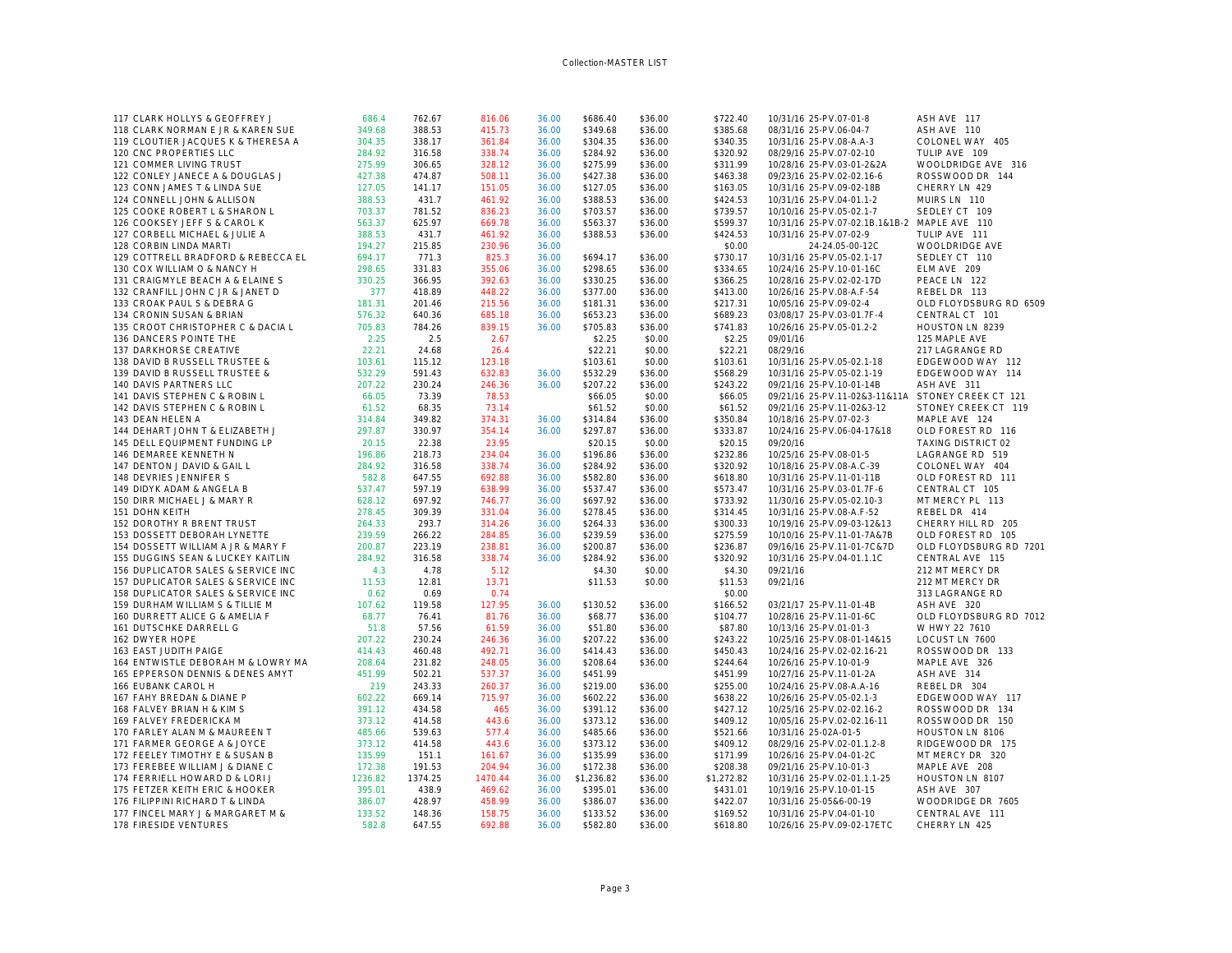| 117 CLARK HOLLYS & GEOFFREY J      | 686.4   | 762.67  | 816.06  | 36.00 | \$686.40   | \$36.00 | \$722.40   | 10/31/16 25-PV.07-01-8                            | ASH AVE 117            |
|------------------------------------|---------|---------|---------|-------|------------|---------|------------|---------------------------------------------------|------------------------|
| 118 CLARK NORMAN E JR & KAREN SUE  | 349.68  | 388.53  | 415.73  | 36.00 | \$349.68   | \$36.00 | \$385.68   | 08/31/16 25-PV.06-04-7                            | ASH AVE 110            |
| 119 CLOUTIER JACQUES K & THERESA A | 304.35  | 338.17  | 361.84  | 36.00 | \$304.35   | \$36.00 | \$340.35   | 10/31/16 25-PV.08-A.A-3                           | COLONEL WAY 405        |
| 120 CNC PROPERTIES LLC             | 284.92  | 316.58  | 338.74  | 36.00 | \$284.92   | \$36.00 | \$320.92   | 08/29/16 25-PV.07-02-10                           | TULIP AVE 109          |
| 121 COMMER LIVING TRUST            | 275.99  | 306.65  | 328.12  | 36.00 | \$275.99   | \$36.00 | \$311.99   | 10/28/16 25-PV.03-01-2&2A                         | WOOLDRIDGE AVE 316     |
| 122 CONLEY JANECE A & DOUGLAS J    | 427.38  | 474.87  | 508.11  | 36.00 | \$427.38   | \$36.00 | \$463.38   | 09/23/16 25-PV.02-02.16-6                         | ROSSWOOD DR 144        |
| 123 CONN JAMES T & LINDA SUE       | 127.05  | 141.17  | 151.05  | 36.00 | \$127.05   | \$36.00 | \$163.05   | 10/31/16 25-PV.09-02-18B                          | CHERRY LN 429          |
| 124 CONNELL JOHN & ALLISON         | 388.53  | 431.7   | 461.92  | 36.00 | \$388.53   | \$36.00 | \$424.53   | 10/31/16 25-PV.04-01.1-2                          | MUIRS LN 110           |
| 125 COOKE ROBERT L & SHARON L      | 703.37  | 781.52  | 836.23  | 36.00 | \$703.57   | \$36.00 | \$739.57   | 10/10/16 25-PV.05-02.1-7                          | SEDLEY CT 109          |
| 126 COOKSEY JEFF S & CAROL K       | 563.37  | 625.97  | 669.78  | 36.00 | \$563.37   | \$36.00 | \$599.37   | 10/31/16 25-PV.07-02.1B.1&1B-2 MAPLE AVE 110      |                        |
| 127 CORBELL MICHAEL & JULIE A      | 388.53  | 431.7   | 461.92  | 36.00 | \$388.53   | \$36.00 | \$424.53   | 10/31/16 25-PV.07-02-9                            | TULIP AVE 111          |
| 128 CORBIN LINDA MARTI             | 194.27  | 215.85  | 230.96  | 36.00 |            |         | \$0.00     | 24-24.05-00-12C                                   | WOOLDRIDGE AVE         |
| 129 COTTRELL BRADFORD & REBECCA EL | 694.17  | 771.3   | 825.3   | 36.00 | \$694.17   | \$36.00 | \$730.17   | 10/31/16 25-PV.05-02.1-17                         | SEDLEY CT 110          |
| 130 COX WILLIAM O & NANCY H        | 298.65  | 331.83  | 355.06  | 36.00 | \$298.65   | \$36.00 | \$334.65   | 10/24/16 25-PV.10-01-16C                          | ELM AVE 209            |
| 131 CRAIGMYLE BEACH A & ELAINE S   | 330.25  | 366.95  | 392.63  | 36.00 | \$330.25   | \$36.00 | \$366.25   | 10/28/16 25-PV.02-02-17D                          | PEACE LN 122           |
| 132 CRANFILL JOHN C JR & JANET D   | 377     | 418.89  | 448.22  | 36.00 | \$377.00   | \$36.00 | \$413.00   | 10/26/16 25-PV.08-A.F-54                          | REBEL DR 113           |
| 133 CROAK PAUL S & DEBRA G         | 181.31  | 201.46  | 215.56  | 36.00 | \$181.31   | \$36.00 | \$217.31   | 10/05/16 25-PV.09-02-4                            | OLD FLOYDSBURG RD 6509 |
| 134 CRONIN SUSAN & BRIAN           | 576.32  | 640.36  | 685.18  | 36.00 | \$653.23   | \$36.00 | \$689.23   | 03/08/17 25-PV.03-01.7F-4                         | CENTRAL CT 101         |
| 135 CROOT CHRISTOPHER C & DACIA L  | 705.83  | 784.26  | 839.15  | 36.00 | \$705.83   | \$36.00 | \$741.83   | 10/26/16 25-PV.05-01.2-2                          | HOUSTON LN 8239        |
| 136 DANCERS POINTE THE             | 2.25    | 2.5     | 2.67    |       | \$2.25     | \$0.00  | \$2.25     | 09/01/16                                          | 125 MAPLE AVE          |
| 137 DARKHORSE CREATIVE             | 22.21   | 24.68   | 26.4    |       | \$22.21    | \$0.00  | \$22.21    | 08/29/16                                          | 217 LAGRANGE RD        |
| 138 DAVID B RUSSELL TRUSTEE &      | 103.61  | 115.12  | 123.18  |       | \$103.61   | \$0.00  | \$103.61   | 10/31/16 25-PV.05-02.1-18                         | EDGEWOOD WAY 112       |
| 139 DAVID B RUSSELL TRUSTEE &      | 532.29  | 591.43  | 632.83  | 36.00 | \$532.29   | \$36.00 | \$568.29   | 10/31/16 25-PV.05-02.1-19                         | EDGEWOOD WAY 114       |
| 140 DAVIS PARTNERS LLC             | 207.22  | 230.24  | 246.36  | 36.00 | \$207.22   | \$36.00 | \$243.22   | 09/21/16 25-PV.10-01-14B                          | ASH AVE 311            |
| 141 DAVIS STEPHEN C & ROBIN L      | 66.05   | 73.39   | 78.53   |       | \$66.05    | \$0.00  | \$66.05    | 09/21/16 25-PV.11-02&3-11&11A STONEY CREEK CT 121 |                        |
| 142 DAVIS STEPHEN C & ROBIN L      | 61.52   | 68.35   | 73.14   |       | \$61.52    | \$0.00  | \$61.52    | 09/21/16 25-PV.11-02&3-12                         | STONEY CREEK CT 119    |
| 143 DEAN HELEN A                   | 314.84  | 349.82  | 374.31  | 36.00 | \$314.84   | \$36.00 | \$350.84   | 10/18/16 25-PV.07-02-3                            | MAPLE AVE 124          |
| 144 DEHART JOHN T & ELIZABETH J    | 297.87  | 330.97  | 354.14  | 36.00 | \$297.87   | \$36.00 | \$333.87   | 10/24/16 25-PV.06-04-17&18                        | OLD FOREST RD 116      |
| 145 DELL EQUIPMENT FUNDING LP      | 20.15   | 22.38   | 23.95   |       | \$20.15    | \$0.00  | \$20.15    | 09/20/16                                          | TAXING DISTRICT 02     |
| 146 DEMAREE KENNETH N              | 196.86  | 218.73  | 234.04  | 36.00 | \$196.86   | \$36.00 | \$232.86   | 10/25/16 25-PV.08-01-5                            | LAGRANGE RD 519        |
| 147 DENTON J DAVID & GAIL L        | 284.92  | 316.58  | 338.74  | 36.00 | \$284.92   | \$36.00 | \$320.92   | 10/18/16 25-PV.08-A.C-39                          | COLONEL WAY 404        |
| 148 DEVRIES JENNIFER S             | 582.8   | 647.55  | 692.88  | 36.00 | \$582.80   | \$36.00 | \$618.80   | 10/31/16 25-PV.11-01-11B                          | OLD FOREST RD 111      |
| 149 DIDYK ADAM & ANGELA B          | 537.47  | 597.19  | 638.99  | 36.00 | \$537.47   | \$36.00 | \$573.47   | 10/31/16 25-PV.03-01.7F-6                         | CENTRAL CT 105         |
| 150 DIRR MICHAEL J & MARY R        | 628.12  | 697.92  | 746.77  | 36.00 | \$697.92   | \$36.00 | \$733.92   | 11/30/16 25-PV.05-02.10-3                         | MT MERCY PL 113        |
| 151 DOHN KEITH                     | 278.45  | 309.39  | 331.04  | 36.00 | \$278.45   | \$36.00 | \$314.45   | 10/31/16 25-PV.08-A.F-52                          | REBEL DR 414           |
| 152 DOROTHY R BRENT TRUST          | 264.33  | 293.7   | 314.26  | 36.00 | \$264.33   | \$36.00 | \$300.33   | 10/19/16 25-PV.09-03-12&13                        | CHERRY HILL RD 205     |
| 153 DOSSETT DEBORAH LYNETTE        | 239.59  | 266.22  | 284.85  | 36.00 | \$239.59   | \$36.00 | \$275.59   | 10/10/16 25-PV.11-01-7A&7B                        | OLD FOREST RD 105      |
| 154 DOSSETT WILLIAM A JR & MARY F  | 200.87  | 223.19  | 238.81  | 36.00 | \$200.87   | \$36.00 | \$236.87   | 09/16/16 25-PV.11-01-7C&7D                        | OLD FLOYDSBURG RD 7201 |
| 155 DUGGINS SEAN & LUCKEY KAITLIN  | 284.92  | 316.58  | 338.74  | 36.00 | \$284.92   | \$36.00 | \$320.92   | 10/31/16 25-PV.04-01.1.1C                         | CENTRAL AVE 115        |
| 156 DUPLICATOR SALES & SERVICE INC | 4.3     | 4.78    | 5.12    |       | \$4.30     | \$0.00  | \$4.30     | 09/21/16                                          | 212 MT MERCY DR        |
| 157 DUPLICATOR SALES & SERVICE INC | 11.53   | 12.81   | 13.71   |       | \$11.53    | \$0.00  | \$11.53    | 09/21/16                                          | 212 MT MERCY DR        |
| 158 DUPLICATOR SALES & SERVICE INC | 0.62    | 0.69    | 0.74    |       |            |         | \$0.00     |                                                   | 313 LAGRANGE RD        |
| 159 DURHAM WILLIAM S & TILLIE M    | 107.62  | 119.58  | 127.95  | 36.00 | \$130.52   | \$36.00 | \$166.52   | 03/21/17 25-PV.11-01-4B                           | ASH AVE 320            |
| 160 DURRETT ALICE G & AMELIA F     | 68.77   | 76.41   | 81.76   | 36.00 | \$68.77    | \$36.00 | \$104.77   | 10/28/16 25-PV.11-01-6C                           | OLD FLOYDSBURG RD 7012 |
| 161 DUTSCHKE DARRELL G             | 51.8    | 57.56   | 61.59   | 36.00 | \$51.80    | \$36.00 | \$87.80    | 10/13/16 25-PV.01-01-3                            | W HWY 22 7610          |
| 162 DWYER HOPE                     | 207.22  | 230.24  | 246.36  | 36.00 | \$207.22   | \$36.00 | \$243.22   | 10/25/16 25-PV.08-01-14&15                        | LOCUST LN 7600         |
| <b>163 EAST JUDITH PAIGE</b>       | 414.43  | 460.48  | 492.71  | 36.00 | \$414.43   | \$36.00 | \$450.43   | 10/24/16 25-PV.02-02.16-21                        | ROSSWOOD DR 133        |
| 164 ENTWISTLE DEBORAH M & LOWRY MA | 208.64  | 231.82  | 248.05  | 36.00 | \$208.64   | \$36.00 | \$244.64   | 10/26/16 25-PV.10-01-9                            | MAPLE AVE 326          |
| 165 EPPERSON DENNIS & DENES AMYT   | 451.99  | 502.21  | 537.37  | 36.00 | \$451.99   |         | \$451.99   | 10/27/16 25-PV.11-01-2A                           | ASH AVE 314            |
| 166 EUBANK CAROL H                 | 219     | 243.33  | 260.37  | 36.00 | \$219.00   | \$36.00 | \$255.00   | 10/24/16 25-PV.08-A.A-16                          | REBEL DR 304           |
| 167 FAHY BREDAN & DIANE P          | 602.22  | 669.14  | 715.97  | 36.00 | \$602.22   | \$36.00 | \$638.22   | 10/26/16 25-PV.05-02.1-3                          | EDGEWOOD WAY 117       |
| 168 FALVEY BRIAN H & KIM S         | 391.12  | 434.58  | 465     | 36.00 | \$391.12   | \$36.00 | \$427.12   | 10/25/16 25-PV.02-02.16-2                         | ROSSWOOD DR 134        |
| 169 FALVEY FREDERICKA M            | 373.12  | 414.58  | 443.6   | 36.00 | \$373.12   | \$36.00 | \$409.12   | 10/05/16 25-PV.02-02.16-11                        | ROSSWOOD DR 150        |
| 170 FARLEY ALAN M & MAUREEN T      | 485.66  | 539.63  | 577.4   | 36.00 | \$485.66   | \$36.00 | \$521.66   | 10/31/16 25-02A-01-5                              | HOUSTON LN 8106        |
| 171 FARMER GEORGE A & JOYCE        | 373.12  | 414.58  | 443.6   | 36.00 | \$373.12   | \$36.00 | \$409.12   | 08/29/16 25-PV.02-01.1.2-8                        | RIDGEWOOD DR 175       |
| 172 FEELEY TIMOTHY E & SUSAN B     | 135.99  | 151.1   | 161.67  | 36.00 | \$135.99   | \$36.00 | \$171.99   | 10/26/16 25-PV.04-01-2C                           | MT MERCY DR 320        |
| 173 FEREBEE WILLIAM J & DIANE C    | 172.38  | 191.53  | 204.94  | 36.00 | \$172.38   | \$36.00 | \$208.38   | 09/21/16 25-PV.10-01-3                            | MAPLE AVE 208          |
| 174 FERRIELL HOWARD D & LORI J     | 1236.82 | 1374.25 | 1470.44 | 36.00 | \$1,236.82 | \$36.00 | \$1,272.82 | 10/31/16 25-PV.02-01.1.1-25                       | HOUSTON LN 8107        |
| 175 FETZER KEITH ERIC & HOOKER     | 395.01  | 438.9   | 469.62  | 36.00 | \$395.01   | \$36.00 | \$431.01   | 10/19/16 25-PV.10-01-15                           | ASH AVE 307            |
| 176 FILIPPINI RICHARD T & LINDA    | 386.07  | 428.97  | 458.99  | 36.00 | \$386.07   | \$36.00 | \$422.07   | 10/31/16 25-05&6-00-19                            | WOODRIDGE DR 7605      |
| 177 FINCEL MARY J & MARGARET M &   | 133.52  | 148.36  | 158.75  | 36.00 | \$133.52   | \$36.00 | \$169.52   | 10/31/16 25-PV.04-01-10                           | CENTRAL AVE 111        |
| 178 FIRESIDE VENTURES              | 582.8   | 647.55  | 692.88  | 36.00 | \$582.80   | \$36.00 | \$618.80   | 10/26/16 25-PV.09-02-17ETC                        | CHERRY LN 425          |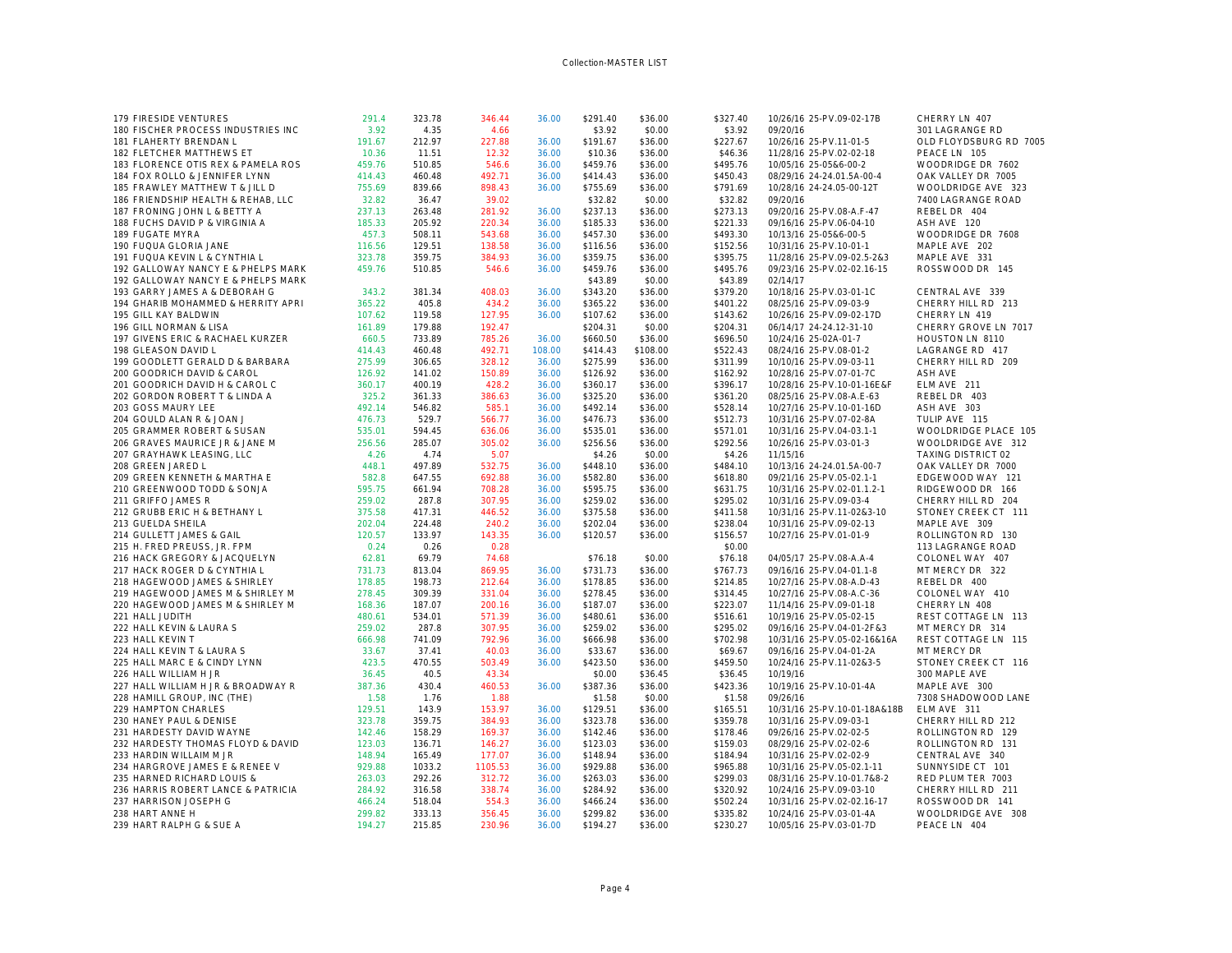| 179 FIRESIDE VENTURES              | 291.4  | 323.78 | 346.44  | 36.00  | \$291.40 | \$36.00  | \$327.40 | 10/26/16 25-PV.09-02-17B     | CHERRY LN 407          |
|------------------------------------|--------|--------|---------|--------|----------|----------|----------|------------------------------|------------------------|
| 180 FISCHER PROCESS INDUSTRIES INC | 3.92   | 4.35   | 4.66    |        | \$3.92   | \$0.00   | \$3.92   | 09/20/16                     | 301 LAGRANGE RD        |
| 181 FLAHERTY BRENDAN L             | 191.67 | 212.97 | 227.88  | 36.00  | \$191.67 | \$36.00  | \$227.67 | 10/26/16 25-PV.11-01-5       | OLD FLOYDSBURG RD 7005 |
| 182 FLETCHER MATTHEWS ET           | 10.36  | 11.51  | 12.32   | 36.00  | \$10.36  | \$36.00  | \$46.36  | 11/28/16 25-PV.02-02-18      | PEACE LN 105           |
| 183 FLORENCE OTIS REX & PAMELA ROS | 459.76 | 510.85 | 546.6   | 36.00  | \$459.76 | \$36.00  | \$495.76 | 10/05/16 25-05&6-00-2        | WOODRIDGE DR 7602      |
| 184 FOX ROLLO & JENNIFER LYNN      | 414.43 | 460.48 | 492.71  | 36.00  | \$414.43 | \$36.00  | \$450.43 | 08/29/16 24-24.01.5A-00-4    | OAK VALLEY DR 7005     |
| 185 FRAWLEY MATTHEW T & JILL D     | 755.69 | 839.66 | 898.43  | 36.00  | \$755.69 | \$36.00  | \$791.69 | 10/28/16 24-24.05-00-12T     | WOOLDRIDGE AVE 323     |
| 186 FRIENDSHIP HEALTH & REHAB, LLC | 32.82  | 36.47  | 39.02   |        | \$32.82  | \$0.00   | \$32.82  | 09/20/16                     | 7400 LAGRANGE ROAD     |
| 187 FRONING JOHN L & BETTY A       | 237.13 | 263.48 | 281.92  | 36.00  | \$237.13 | \$36.00  | \$273.13 | 09/20/16 25-PV.08-A.F-47     | REBEL DR 404           |
| 188 FUCHS DAVID P & VIRGINIA A     | 185.33 | 205.92 | 220.34  | 36.00  | \$185.33 | \$36.00  | \$221.33 | 09/16/16 25-PV.06-04-10      | ASH AVE 120            |
| 189 FUGATE MYRA                    | 457.3  | 508.11 | 543.68  | 36.00  | \$457.30 | \$36.00  | \$493.30 | 10/13/16 25-05&6-00-5        | WOODRIDGE DR 7608      |
| 190 FUQUA GLORIA JANE              | 116.56 | 129.51 | 138.58  | 36.00  | \$116.56 | \$36.00  | \$152.56 | 10/31/16 25-PV.10-01-1       | MAPLE AVE 202          |
| 191 FUQUA KEVIN L & CYNTHIA L      | 323.78 | 359.75 | 384.93  | 36.00  | \$359.75 | \$36.00  | \$395.75 | 11/28/16 25-PV.09-02.5-2&3   | MAPLE AVE 331          |
| 192 GALLOWAY NANCY E & PHELPS MARK | 459.76 | 510.85 | 546.6   | 36.00  | \$459.76 | \$36.00  | \$495.76 | 09/23/16 25-PV.02-02.16-15   | ROSSWOOD DR 145        |
| 192 GALLOWAY NANCY E & PHELPS MARK |        |        |         |        | \$43.89  | \$0.00   | \$43.89  | 02/14/17                     |                        |
|                                    |        |        |         |        |          |          |          |                              |                        |
| 193 GARRY JAMES A & DEBORAH G      | 343.2  | 381.34 | 408.03  | 36.00  | \$343.20 | \$36.00  | \$379.20 | 10/18/16 25-PV.03-01-1C      | CENTRAL AVE 339        |
| 194 GHARIB MOHAMMED & HERRITY APRI | 365.22 | 405.8  | 434.2   | 36.00  | \$365.22 | \$36.00  | \$401.22 | 08/25/16 25-PV.09-03-9       | CHERRY HILL RD 213     |
| 195 GILL KAY BALDWIN               | 107.62 | 119.58 | 127.95  | 36.00  | \$107.62 | \$36.00  | \$143.62 | 10/26/16 25-PV.09-02-17D     | CHERRY LN 419          |
| 196 GILL NORMAN & LISA             | 161.89 | 179.88 | 192.47  |        | \$204.31 | \$0.00   | \$204.31 | 06/14/17 24-24.12-31-10      | CHERRY GROVE LN 7017   |
| 197 GIVENS ERIC & RACHAEL KURZER   | 660.5  | 733.89 | 785.26  | 36.00  | \$660.50 | \$36.00  | \$696.50 | 10/24/16 25-02A-01-7         | HOUSTON LN 8110        |
| 198 GLEASON DAVID L                | 414.43 | 460.48 | 492.71  | 108.00 | \$414.43 | \$108.00 | \$522.43 | 08/24/16 25-PV.08-01-2       | LAGRANGE RD 417        |
| 199 GOODLETT GERALD D & BARBARA    | 275.99 | 306.65 | 328.12  | 36.00  | \$275.99 | \$36.00  | \$311.99 | 10/10/16 25-PV.09-03-11      | CHERRY HILL RD 209     |
| 200 GOODRICH DAVID & CAROL         | 126.92 | 141.02 | 150.89  | 36.00  | \$126.92 | \$36.00  | \$162.92 | 10/28/16 25-PV.07-01-7C      | <b>ASH AVE</b>         |
| 201 GOODRICH DAVID H & CAROL C     | 360.17 | 400.19 | 428.2   | 36.00  | \$360.17 | \$36.00  | \$396.17 | 10/28/16 25-PV.10-01-16E&F   | ELM AVE 211            |
| 202 GORDON ROBERT T & LINDA A      | 325.2  | 361.33 | 386.63  | 36.00  | \$325.20 | \$36.00  | \$361.20 | 08/25/16 25-PV.08-A.E-63     | REBEL DR 403           |
| 203 GOSS MAURY LEE                 | 492.14 | 546.82 | 585.1   | 36.00  | \$492.14 | \$36.00  | \$528.14 | 10/27/16 25-PV.10-01-16D     | ASH AVE 303            |
| 204 GOULD ALAN R & JOAN J          | 476.73 | 529.7  | 566.77  | 36.00  | \$476.73 | \$36.00  | \$512.73 | 10/31/16 25-PV.07-02-8A      | TULIP AVE 115          |
| 205 GRAMMER ROBERT & SUSAN         | 535.01 | 594.45 | 636.06  | 36.00  | \$535.01 | \$36.00  | \$571.01 | 10/31/16 25-PV.04-03.1-1     | WOOLDRIDGE PLACE 105   |
| 206 GRAVES MAURICE JR & JANE M     | 256.56 | 285.07 | 305.02  | 36.00  | \$256.56 | \$36.00  | \$292.56 | 10/26/16 25-PV.03-01-3       | WOOLDRIDGE AVE 312     |
| 207 GRAYHAWK LEASING, LLC          | 4.26   | 4.74   | 5.07    |        | \$4.26   | \$0.00   | \$4.26   | 11/15/16                     | TAXING DISTRICT 02     |
| 208 GREEN JARED L                  | 448.1  | 497.89 | 532.75  | 36.00  | \$448.10 | \$36.00  | \$484.10 | 10/13/16 24-24.01.5A-00-7    | OAK VALLEY DR 7000     |
| 209 GREEN KENNETH & MARTHA E       | 582.8  | 647.55 | 692.88  | 36.00  | \$582.80 | \$36.00  | \$618.80 | 09/21/16 25-PV.05-02.1-1     | EDGEWOOD WAY 121       |
| 210 GREENWOOD TODD & SONJA         | 595.75 | 661.94 | 708.28  | 36.00  | \$595.75 | \$36.00  | \$631.75 | 10/31/16 25-PV.02-01.1.2-1   | RIDGEWOOD DR 166       |
| 211 GRIFFO JAMES R                 | 259.02 | 287.8  | 307.95  | 36.00  | \$259.02 | \$36.00  | \$295.02 | 10/31/16 25-PV.09-03-4       | CHERRY HILL RD 204     |
| 212 GRUBB ERIC H & BETHANY L       | 375.58 | 417.31 | 446.52  | 36.00  | \$375.58 | \$36.00  | \$411.58 | 10/31/16 25-PV.11-02&3-10    | STONEY CREEK CT 111    |
| 213 GUELDA SHEILA                  | 202.04 | 224.48 | 240.2   | 36.00  | \$202.04 | \$36.00  | \$238.04 | 10/31/16 25-PV.09-02-13      | MAPLE AVE 309          |
| 214 GULLETT JAMES & GAIL           | 120.57 | 133.97 | 143.35  | 36.00  | \$120.57 | \$36.00  | \$156.57 | 10/27/16 25-PV.01-01-9       | ROLLINGTON RD 130      |
| 215 H. FRED PREUSS, JR. FPM        | 0.24   | 0.26   | 0.28    |        |          |          | \$0.00   |                              | 113 LAGRANGE ROAD      |
| 216 HACK GREGORY & JACQUELYN       | 62.81  | 69.79  | 74.68   |        | \$76.18  | \$0.00   | \$76.18  | 04/05/17 25-PV.08-A.A-4      | COLONEL WAY 407        |
| 217 HACK ROGER D & CYNTHIA L       | 731.73 | 813.04 | 869.95  | 36.00  | \$731.73 | \$36.00  | \$767.73 | 09/16/16 25-PV.04-01.1-8     | MT MERCY DR 322        |
| 218 HAGEWOOD JAMES & SHIRLEY       | 178.85 | 198.73 | 212.64  | 36.00  | \$178.85 | \$36.00  | \$214.85 | 10/27/16 25-PV.08-A.D-43     | REBEL DR 400           |
|                                    | 278.45 | 309.39 |         | 36.00  | \$278.45 |          | \$314.45 |                              |                        |
| 219 HAGEWOOD JAMES M & SHIRLEY M   |        |        | 331.04  |        |          | \$36.00  |          | 10/27/16 25-PV.08-A.C-36     | COLONEL WAY 410        |
| 220 HAGEWOOD JAMES M & SHIRLEY M   | 168.36 | 187.07 | 200.16  | 36.00  | \$187.07 | \$36.00  | \$223.07 | 11/14/16 25-PV.09-01-18      | CHERRY LN 408          |
| 221 HALL JUDITH                    | 480.61 | 534.01 | 571.39  | 36.00  | \$480.61 | \$36.00  | \$516.61 | 10/19/16 25-PV.05-02-15      | REST COTTAGE LN 113    |
| 222 HALL KEVIN & LAURA S           | 259.02 | 287.8  | 307.95  | 36.00  | \$259.02 | \$36.00  | \$295.02 | 09/16/16 25-PV.04-01-2F&3    | MT MERCY DR 314        |
| 223 HALL KEVIN T                   | 666.98 | 741.09 | 792.96  | 36.00  | \$666.98 | \$36.00  | \$702.98 | 10/31/16 25-PV.05-02-16&16A  | REST COTTAGE LN 115    |
| 224 HALL KEVIN T & LAURA S         | 33.67  | 37.41  | 40.03   | 36.00  | \$33.67  | \$36.00  | \$69.67  | 09/16/16 25-PV.04-01-2A      | MT MERCY DR            |
| 225 HALL MARC E & CINDY LYNN       | 423.5  | 470.55 | 503.49  | 36.00  | \$423.50 | \$36.00  | \$459.50 | 10/24/16 25-PV.11-02&3-5     | STONEY CREEK CT 116    |
| 226 HALL WILLIAM H JR              | 36.45  | 40.5   | 43.34   |        | \$0.00   | \$36.45  | \$36.45  | 10/19/16                     | 300 MAPLE AVE          |
| 227 HALL WILLIAM H JR & BROADWAY R | 387.36 | 430.4  | 460.53  | 36.00  | \$387.36 | \$36.00  | \$423.36 | 10/19/16 25-PV.10-01-4A      | MAPLE AVE 300          |
| 228 HAMILL GROUP, INC (THE)        | 1.58   | 1.76   | 1.88    |        | \$1.58   | \$0.00   | \$1.58   | 09/26/16                     | 7308 SHADOWOOD LANE    |
| 229 HAMPTON CHARLES                | 129.51 | 143.9  | 153.97  | 36.00  | \$129.51 | \$36.00  | \$165.51 | 10/31/16 25-PV.10-01-18A&18B | ELM AVE 311            |
| 230 HANEY PAUL & DENISE            | 323.78 | 359.75 | 384.93  | 36.00  | \$323.78 | \$36.00  | \$359.78 | 10/31/16 25-PV.09-03-1       | CHERRY HILL RD 212     |
| 231 HARDESTY DAVID WAYNE           | 142.46 | 158.29 | 169.37  | 36.00  | \$142.46 | \$36.00  | \$178.46 | 09/26/16 25-PV.02-02-5       | ROLLINGTON RD 129      |
| 232 HARDESTY THOMAS FLOYD & DAVID  | 123.03 | 136.71 | 146.27  | 36.00  | \$123.03 | \$36.00  | \$159.03 | 08/29/16 25-PV.02-02-6       | ROLLINGTON RD 131      |
| 233 HARDIN WILLAIM M JR            | 148.94 | 165.49 | 177.07  | 36.00  | \$148.94 | \$36.00  | \$184.94 | 10/31/16 25-PV.02-02-9       | CENTRAL AVE 340        |
| 234 HARGROVE JAMES E & RENEE V     | 929.88 | 1033.2 | 1105.53 | 36.00  | \$929.88 | \$36.00  | \$965.88 | 10/31/16 25-PV.05-02.1-11    | SUNNYSIDE CT 101       |
| 235 HARNED RICHARD LOUIS &         | 263.03 | 292.26 | 312.72  | 36.00  | \$263.03 | \$36.00  | \$299.03 | 08/31/16 25-PV.10-01.7&8-2   | RED PLUM TER 7003      |
| 236 HARRIS ROBERT LANCE & PATRICIA | 284.92 | 316.58 | 338.74  | 36.00  | \$284.92 | \$36.00  | \$320.92 | 10/24/16 25-PV.09-03-10      | CHERRY HILL RD 211     |
| 237 HARRISON JOSEPH G              | 466.24 | 518.04 | 554.3   | 36.00  | \$466.24 | \$36.00  | \$502.24 | 10/31/16 25-PV.02-02.16-17   | ROSSWOOD DR 141        |
| 238 HART ANNE H                    | 299.82 | 333.13 | 356.45  | 36.00  | \$299.82 | \$36.00  | \$335.82 | 10/24/16 25-PV.03-01-4A      | WOOLDRIDGE AVE 308     |
| 239 HART RALPH G & SUE A           | 194.27 | 215.85 | 230.96  | 36.00  | \$194.27 | \$36.00  | \$230.27 | 10/05/16 25-PV.03-01-7D      | PEACE LN 404           |
|                                    |        |        |         |        |          |          |          |                              |                        |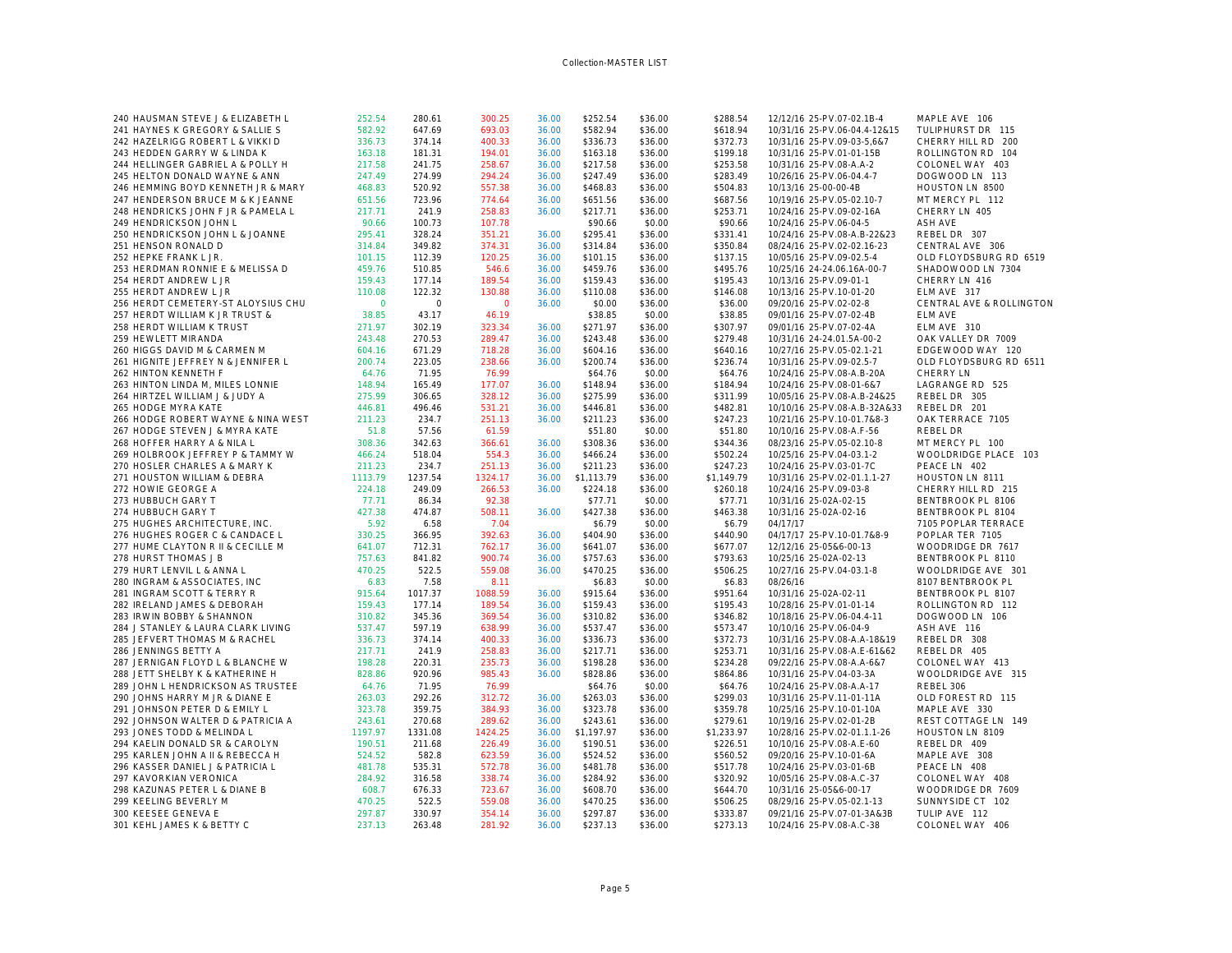| 240 HAUSMAN STEVE J & ELIZABETH L  | 252.54           | 280.61          | 300.25          | 36.00          | \$252.54             | \$36.00            | \$288.54            | 12/12/16 25-PV.07-02.1B-4    | MAPLE AVE 106                          |
|------------------------------------|------------------|-----------------|-----------------|----------------|----------------------|--------------------|---------------------|------------------------------|----------------------------------------|
| 241 HAYNES K GREGORY & SALLIE S    | 582.92           | 647.69          | 693.03          | 36.00          | \$582.94             | \$36.00            | \$618.94            | 10/31/16 25-PV.06-04.4-12&15 | TULIPHURST DR 115                      |
| 242 HAZELRIGG ROBERT L & VIKKI D   | 336.73           | 374.14          | 400.33          | 36.00          | \$336.73             | \$36.00            | \$372.73            | 10/31/16 25-PV.09-03-5,6&7   | CHERRY HILL RD 200                     |
| 243 HEDDEN GARRY W & LINDA K       | 163.18           | 181.31          | 194.01          | 36.00          | \$163.18             | \$36.00            | \$199.18            | 10/31/16 25-PV.01-01-15B     | ROLLINGTON RD 104                      |
| 244 HELLINGER GABRIEL A & POLLY H  | 217.58           | 241.75          | 258.67          | 36.00          | \$217.58             | \$36.00            | \$253.58            | 10/31/16 25-PV.08-A.A-2      | COLONEL WAY 403                        |
| 245 HELTON DONALD WAYNE & ANN      | 247.49           | 274.99          | 294.24          | 36.00          | \$247.49             | \$36.00            | \$283.49            | 10/26/16 25-PV.06-04.4-7     | DOGWOOD LN 113                         |
| 246 HEMMING BOYD KENNETH JR & MARY | 468.83           | 520.92          | 557.38          | 36.00          | \$468.83             | \$36.00            | \$504.83            | 10/13/16 25-00-00-4B         | HOUSTON LN 8500                        |
| 247 HENDERSON BRUCE M & K JEANNE   | 651.56           | 723.96          | 774.64          | 36.00          | \$651.56             | \$36.00            | \$687.56            | 10/19/16 25-PV.05-02.10-7    | MT MERCY PL 112                        |
| 248 HENDRICKS JOHN F JR & PAMELA L | 217.71           | 241.9           | 258.83          | 36.00          | \$217.71             | \$36.00            | \$253.71            | 10/24/16 25-PV.09-02-16A     | CHERRY LN 405                          |
| 249 HENDRICKSON JOHN L             | 90.66            | 100.73          | 107.78          |                | \$90.66              | \$0.00             | \$90.66             | 10/24/16 25-PV.06-04-5       | <b>ASH AVE</b>                         |
| 250 HENDRICKSON JOHN L & JOANNE    | 295.41           | 328.24          | 351.21          | 36.00          | \$295.41             | \$36.00            | \$331.41            | 10/24/16 25-PV.08-A.B-22&23  | REBEL DR 307                           |
| 251 HENSON RONALD D                | 314.84           | 349.82          | 374.31          | 36.00          | \$314.84             | \$36.00            | \$350.84            | 08/24/16 25-PV.02-02.16-23   | CENTRAL AVE 306                        |
| 252 HEPKE FRANK L JR.              | 101.15           | 112.39          | 120.25          | 36.00          | \$101.15             | \$36.00            | \$137.15            | 10/05/16 25-PV.09-02.5-4     | OLD FLOYDSBURG RD 6519                 |
| 253 HERDMAN RONNIE E & MELISSA D   | 459.76           | 510.85          | 546.6           | 36.00          | \$459.76             | \$36.00            | \$495.76            | 10/25/16 24-24.06.16A-00-7   | SHADOWOOD LN 7304                      |
| 254 HERDT ANDREW L JR              | 159.43           | 177.14          | 189.54          | 36.00          | \$159.43             | \$36.00            | \$195.43            | 10/13/16 25-PV.09-01-1       | CHERRY LN 416                          |
| 255 HERDT ANDREW L JR              | 110.08           | 122.32          | 130.88          | 36.00          | \$110.08             | \$36.00            | \$146.08            | 10/13/16 25-PV.10-01-20      | ELM AVE 317                            |
| 256 HERDT CEMETERY-ST ALOYSIUS CHU | $\overline{0}$   | $\circ$         | $\overline{0}$  | 36.00          | \$0.00               | \$36.00            | \$36.00             | 09/20/16 25-PV.02-02-8       | CENTRAL AVE & ROLLINGTON               |
| 257 HERDT WILLIAM K JR TRUST &     | 38.85            | 43.17           | 46.19           |                | \$38.85              | \$0.00             | \$38.85             | 09/01/16 25-PV.07-02-4B      | ELM AVE                                |
| 258 HERDT WILLIAM K TRUST          | 271.97           | 302.19          | 323.34          | 36.00          | \$271.97             | \$36.00            | \$307.97            | 09/01/16 25-PV.07-02-4A      | ELM AVE 310                            |
| 259 HEWLETT MIRANDA                | 243.48           | 270.53          | 289.47          | 36.00          | \$243.48             | \$36.00            | \$279.48            | 10/31/16 24-24.01.5A-00-2    | OAK VALLEY DR 7009                     |
| 260 HIGGS DAVID M & CARMEN M       | 604.16           | 671.29          | 718.28          | 36.00          | \$604.16             | \$36.00            | \$640.16            | 10/27/16 25-PV.05-02.1-21    | EDGEWOOD WAY 120                       |
| 261 HIGNITE JEFFREY N & JENNIFER L | 200.74           | 223.05          | 238.66          | 36.00          | \$200.74             | \$36.00            | \$236.74            | 10/31/16 25-PV.09-02.5-7     | OLD FLOYDSBURG RD 6511                 |
| 262 HINTON KENNETH F               | 64.76            | 71.95           | 76.99           |                | \$64.76              | \$0.00             | \$64.76             | 10/24/16 25-PV.08-A.B-20A    | CHERRY LN                              |
| 263 HINTON LINDA M, MILES LONNIE   | 148.94           | 165.49          | 177.07          | 36.00          | \$148.94             | \$36.00            | \$184.94            | 10/24/16 25-PV.08-01-6&7     | LAGRANGE RD 525                        |
| 264 HIRTZEL WILLIAM J & JUDY A     | 275.99           | 306.65          | 328.12          | 36.00          | \$275.99             | \$36.00            | \$311.99            | 10/05/16 25-PV.08-A.B-24&25  | REBEL DR 305                           |
| 265 HODGE MYRA KATE                | 446.81           | 496.46          | 531.21          | 36.00          | \$446.81             | \$36.00            | \$482.81            | 10/10/16 25-PV.08-A.B-32A&33 | REBEL DR 201                           |
| 266 HODGE ROBERT WAYNE & NINA WEST | 211.23           | 234.7           | 251.13          | 36.00          | \$211.23             | \$36.00            | \$247.23            | 10/21/16 25-PV.10-01.7&8-3   | OAK TERRACE 7105                       |
| 267 HODGE STEVEN J & MYRA KATE     | 51.8             | 57.56           | 61.59           |                | \$51.80              | \$0.00             | \$51.80             | 10/10/16 25-PV.08-A.F-56     | REBEL DR                               |
| 268 HOFFER HARRY A & NILA L        | 308.36           | 342.63          | 366.61          | 36.00          | \$308.36             | \$36.00            | \$344.36            | 08/23/16 25-PV.05-02.10-8    | MT MERCY PL 100                        |
| 269 HOLBROOK JEFFREY P & TAMMY W   | 466.24           | 518.04          | 554.3           | 36.00          | \$466.24             | \$36.00            | \$502.24            | 10/25/16 25-PV.04-03.1-2     | WOOLDRIDGE PLACE 103                   |
| 270 HOSLER CHARLES A & MARY K      | 211.23           | 234.7           | 251.13          | 36.00          | \$211.23             | \$36.00            | \$247.23            | 10/24/16 25-PV.03-01-7C      | PEACE LN 402                           |
| 271 HOUSTON WILLIAM & DEBRA        | 1113.79          | 1237.54         | 1324.17         | 36.00          | \$1,113.79           | \$36.00            | \$1,149.79          | 10/31/16 25-PV.02-01.1.1-27  | HOUSTON LN 8111                        |
| 272 HOWIE GEORGE A                 | 224.18           | 249.09          | 266.53          | 36.00          | \$224.18             | \$36.00            | \$260.18            | 10/24/16 25-PV.09-03-8       | CHERRY HILL RD 215                     |
| 273 HUBBUCH GARY T                 | 77.71            | 86.34           | 92.38           |                | \$77.71              | \$0.00             | \$77.71             | 10/31/16 25-02A-02-15        | BENTBROOK PL 8106                      |
| 274 HUBBUCH GARY T                 | 427.38           | 474.87          | 508.11          | 36.00          | \$427.38             | \$36.00            | \$463.38            | 10/31/16 25-02A-02-16        | BENTBROOK PL 8104                      |
| 275 HUGHES ARCHITECTURE. INC.      | 5.92             | 6.58            | 7.04            |                | \$6.79               | \$0.00             | \$6.79              | 04/17/17                     | 7105 POPLAR TERRACE                    |
| 276 HUGHES ROGER C & CANDACE L     | 330.25           | 366.95          | 392.63          | 36.00          | \$404.90             | \$36.00            | \$440.90            | 04/17/17 25-PV.10-01.7&8-9   | POPLAR TER 7105                        |
| 277 HUME CLAYTON R II & CECILLE M  | 641.07           | 712.31          | 762.17          | 36.00          | \$641.07             | \$36.00            | \$677.07            | 12/12/16 25-05&6-00-13       | WOODRIDGE DR 7617                      |
| 278 HURST THOMAS J B               | 757.63           | 841.82          | 900.74          | 36.00          | \$757.63             | \$36.00            | \$793.63            | 10/25/16 25-02A-02-13        | BENTBROOK PL 8110                      |
| 279 HURT LENVIL L & ANNA L         | 470.25           | 522.5           | 559.08          | 36.00          | \$470.25             | \$36.00            | \$506.25            | 10/27/16 25-PV.04-03.1-8     | WOOLDRIDGE AVE 301                     |
| 280 INGRAM & ASSOCIATES, INC       | 6.83             | 7.58            | 8.11            |                | \$6.83               | \$0.00             | \$6.83              | 08/26/16                     | 8107 BENTBROOK PL                      |
| 281 INGRAM SCOTT & TERRY R         | 915.64           | 1017.37         | 1088.59         | 36.00          | \$915.64             |                    | \$951.64            | 10/31/16 25-02A-02-11        |                                        |
| 282 IRELAND JAMES & DEBORAH        | 159.43           | 177.14          | 189.54          | 36.00          | \$159.43             | \$36.00<br>\$36.00 | \$195.43            | 10/28/16 25-PV.01-01-14      | BENTBROOK PL 8107<br>ROLLINGTON RD 112 |
| 283 IRWIN BOBBY & SHANNON          | 310.82           | 345.36          | 369.54          | 36.00          | \$310.82             | \$36.00            | \$346.82            | 10/18/16 25-PV.06-04.4-11    | DOGWOOD LN 106                         |
| 284 J STANLEY & LAURA CLARK LIVING | 537.47           | 597.19          | 638.99          | 36.00          | \$537.47             | \$36.00            | \$573.47            | 10/10/16 25-PV.06-04-9       | ASH AVE 116                            |
|                                    |                  |                 |                 |                |                      |                    | \$372.73            |                              |                                        |
| 285 JEFVERT THOMAS M & RACHEL      | 336.73<br>217.71 | 374.14<br>241.9 | 400.33          | 36.00<br>36.00 | \$336.73<br>\$217.71 | \$36.00            | \$253.71            | 10/31/16 25-PV.08-A.A-18&19  | REBEL DR 308                           |
| 286 JENNINGS BETTY A               |                  |                 | 258.83          |                |                      | \$36.00            |                     | 10/31/16 25-PV.08-A.E-61&62  | REBEL DR 405                           |
| 287 JERNIGAN FLOYD L & BLANCHE W   | 198.28           | 220.31          | 235.73          | 36.00          | \$198.28             | \$36.00            | \$234.28            | 09/22/16 25-PV.08-A.A-6&7    | COLONEL WAY 413                        |
| 288 JETT SHELBY K & KATHERINE H    | 828.86<br>64.76  | 920.96<br>71.95 | 985.43<br>76.99 | 36.00          | \$828.86<br>\$64.76  | \$36.00<br>\$0.00  | \$864.86<br>\$64.76 | 10/31/16 25-PV.04-03-3A      | WOOLDRIDGE AVE 315<br>REBEL 306        |
| 289 JOHN L HENDRICKSON AS TRUSTEE  |                  |                 |                 |                |                      |                    |                     | 10/24/16 25-PV.08-A.A-17     |                                        |
| 290 JOHNS HARRY M JR & DIANE E     | 263.03           | 292.26          | 312.72          | 36.00          | \$263.03             | \$36.00            | \$299.03            | 10/31/16 25-PV.11-01-11A     | OLD FOREST RD 115                      |
| 291 JOHNSON PETER D & EMILY L      | 323.78           | 359.75          | 384.93          | 36.00          | \$323.78             | \$36.00            | \$359.78            | 10/25/16 25-PV.10-01-10A     | MAPLE AVE 330                          |
| 292 JOHNSON WALTER D & PATRICIA A  | 243.61           | 270.68          | 289.62          | 36.00          | \$243.61             | \$36.00            | \$279.61            | 10/19/16 25-PV.02-01-2B      | REST COTTAGE LN 149                    |
| 293 JONES TODD & MELINDA L         | 1197.97          | 1331.08         | 1424.25         | 36.00          | \$1,197.97           | \$36.00            | \$1,233.97          | 10/28/16 25-PV.02-01.1.1-26  | HOUSTON LN 8109                        |
| 294 KAELIN DONALD SR & CAROLYN     | 190.51           | 211.68          | 226.49          | 36.00          | \$190.51             | \$36.00            | \$226.51            | 10/10/16 25-PV.08-A.E-60     | REBEL DR 409                           |
| 295 KARLEN JOHN A II & REBECCA H   | 524.52           | 582.8           | 623.59          | 36.00          | \$524.52             | \$36.00            | \$560.52            | 09/20/16 25-PV.10-01-6A      | MAPLE AVE 308                          |
| 296 KASSER DANIEL J & PATRICIA L   | 481.78           | 535.31          | 572.78          | 36.00          | \$481.78             | \$36.00            | \$517.78            | 10/24/16 25-PV.03-01-6B      | PEACE LN 408                           |
| 297 KAVORKIAN VERONICA             | 284.92           | 316.58          | 338.74          | 36.00          | \$284.92             | \$36.00            | \$320.92            | 10/05/16 25-PV.08-A.C-37     | COLONEL WAY 408                        |
| 298 KAZUNAS PETER L & DIANE B      | 608.7            | 676.33          | 723.67          | 36.00          | \$608.70             | \$36.00            | \$644.70            | 10/31/16 25-05&6-00-17       | WOODRIDGE DR 7609                      |
| 299 KEELING BEVERLY M              | 470.25           | 522.5           | 559.08          | 36.00          | \$470.25             | \$36.00            | \$506.25            | 08/29/16 25-PV.05-02.1-13    | SUNNYSIDE CT 102                       |
| 300 KEESEE GENEVA E                | 297.87           | 330.97          | 354.14          | 36.00          | \$297.87             | \$36.00            | \$333.87            | 09/21/16 25-PV.07-01-3A&3B   | TULIP AVE 112                          |
| 301 KEHL JAMES K & BETTY C         | 237.13           | 263.48          | 281.92          | 36.00          | \$237.13             | \$36.00            | \$273.13            | 10/24/16 25-PV.08-A.C-38     | COLONEL WAY 406                        |

Page 5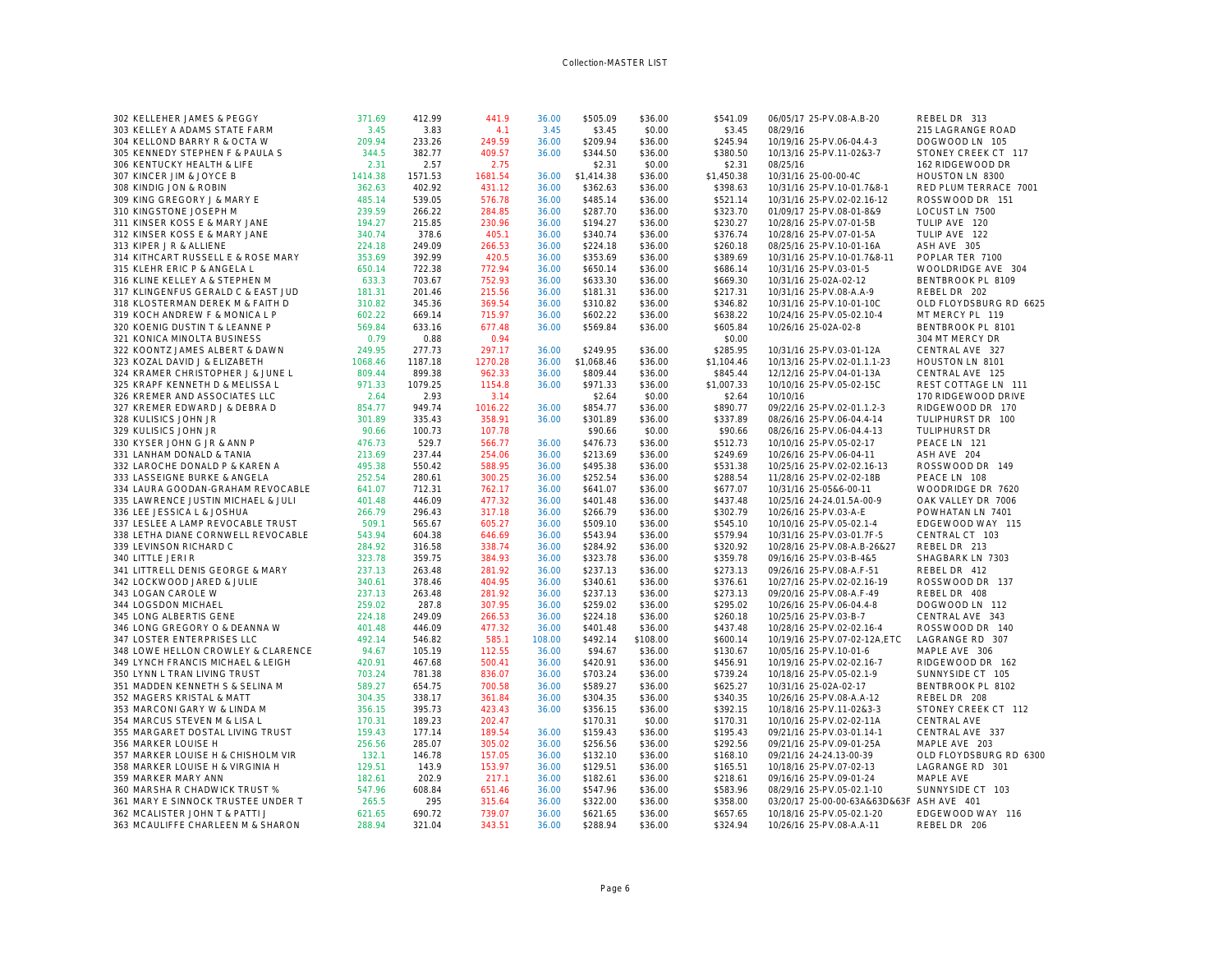| 302 KELLEHER JAMES & PEGGY         | 371.69  | 412.99  | 441.9   | 36.00  | \$505.09   | \$36.00  | \$541.09   | 06/05/17 25-PV.08-A.B-20                  | REBEL DR 313           |
|------------------------------------|---------|---------|---------|--------|------------|----------|------------|-------------------------------------------|------------------------|
| 303 KELLEY A ADAMS STATE FARM      | 3.45    | 3.83    | 4.1     | 3.45   | \$3.45     | \$0.00   | \$3.45     | 08/29/16                                  | 215 LAGRANGE ROAD      |
| 304 KELLOND BARRY R & OCTA W       | 209.94  | 233.26  | 249.59  | 36.00  | \$209.94   | \$36.00  | \$245.94   | 10/19/16 25-PV.06-04.4-3                  | DOGWOOD LN 105         |
| 305 KENNEDY STEPHEN F & PAULA S    | 344.5   | 382.77  | 409.57  | 36.00  | \$344.50   | \$36.00  | \$380.50   | 10/13/16 25-PV.11-02&3-7                  | STONEY CREEK CT 117    |
| 306 KENTUCKY HEALTH & LIFE         | 2.31    | 2.57    | 2.75    |        | \$2.31     | \$0.00   | \$2.31     | 08/25/16                                  | 162 RIDGEWOOD DR       |
| 307 KINCER JIM & JOYCE B           | 1414.38 | 1571.53 | 1681.54 | 36.00  | \$1,414.38 | \$36.00  | \$1,450.38 | 10/31/16 25-00-00-4C                      | HOUSTON LN 8300        |
| 308 KINDIG JON & ROBIN             | 362.63  | 402.92  | 431.12  | 36.00  | \$362.63   | \$36.00  | \$398.63   | 10/31/16 25-PV.10-01.7&8-1                | RED PLUM TERRACE 7001  |
| 309 KING GREGORY J & MARY E        | 485.14  | 539.05  | 576.78  | 36.00  | \$485.14   | \$36.00  | \$521.14   | 10/31/16 25-PV.02-02.16-12                | ROSSWOOD DR 151        |
| 310 KINGSTONE JOSEPH M             | 239.59  | 266.22  | 284.85  | 36.00  | \$287.70   | \$36.00  | \$323.70   | 01/09/17 25-PV.08-01-8&9                  | LOCUST LN 7500         |
| 311 KINSER KOSS E & MARY JANE      | 194.27  | 215.85  | 230.96  | 36.00  | \$194.27   | \$36.00  | \$230.27   | 10/28/16 25-PV.07-01-5B                   | TULIP AVE 120          |
| 312 KINSER KOSS E & MARY JANE      | 340.74  | 378.6   | 405.1   | 36.00  | \$340.74   | \$36.00  | \$376.74   | 10/28/16 25-PV.07-01-5A                   | TULIP AVE 122          |
|                                    |         |         |         |        |            |          |            |                                           |                        |
| 313 KIPER J R & ALLIENE            | 224.18  | 249.09  | 266.53  | 36.00  | \$224.18   | \$36.00  | \$260.18   | 08/25/16 25-PV.10-01-16A                  | ASH AVE 305            |
| 314 KITHCART RUSSELL E & ROSE MARY | 353.69  | 392.99  | 420.5   | 36.00  | \$353.69   | \$36.00  | \$389.69   | 10/31/16 25-PV.10-01.7&8-11               | POPLAR TER 7100        |
| 315 KLEHR ERIC P & ANGELA L        | 650.14  | 722.38  | 772.94  | 36.00  | \$650.14   | \$36.00  | \$686.14   | 10/31/16 25-PV.03-01-5                    | WOOLDRIDGE AVE 304     |
| 316 KLINE KELLEY A & STEPHEN M     | 633.3   | 703.67  | 752.93  | 36.00  | \$633.30   | \$36.00  | \$669.30   | 10/31/16 25-02A-02-12                     | BENTBROOK PL 8109      |
| 317 KLINGENFUS GERALD C & EAST JUD | 181.31  | 201.46  | 215.56  | 36.00  | \$181.31   | \$36.00  | \$217.31   | 10/31/16 25-PV.08-A.A-9                   | REBEL DR 202           |
| 318 KLOSTERMAN DEREK M & FAITH D   | 310.82  | 345.36  | 369.54  | 36.00  | \$310.82   | \$36.00  | \$346.82   | 10/31/16 25-PV.10-01-10C                  | OLD FLOYDSBURG RD 6625 |
| 319 KOCH ANDREW F & MONICA L P     | 602.22  | 669.14  | 715.97  | 36.00  | \$602.22   | \$36.00  | \$638.22   | 10/24/16 25-PV.05-02.10-4                 | MT MERCY PL 119        |
| 320 KOENIG DUSTIN T & LEANNE P     | 569.84  | 633.16  | 677.48  | 36.00  | \$569.84   | \$36.00  | \$605.84   | 10/26/16 25-02A-02-8                      | BENTBROOK PL 8101      |
| 321 KONICA MINOLTA BUSINESS        | 0.79    | 0.88    | 0.94    |        |            |          | \$0.00     |                                           | 304 MT MERCY DR        |
| 322 KOONTZ JAMES ALBERT & DAWN     | 249.95  | 277.73  | 297.17  | 36.00  | \$249.95   | \$36.00  | \$285.95   | 10/31/16 25-PV.03-01-12A                  | CENTRAL AVE 327        |
| 323 KOZAL DAVID J & ELIZABETH      | 1068.46 | 1187.18 | 1270.28 | 36.00  | \$1,068.46 | \$36.00  | \$1,104.46 | 10/13/16 25-PV.02-01.1.1-23               | HOUSTON LN 8101        |
| 324 KRAMER CHRISTOPHER J & JUNE L  | 809.44  | 899.38  | 962.33  | 36.00  | \$809.44   | \$36.00  | \$845.44   | 12/12/16 25-PV.04-01-13A                  | CENTRAL AVE 125        |
| 325 KRAPF KENNETH D & MELISSA L    | 971.33  | 1079.25 | 1154.8  | 36.00  | \$971.33   | \$36.00  | \$1,007.33 | 10/10/16 25-PV.05-02-15C                  | REST COTTAGE LN 111    |
| 326 KREMER AND ASSOCIATES LLC      | 2.64    | 2.93    | 3.14    |        | \$2.64     | \$0.00   | \$2.64     | 10/10/16                                  | 170 RIDGEWOOD DRIVE    |
| 327 KREMER EDWARD J & DEBRA D      | 854.77  | 949.74  | 1016.22 | 36.00  | \$854.77   | \$36.00  | \$890.77   | 09/22/16 25-PV.02-01.1.2-3                | RIDGEWOOD DR 170       |
| 328 KULISICS JOHN JR               | 301.89  | 335.43  | 358.91  | 36.00  | \$301.89   | \$36.00  | \$337.89   | 08/26/16 25-PV.06-04.4-14                 | TULIPHURST DR 100      |
|                                    |         |         |         |        |            |          |            |                                           |                        |
| 329 KULISICS JOHN JR               | 90.66   | 100.73  | 107.78  |        | \$90.66    | \$0.00   | \$90.66    | 08/26/16 25-PV.06-04.4-13                 | TULIPHURST DR          |
| 330 KYSER JOHN G JR & ANN P        | 476.73  | 529.7   | 566.77  | 36.00  | \$476.73   | \$36.00  | \$512.73   | 10/10/16 25-PV.05-02-17                   | PEACE LN 121           |
| 331 LANHAM DONALD & TANIA          | 213.69  | 237.44  | 254.06  | 36.00  | \$213.69   | \$36.00  | \$249.69   | 10/26/16 25-PV.06-04-11                   | ASH AVE 204            |
| 332 LAROCHE DONALD P & KAREN A     | 495.38  | 550.42  | 588.95  | 36.00  | \$495.38   | \$36.00  | \$531.38   | 10/25/16 25-PV.02-02.16-13                | ROSSWOOD DR 149        |
| 333 LASSEIGNE BURKE & ANGELA       | 252.54  | 280.61  | 300.25  | 36.00  | \$252.54   | \$36.00  | \$288.54   | 11/28/16 25-PV.02-02-18B                  | PEACE LN 108           |
| 334 LAURA GOODAN-GRAHAM REVOCABLE  | 641.07  | 712.31  | 762.17  | 36.00  | \$641.07   | \$36.00  | \$677.07   | 10/31/16 25-05&6-00-11                    | WOODRIDGE DR 7620      |
| 335 LAWRENCE JUSTIN MICHAEL & JULI | 401.48  | 446.09  | 477.32  | 36.00  | \$401.48   | \$36.00  | \$437.48   | 10/25/16 24-24.01.5A-00-9                 | OAK VALLEY DR 7006     |
| 336 LEE JESSICA L & JOSHUA         | 266.79  | 296.43  | 317.18  | 36.00  | \$266.79   | \$36.00  | \$302.79   | 10/26/16 25-PV.03-A-E                     | POWHATAN LN 7401       |
| 337 LESLEE A LAMP REVOCABLE TRUST  | 509.1   | 565.67  | 605.27  | 36.00  | \$509.10   | \$36.00  | \$545.10   | 10/10/16 25-PV.05-02.1-4                  | EDGEWOOD WAY 115       |
| 338 LETHA DIANE CORNWELL REVOCABLE | 543.94  | 604.38  | 646.69  | 36.00  | \$543.94   | \$36.00  | \$579.94   | 10/31/16 25-PV.03-01.7F-5                 | CENTRAL CT 103         |
| 339 LEVINSON RICHARD C             | 284.92  | 316.58  | 338.74  | 36.00  | \$284.92   | \$36.00  | \$320.92   | 10/28/16 25-PV.08-A.B-26&27               | REBEL DR 213           |
| 340 LITTLE JERI R                  | 323.78  | 359.75  | 384.93  | 36.00  | \$323.78   | \$36.00  | \$359.78   | 09/16/16 25-PV.03-B-4&5                   | SHAGBARK LN 7303       |
| 341 LITTRELL DENIS GEORGE & MARY   | 237.13  | 263.48  | 281.92  | 36.00  | \$237.13   | \$36.00  | \$273.13   | 09/26/16 25-PV.08-A.F-51                  | REBEL DR 412           |
| 342 LOCKWOOD JARED & JULIE         | 340.61  | 378.46  | 404.95  | 36.00  | \$340.61   | \$36.00  | \$376.61   | 10/27/16 25-PV.02-02.16-19                | ROSSWOOD DR 137        |
| 343 LOGAN CAROLE W                 | 237.13  | 263.48  | 281.92  | 36.00  | \$237.13   | \$36.00  | \$273.13   | 09/20/16 25-PV.08-A.F-49                  | REBEL DR 408           |
| 344 LOGSDON MICHAEL                | 259.02  | 287.8   | 307.95  | 36.00  | \$259.02   | \$36.00  | \$295.02   | 10/26/16 25-PV.06-04.4-8                  | DOGWOOD LN 112         |
| 345 LONG ALBERTIS GENE             | 224.18  | 249.09  | 266.53  | 36.00  | \$224.18   | \$36.00  | \$260.18   | 10/25/16 25-PV.03-B-7                     | CENTRAL AVE 343        |
| 346 LONG GREGORY O & DEANNA W      | 401.48  | 446.09  | 477.32  | 36.00  | \$401.48   | \$36.00  | \$437.48   | 10/28/16 25-PV.02-02.16-4                 | ROSSWOOD DR 140        |
| <b>347 LOSTER ENTERPRISES LLC</b>  | 492.14  | 546.82  | 585.1   | 108.00 | \$492.14   | \$108.00 | \$600.14   | 10/19/16 25-PV.07-02-12A.ETC              | LAGRANGE RD 307        |
| 348 LOWE HELLON CROWLEY & CLARENCE | 94.67   | 105.19  | 112.55  | 36.00  | \$94.67    | \$36.00  | \$130.67   | 10/05/16 25-PV.10-01-6                    | MAPLE AVE 306          |
| 349 LYNCH FRANCIS MICHAEL & LEIGH  |         | 467.68  | 500.41  |        | \$420.91   |          |            |                                           |                        |
|                                    | 420.91  |         |         | 36.00  |            | \$36.00  | \$456.91   | 10/19/16 25-PV.02-02.16-7                 | RIDGEWOOD DR 162       |
| 350 LYNN L TRAN LIVING TRUST       | 703.24  | 781.38  | 836.07  | 36.00  | \$703.24   | \$36.00  | \$739.24   | 10/18/16 25-PV.05-02.1-9                  | SUNNYSIDE CT 105       |
| 351 MADDEN KENNETH S & SELINA M    | 589.27  | 654.75  | 700.58  | 36.00  | \$589.27   | \$36.00  | \$625.27   | 10/31/16 25-02A-02-17                     | BENTBROOK PL 8102      |
| 352 MAGERS KRISTAL & MATT          | 304.35  | 338.17  | 361.84  | 36.00  | \$304.35   | \$36.00  | \$340.35   | 10/26/16 25-PV.08-A.A-12                  | REBEL DR 208           |
| 353 MARCONI GARY W & LINDA M       | 356.15  | 395.73  | 423.43  | 36.00  | \$356.15   | \$36.00  | \$392.15   | 10/18/16 25-PV.11-02&3-3                  | STONEY CREEK CT 112    |
| 354 MARCUS STEVEN M & LISA L       | 170.31  | 189.23  | 202.47  |        | \$170.31   | \$0.00   | \$170.31   | 10/10/16 25-PV.02-02-11A                  | CENTRAL AVE            |
| 355 MARGARET DOSTAL LIVING TRUST   | 159.43  | 177.14  | 189.54  | 36.00  | \$159.43   | \$36.00  | \$195.43   | 09/21/16 25-PV.03-01.14-1                 | CENTRAL AVE 337        |
| 356 MARKER LOUISE H                | 256.56  | 285.07  | 305.02  | 36.00  | \$256.56   | \$36.00  | \$292.56   | 09/21/16 25-PV.09-01-25A                  | MAPLE AVE 203          |
| 357 MARKER LOUISE H & CHISHOLM VIR | 132.1   | 146.78  | 157.05  | 36.00  | \$132.10   | \$36.00  | \$168.10   | 09/21/16 24-24.13-00-39                   | OLD FLOYDSBURG RD 6300 |
| 358 MARKER LOUISE H & VIRGINIA H   | 129.51  | 143.9   | 153.97  | 36.00  | \$129.51   | \$36.00  | \$165.51   | 10/18/16 25-PV.07-02-13                   | LAGRANGE RD 301        |
| 359 MARKER MARY ANN                | 182.61  | 202.9   | 217.1   | 36.00  | \$182.61   | \$36.00  | \$218.61   | 09/16/16 25-PV.09-01-24                   | MAPLE AVE              |
| 360 MARSHA R CHADWICK TRUST %      | 547.96  | 608.84  | 651.46  | 36.00  | \$547.96   | \$36.00  | \$583.96   | 08/29/16 25-PV.05-02.1-10                 | SUNNYSIDE CT 103       |
| 361 MARY E SINNOCK TRUSTEE UNDER T | 265.5   | 295     | 315.64  | 36.00  | \$322.00   | \$36.00  | \$358.00   | 03/20/17 25-00-00-63A&63D&63F ASH AVE 401 |                        |
| 362 MCALISTER JOHN T & PATTI J     | 621.65  | 690.72  | 739.07  | 36.00  | \$621.65   | \$36.00  | \$657.65   | 10/18/16 25-PV.05-02.1-20                 | EDGEWOOD WAY 116       |
| 363 MCAULIFFE CHARLEEN M & SHARON  | 288.94  | 321.04  | 343.51  | 36.00  | \$288.94   | \$36.00  | \$324.94   | 10/26/16 25-PV.08-A.A-11                  | REBEL DR 206           |
|                                    |         |         |         |        |            |          |            |                                           |                        |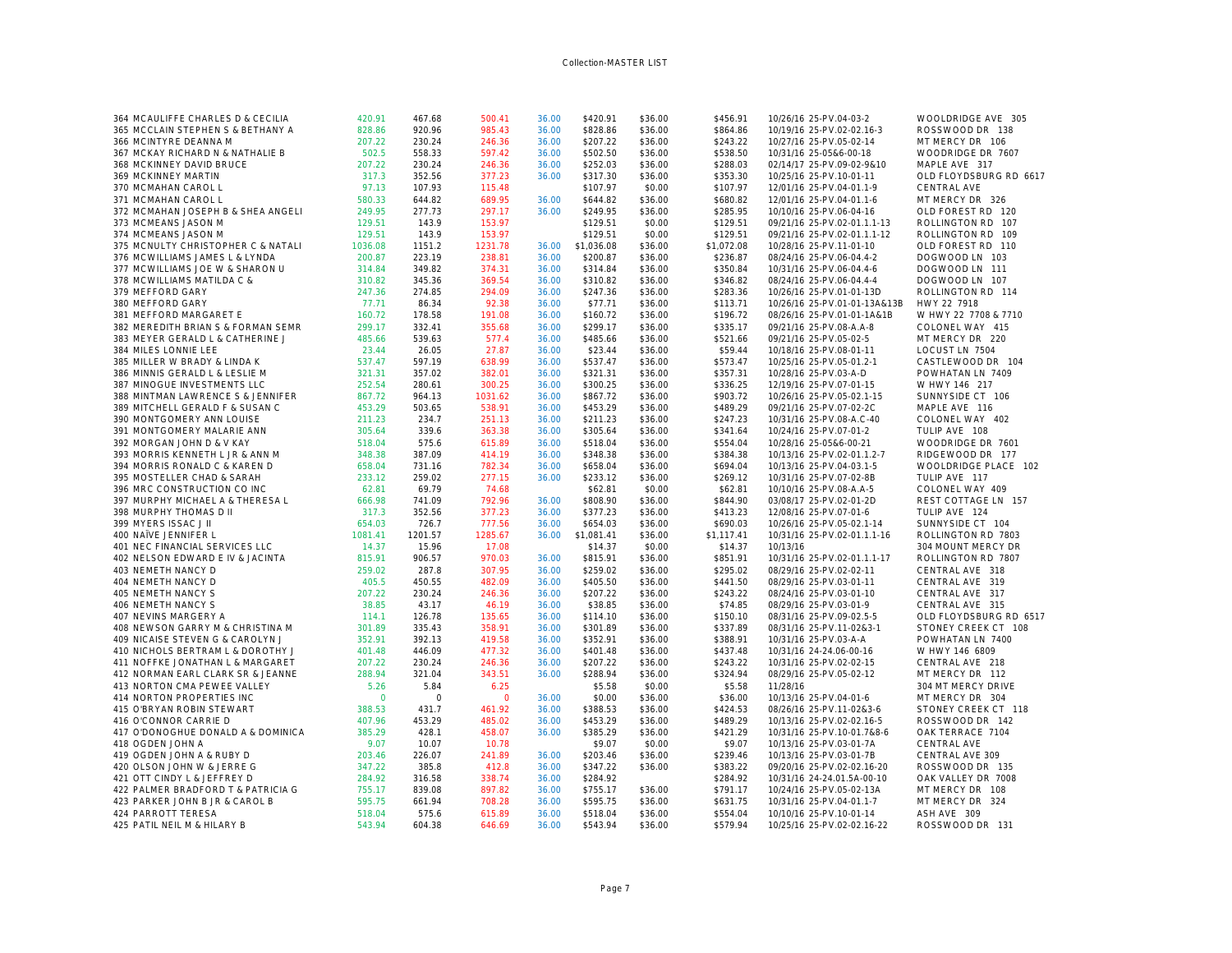| 364 MCAULIFFE CHARLES D & CECILIA                         | 420.91           | 467.68           | 500.41           | 36.00          | \$420.91             | \$36.00            | \$456.91             | 10/26/16 25-PV.04-03-2                             | WOOLDRIDGE AVE 305                    |
|-----------------------------------------------------------|------------------|------------------|------------------|----------------|----------------------|--------------------|----------------------|----------------------------------------------------|---------------------------------------|
| 365 MCCLAIN STEPHEN S & BETHANY A                         | 828.86           | 920.96           | 985.43           | 36.00          | \$828.86             | \$36.00            | \$864.86             | 10/19/16 25-PV.02-02.16-3                          | ROSSWOOD DR 138                       |
| 366 MCINTYRE DEANNA M                                     | 207.22           | 230.24           | 246.36           | 36.00          | \$207.22             | \$36.00            | \$243.22             | 10/27/16 25-PV.05-02-14                            | MT MERCY DR 106                       |
| 367 MCKAY RICHARD N & NATHALIE B                          | 502.5            | 558.33           | 597.42           | 36.00          | \$502.50             | \$36.00            | \$538.50             | 10/31/16 25-05&6-00-18                             | WOODRIDGE DR 7607                     |
| 368 MCKINNEY DAVID BRUCE                                  | 207.22           | 230.24           | 246.36           | 36.00          | \$252.03             | \$36.00            | \$288.03             | 02/14/17 25-PV.09-02-9&10                          | MAPLE AVE 317                         |
| 369 MCKINNEY MARTIN                                       | 317.3            | 352.56           | 377.23           | 36.00          | \$317.30             | \$36.00            | \$353.30             | 10/25/16 25-PV.10-01-11                            | OLD FLOYDSBURG RD 6617                |
| 370 MCMAHAN CAROL L                                       | 97.13            | 107.93           | 115.48           |                | \$107.97             | \$0.00             | \$107.97             | 12/01/16 25-PV.04-01.1-9                           | CENTRAL AVE                           |
| 371 MCMAHAN CAROL L                                       | 580.33           | 644.82           | 689.95           | 36.00          | \$644.82             | \$36.00            | \$680.82             | 12/01/16 25-PV.04-01.1-6                           | MT MERCY DR 326                       |
| 372 MCMAHAN JOSEPH B & SHEA ANGELI                        | 249.95           | 277.73           | 297.17           | 36.00          | \$249.95             | \$36.00            | \$285.95             | 10/10/16 25-PV.06-04-16                            | OLD FOREST RD 120                     |
| 373 MCMEANS JASON M                                       | 129.51           | 143.9            | 153.97           |                | \$129.51             | \$0.00             | \$129.51             | 09/21/16 25-PV.02-01.1.1-13                        | ROLLINGTON RD 107                     |
| 374 MCMEANS JASON M                                       | 129.51           | 143.9            | 153.97           |                | \$129.51             | \$0.00             | \$129.51             | 09/21/16 25-PV.02-01.1.1-12                        | ROLLINGTON RD 109                     |
| 375 MCNULTY CHRISTOPHER C & NATALI                        | 1036.08          | 1151.2           | 1231.78          | 36.00          | \$1,036.08           | \$36.00            | \$1,072.08           | 10/28/16 25-PV.11-01-10                            | OLD FOREST RD 110                     |
| 376 MCWILLIAMS JAMES L & LYNDA                            | 200.87           | 223.19           | 238.81           | 36.00          | \$200.87             | \$36.00            | \$236.87             | 08/24/16 25-PV.06-04.4-2                           | DOGWOOD LN 103                        |
| 377 MCWILLIAMS JOE W & SHARON U                           | 314.84           | 349.82           | 374.31           | 36.00          | \$314.84             | \$36.00            | \$350.84             | 10/31/16 25-PV.06-04.4-6                           | DOGWOOD LN 111                        |
| 378 MCWILLIAMS MATILDA C &                                | 310.82           | 345.36           | 369.54           | 36.00          | \$310.82             | \$36.00            | \$346.82             | 08/24/16 25-PV.06-04.4-4                           | DOGWOOD LN 107                        |
| 379 MEFFORD GARY                                          | 247.36           | 274.85           | 294.09           | 36.00          | \$247.36             | \$36.00            | \$283.36             | 10/26/16 25-PV.01-01-13D                           | ROLLINGTON RD 114                     |
| 380 MEFFORD GARY                                          | 77.71            | 86.34            | 92.38            | 36.00          | \$77.71              | \$36.00            | \$113.71             | 10/26/16 25-PV.01-01-13A&13B                       | HWY 22 7918                           |
| 381 MEFFORD MARGARET E                                    | 160.72           | 178.58           | 191.08           | 36.00          | \$160.72             | \$36.00            | \$196.72             | 08/26/16 25-PV.01-01-1A&1B                         | W HWY 22 7708 & 7710                  |
| 382 MEREDITH BRIAN S & FORMAN SEMR                        | 299.17           | 332.41           | 355.68           | 36.00          | \$299.17             | \$36.00            | \$335.17             | 09/21/16 25-PV.08-A.A-8                            | COLONEL WAY 415                       |
| 383 MEYER GERALD L & CATHERINE J                          | 485.66           | 539.63           | 577.4            | 36.00          | \$485.66             | \$36.00            | \$521.66             | 09/21/16 25-PV.05-02-5                             | MT MERCY DR 220                       |
| 384 MILES LONNIE LEE                                      | 23.44            | 26.05            | 27.87            | 36.00          | \$23.44              | \$36.00            | \$59.44              | 10/18/16 25-PV.08-01-11                            | <b>LOCUST LN 7504</b>                 |
| 385 MILLER W BRADY & LINDA K                              | 537.47           | 597.19           | 638.99           | 36.00          | \$537.47             | \$36.00            | \$573.47             | 10/25/16 25-PV.05-01.2-1                           | CASTLEWOOD DR 104                     |
| 386 MINNIS GERALD L & LESLIE M                            | 321.31           | 357.02           | 382.01           | 36.00          | \$321.31             | \$36.00            | \$357.31             | 10/28/16 25-PV.03-A-D                              | POWHATAN LN 7409                      |
| 387 MINOGUE INVESTMENTS LLC                               | 252.54           | 280.61           | 300.25           | 36.00          | \$300.25             | \$36.00            | \$336.25             | 12/19/16 25-PV.07-01-15                            | W HWY 146 217                         |
| 388 MINTMAN LAWRENCE S & JENNIFER                         | 867.72           | 964.13           | 1031.62          | 36.00          | \$867.72             | \$36.00            | \$903.72             | 10/26/16 25-PV.05-02.1-15                          | SUNNYSIDE CT 106                      |
| 389 MITCHELL GERALD F & SUSAN C                           | 453.29           | 503.65           | 538.91           | 36.00          | \$453.29             | \$36.00            | \$489.29             | 09/21/16 25-PV.07-02-2C                            | MAPLE AVE 116                         |
| 390 MONTGOMERY ANN LOUISE                                 | 211.23           | 234.7            | 251.13           | 36.00          | \$211.23             | \$36.00            | \$247.23             | 10/31/16 25-PV.08-A.C-40                           | COLONEL WAY 402                       |
| 391 MONTGOMERY MALARIE ANN                                | 305.64           | 339.6            | 363.38           | 36.00          | \$305.64             | \$36.00            | \$341.64             | 10/24/16 25-PV.07-01-2                             | TULIP AVE 108                         |
| 392 MORGAN JOHN D & V KAY                                 | 518.04<br>348.38 | 575.6<br>387.09  | 615.89<br>414.19 | 36.00<br>36.00 | \$518.04<br>\$348.38 | \$36.00<br>\$36.00 | \$554.04<br>\$384.38 | 10/28/16 25-05&6-00-21                             | WOODRIDGE DR 7601<br>RIDGEWOOD DR 177 |
| 393 MORRIS KENNETH L JR & ANN M                           |                  |                  | 782.34           | 36.00          | \$658.04             |                    | \$694.04             | 10/13/16 25-PV.02-01.1.2-7                         | WOOLDRIDGE PLACE 102                  |
| 394 MORRIS RONALD C & KAREN D                             | 658.04<br>233.12 | 731.16<br>259.02 | 277.15           | 36.00          | \$233.12             | \$36.00<br>\$36.00 | \$269.12             | 10/13/16 25-PV.04-03.1-5                           | TULIP AVE 117                         |
| 395 MOSTELLER CHAD & SARAH<br>396 MRC CONSTRUCTION CO INC | 62.81            | 69.79            | 74.68            |                | \$62.81              | \$0.00             | \$62.81              | 10/31/16 25-PV.07-02-8B<br>10/10/16 25-PV.08-A.A-5 | COLONEL WAY 409                       |
| 397 MURPHY MICHAEL A & THERESA L                          | 666.98           | 741.09           | 792.96           | 36.00          | \$808.90             | \$36.00            | \$844.90             | 03/08/17 25-PV.02-01-2D                            | REST COTTAGE LN 157                   |
| 398 MURPHY THOMAS D II                                    | 317.3            | 352.56           | 377.23           | 36.00          | \$377.23             | \$36.00            | \$413.23             | 12/08/16 25-PV.07-01-6                             | TULIP AVE 124                         |
| 399 MYERS ISSAC J II                                      | 654.03           | 726.7            | 777.56           | 36.00          | \$654.03             | \$36.00            | \$690.03             | 10/26/16 25-PV.05-02.1-14                          | SUNNYSIDE CT 104                      |
| 400 NAÏVE JENNIFER L                                      | 1081.41          | 1201.57          | 1285.67          | 36.00          | \$1,081.41           | \$36.00            | \$1,117.41           | 10/31/16 25-PV.02-01.1.1-16                        | ROLLINGTON RD 7803                    |
| 401 NEC FINANCIAL SERVICES LLC                            | 14.37            | 15.96            | 17.08            |                | \$14.37              | \$0.00             | \$14.37              | 10/13/16                                           | 304 MOUNT MERCY DR                    |
| 402 NELSON EDWARD E IV & JACINTA                          | 815.91           | 906.57           | 970.03           | 36.00          | \$815.91             | \$36.00            | \$851.91             | 10/31/16 25-PV.02-01.1.1-17                        | ROLLINGTON RD 7807                    |
| 403 NEMETH NANCY D                                        | 259.02           | 287.8            | 307.95           | 36.00          | \$259.02             | \$36.00            | \$295.02             | 08/29/16 25-PV.02-02-11                            | CENTRAL AVE 318                       |
| 404 NEMETH NANCY D                                        | 405.5            | 450.55           | 482.09           | 36.00          | \$405.50             | \$36.00            | \$441.50             | 08/29/16 25-PV.03-01-11                            | CENTRAL AVE 319                       |
| 405 NEMETH NANCY S                                        | 207.22           | 230.24           | 246.36           | 36.00          | \$207.22             | \$36.00            | \$243.22             | 08/24/16 25-PV.03-01-10                            | CENTRAL AVE 317                       |
| 406 NEMETH NANCY S                                        | 38.85            | 43.17            | 46.19            | 36.00          | \$38.85              | \$36.00            | \$74.85              | 08/29/16 25-PV.03-01-9                             | CENTRAL AVE 315                       |
| 407 NEVINS MARGERY A                                      | 114.1            | 126.78           | 135.65           | 36.00          | \$114.10             | \$36.00            | \$150.10             | 08/31/16 25-PV.09-02.5-5                           | OLD FLOYDSBURG RD 6517                |
| 408 NEWSON GARRY M & CHRISTINA M                          | 301.89           | 335.43           | 358.91           | 36.00          | \$301.89             | \$36.00            | \$337.89             | 08/31/16 25-PV.11-02&3-1                           | STONEY CREEK CT 108                   |
| 409 NICAISE STEVEN G & CAROLYN J                          | 352.91           | 392.13           | 419.58           | 36.00          | \$352.91             | \$36.00            | \$388.91             | 10/31/16 25-PV.03-A-A                              | POWHATAN LN 7400                      |
| 410 NICHOLS BERTRAM L & DOROTHY J                         | 401.48           | 446.09           | 477.32           | 36.00          | \$401.48             | \$36.00            | \$437.48             | 10/31/16 24-24.06-00-16                            | W HWY 146 6809                        |
| 411 NOFFKE JONATHAN L & MARGARET                          | 207.22           | 230.24           | 246.36           | 36.00          | \$207.22             | \$36.00            | \$243.22             | 10/31/16 25-PV.02-02-15                            | CENTRAL AVE 218                       |
| 412 NORMAN EARL CLARK SR & JEANNE                         | 288.94           | 321.04           | 343.51           | 36.00          | \$288.94             | \$36.00            | \$324.94             | 08/29/16 25-PV.05-02-12                            | MT MERCY DR 112                       |
| 413 NORTON CMA PEWEE VALLEY                               | 5.26             | 5.84             | 6.25             |                | \$5.58               | \$0.00             | \$5.58               | 11/28/16                                           | 304 MT MERCY DRIVE                    |
| 414 NORTON PROPERTIES INC                                 | $\overline{0}$   | $\circ$          | $\overline{0}$   | 36.00          | \$0.00               | \$36.00            | \$36.00              | 10/13/16 25-PV.04-01-6                             | MT MERCY DR 304                       |
| 415 O'BRYAN ROBIN STEWART                                 | 388.53           | 431.7            | 461.92           | 36.00          | \$388.53             | \$36.00            | \$424.53             | 08/26/16 25-PV.11-02&3-6                           | STONEY CREEK CT 118                   |
| 416 O'CONNOR CARRIE D                                     | 407.96           | 453.29           | 485.02           | 36.00          | \$453.29             | \$36.00            | \$489.29             | 10/13/16 25-PV.02-02.16-5                          | ROSSWOOD DR 142                       |
| 417 O'DONOGHUE DONALD A & DOMINICA                        | 385.29           | 428.1            | 458.07           | 36.00          | \$385.29             | \$36.00            | \$421.29             | 10/31/16 25-PV.10-01.7&8-6                         | OAK TERRACE 7104                      |
| 418 OGDEN JOHN A                                          | 9.07             | 10.07            | 10.78            |                | \$9.07               | \$0.00             | \$9.07               | 10/13/16 25-PV.03-01-7A                            | CENTRAL AVE                           |
| 419 OGDEN JOHN A & RUBY D                                 | 203.46           | 226.07           | 241.89           | 36.00          | \$203.46             | \$36.00            | \$239.46             | 10/13/16 25-PV.03-01-7B                            | CENTRAL AVE 309                       |
| 420 OLSON JOHN W & JERRE G                                | 347.22           | 385.8            | 412.8            | 36.00          | \$347.22             | \$36.00            | \$383.22             | 09/20/16 25-PV.02-02.16-20                         | ROSSWOOD DR 135                       |
| 421 OTT CINDY L & JEFFREY D                               | 284.92           | 316.58           | 338.74           | 36.00          | \$284.92             |                    | \$284.92             | 10/31/16 24-24.01.5A-00-10                         | OAK VALLEY DR 7008                    |
| 422 PALMER BRADFORD T & PATRICIA G                        | 755.17           | 839.08           | 897.82           | 36.00          | \$755.17             | \$36.00            | \$791.17             | 10/24/16 25-PV.05-02-13A                           | MT MERCY DR 108                       |
| 423 PARKER JOHN B JR & CAROL B                            | 595.75           | 661.94           | 708.28           | 36.00          | \$595.75             | \$36.00            | \$631.75             | 10/31/16 25-PV.04-01.1-7                           | MT MERCY DR 324                       |
| 424 PARROTT TERESA                                        | 518.04           | 575.6            | 615.89           | 36.00          | \$518.04             | \$36.00            | \$554.04             | 10/10/16 25-PV.10-01-14                            | ASH AVE 309                           |
| 425 PATIL NEIL M & HILARY B                               | 543.94           | 604.38           | 646.69           | 36.00          | \$543.94             | \$36.00            | \$579.94             | 10/25/16 25-PV.02-02.16-22                         | ROSSWOOD DR 131                       |

Page 7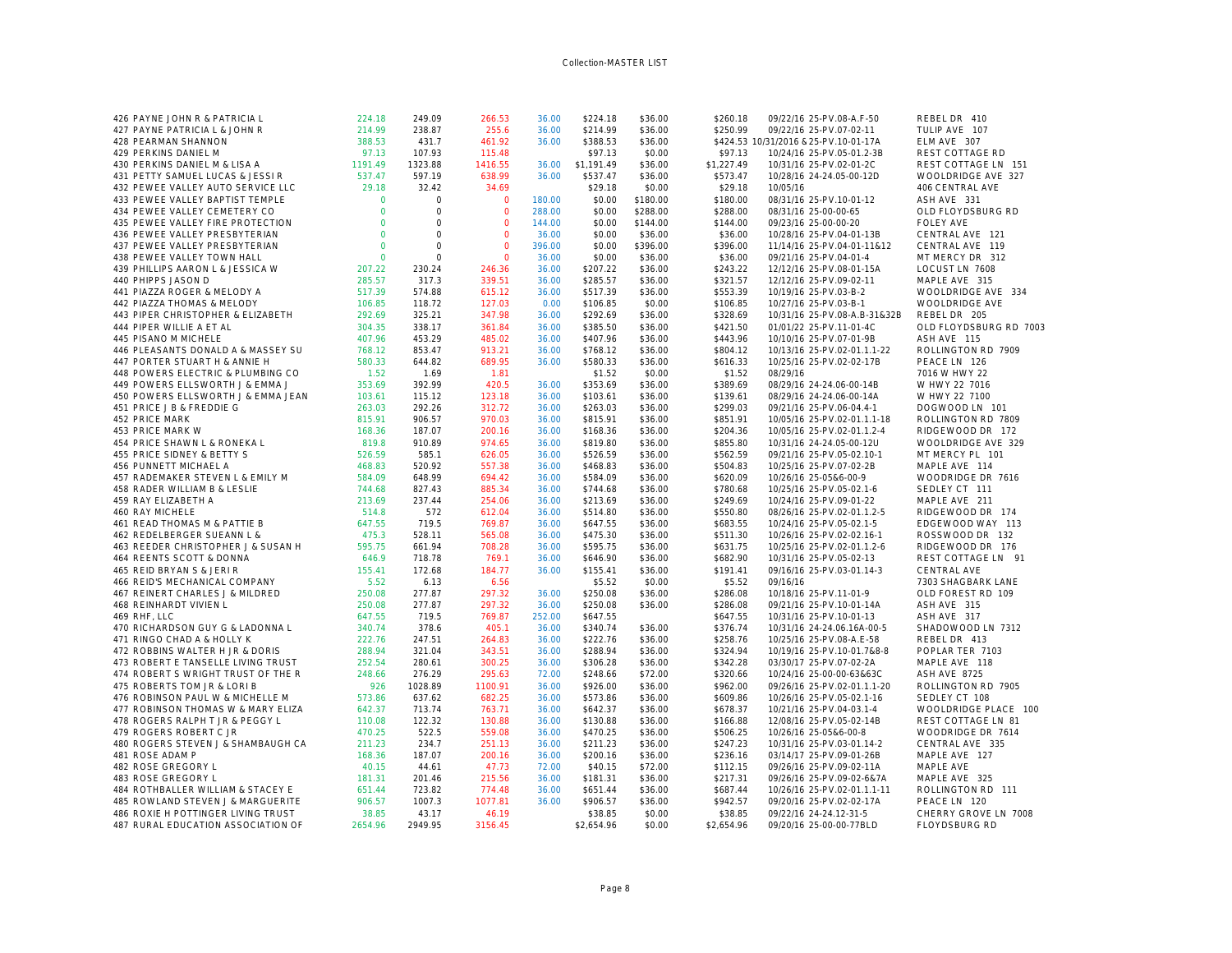| 426 PAYNE JOHN R & PATRICIA L                                            | 224.18           | 249.09           | 266.53           | 36.00  | \$224.18              | \$36.00          | \$260.18              | 09/22/16 25-PV.08-A.F-50                          | REBEL DR 410                                 |
|--------------------------------------------------------------------------|------------------|------------------|------------------|--------|-----------------------|------------------|-----------------------|---------------------------------------------------|----------------------------------------------|
| 427 PAYNE PATRICIA L & JOHN R                                            | 214.99           | 238.87           | 255.6            | 36.00  | \$214.99              | \$36.00          | \$250.99              | 09/22/16 25-PV.07-02-11                           | TULIP AVE 107                                |
| 428 PEARMAN SHANNON                                                      | 388.53           | 431.7            | 461.92           | 36.00  | \$388.53              | \$36.00          |                       | \$424.53 10/31/2016 8 25-PV.10-01-17A             | ELM AVE 307                                  |
| 429 PERKINS DANIEL M                                                     | 97.13            | 107.93           | 115.48           |        | \$97.13               | \$0.00           | \$97.13               | 10/24/16 25-PV.05-01.2-3B                         | REST COTTAGE RD                              |
| 430 PERKINS DANIEL M & LISA A                                            | 1191.49          | 1323.88          | 1416.55          | 36.00  | \$1,191.49            | \$36.00          | \$1,227.49            | 10/31/16 25-PV.02-01-2C                           | REST COTTAGE LN 151                          |
| 431 PETTY SAMUEL LUCAS & JESSI R                                         | 537.47           | 597.19           | 638.99           | 36.00  | \$537.47              | \$36.00          | \$573.47              | 10/28/16 24-24.05-00-12D                          | WOOLDRIDGE AVE 327                           |
| 432 PEWEE VALLEY AUTO SERVICE LLC                                        | 29.18            | 32.42            | 34.69            |        | \$29.18               | \$0.00           | \$29.18               | 10/05/16                                          | 406 CENTRAL AVE                              |
| 433 PEWEE VALLEY BAPTIST TEMPLE                                          | $\mathbf{0}$     | $\circ$          | $\overline{0}$   | 180.00 | \$0.00                | \$180.00         | \$180.00              | 08/31/16 25-PV.10-01-12                           | ASH AVE 331                                  |
| 434 PEWEE VALLEY CEMETERY CO                                             | $\mathbf{O}$     | $\circ$          | $\overline{0}$   | 288.00 | \$0.00                | \$288.00         | \$288.00              | 08/31/16 25-00-00-65                              | OLD FLOYDSBURG RD                            |
| 435 PEWEE VALLEY FIRE PROTECTION                                         | $\mathbf{O}$     | $\circ$          | $\overline{0}$   | 144.00 | \$0.00                | \$144.00         | \$144.00              | 09/23/16 25-00-00-20                              | FOLEY AVE                                    |
| 436 PEWEE VALLEY PRESBYTERIAN                                            | $\mathbf{O}$     | $\circ$          | $\overline{0}$   | 36.00  | \$0.00                | \$36.00          | \$36.00               | 10/28/16 25-PV.04-01-13B                          | CENTRAL AVE 121                              |
| 437 PEWEE VALLEY PRESBYTERIAN                                            | $\Omega$         | $\Omega$         | $\overline{0}$   | 396.00 | \$0.00                | \$396.00         | \$396.00              | 11/14/16 25-PV.04-01-11&12                        | CENTRAL AVE 119                              |
| 438 PEWEE VALLEY TOWN HALL                                               | $\mathbf{0}$     | $\circ$          | $\overline{0}$   | 36.00  | \$0.00                | \$36.00          | \$36.00               | 09/21/16 25-PV.04-01-4                            | MT MERCY DR 312                              |
| 439 PHILLIPS AARON L & JESSICA W                                         | 207.22           | 230.24           | 246.36           | 36.00  | \$207.22              | \$36.00          | \$243.22              | 12/12/16 25-PV.08-01-15A                          | LOCUST LN 7608                               |
| 440 PHIPPS JASON D                                                       | 285.57           | 317.3            | 339.51           | 36.00  | \$285.57              | \$36.00          | \$321.57              | 12/12/16 25-PV.09-02-11                           | MAPLE AVE 315                                |
| 441 PIAZZA ROGER & MELODY A                                              | 517.39           | 574.88           | 615.12           | 36.00  | \$517.39              | \$36.00          | \$553.39              | 10/19/16 25-PV.03-B-2                             | WOOLDRIDGE AVE 334                           |
| 442 PIAZZA THOMAS & MELODY                                               | 106.85           | 118.72           | 127.03           | 0.00   | \$106.85              | \$0.00           | \$106.85              | 10/27/16 25-PV.03-B-1                             | WOOLDRIDGE AVE                               |
| 443 PIPER CHRISTOPHER & ELIZABETH                                        | 292.69           | 325.21           | 347.98           | 36.00  | \$292.69              | \$36.00          | \$328.69              | 10/31/16 25-PV.08-A.B-31&32B                      | REBEL DR 205                                 |
| 444 PIPER WILLIE A ET AL                                                 | 304.35           | 338.17           | 361.84           | 36.00  | \$385.50              | \$36.00          | \$421.50              | 01/01/22 25-PV.11-01-4C                           | OLD FLOYDSBURG RD 7003                       |
| 445 PISANO M MICHELE                                                     | 407.96           | 453.29           | 485.02           | 36.00  | \$407.96              | \$36.00          | \$443.96              | 10/10/16 25-PV.07-01-9B                           | ASH AVE 115                                  |
| 446 PLEASANTS DONALD A & MASSEY SU                                       | 768.12           | 853.47           | 913.21           | 36.00  | \$768.12              | \$36.00          | \$804.12              | 10/13/16 25-PV.02-01.1.1-22                       | ROLLINGTON RD 7909                           |
| 447 PORTER STUART H & ANNIE H                                            | 580.33           | 644.82           | 689.95           | 36.00  | \$580.33              | \$36.00          | \$616.33              | 10/25/16 25-PV.02-02-17B                          | PEACE LN 126                                 |
| 448 POWERS ELECTRIC & PLUMBING CO                                        | 1.52             | 1.69             | 1.81             |        | \$1.52                | \$0.00           | \$1.52                | 08/29/16                                          | 7016 W HWY 22                                |
| 449 POWERS ELLSWORTH J & EMMA J                                          | 353.69           | 392.99           | 420.5            | 36.00  | \$353.69              | \$36.00          | \$389.69              | 08/29/16 24-24.06-00-14B                          | W HWY 22 7016                                |
| 450 POWERS ELLSWORTH J & EMMA JEAN                                       | 103.61           | 115.12           | 123.18           | 36.00  | \$103.61              | \$36.00          | \$139.61              | 08/29/16 24-24.06-00-14A                          | W HWY 22 7100                                |
| 451 PRICE J B & FREDDIE G                                                | 263.03           | 292.26           | 312.72           | 36.00  | \$263.03              | \$36.00          | \$299.03              | 09/21/16 25-PV.06-04.4-1                          | DOGWOOD LN 101                               |
| 452 PRICE MARK                                                           | 815.91           | 906.57           | 970.03           | 36.00  | \$815.91              | \$36.00          | \$851.91              | 10/05/16 25-PV.02-01.1.1-18                       | ROLLINGTON RD 7809                           |
| 453 PRICE MARK W                                                         | 168.36           | 187.07           | 200.16           | 36.00  | \$168.36              | \$36.00          | \$204.36              | 10/05/16 25-PV.02-01.1.2-4                        | RIDGEWOOD DR 172                             |
| 454 PRICE SHAWN L & RONEKA L                                             | 819.8            | 910.89           | 974.65           | 36.00  | \$819.80              | \$36.00          | \$855.80              | 10/31/16 24-24.05-00-12U                          | WOOLDRIDGE AVE 329                           |
| 455 PRICE SIDNEY & BETTY S                                               | 526.59           | 585.1            | 626.05           | 36.00  | \$526.59              | \$36.00          | \$562.59              | 09/21/16 25-PV.05-02.10-1                         | MT MERCY PL 101                              |
| 456 PUNNETT MICHAEL A                                                    | 468.83           | 520.92           | 557.38           | 36.00  | \$468.83              | \$36.00          | \$504.83              | 10/25/16 25-PV.07-02-2B                           | MAPLE AVE 114                                |
| 457 RADEMAKER STEVEN L & EMILY M                                         | 584.09           | 648.99           | 694.42           | 36.00  | \$584.09              | \$36.00          | \$620.09              | 10/26/16 25-05&6-00-9                             | WOODRIDGE DR 7616                            |
| 458 RADER WILLIAM B & LESLIE                                             | 744.68           | 827.43           | 885.34           | 36.00  | \$744.68              | \$36.00          | \$780.68              | 10/25/16 25-PV.05-02.1-6                          | SEDLEY CT 111                                |
| 459 RAY ELIZABETH A                                                      | 213.69           | 237.44           | 254.06           | 36.00  | \$213.69              | \$36.00          | \$249.69              | 10/24/16 25-PV.09-01-22                           | MAPLE AVE 211                                |
| 460 RAY MICHELE                                                          | 514.8            | 572              | 612.04           | 36.00  | \$514.80              | \$36.00          | \$550.80              | 08/26/16 25-PV.02-01.1.2-5                        | RIDGEWOOD DR 174                             |
| 461 READ THOMAS M & PATTIE B                                             | 647.55           | 719.5            | 769.87           | 36.00  | \$647.55              | \$36.00          | \$683.55              | 10/24/16 25-PV.05-02.1-5                          | EDGEWOOD WAY 113                             |
| 462 REDELBERGER SUEANN L &                                               | 475.3            | 528.11           | 565.08           | 36.00  | \$475.30              | \$36.00          | \$511.30              | 10/26/16 25-PV.02-02.16-1                         | ROSSWOOD DR 132                              |
| 463 REEDER CHRISTOPHER J & SUSAN H                                       | 595.75           | 661.94           | 708.28           | 36.00  | \$595.75              | \$36.00          | \$631.75              | 10/25/16 25-PV.02-01.1.2-6                        | RIDGEWOOD DR 176                             |
| 464 REENTS SCOTT & DONNA                                                 | 646.9            | 718.78           | 769.1            | 36.00  | \$646.90              | \$36.00          | \$682.90              | 10/31/16 25-PV.05-02-13                           | REST COTTAGE LN 91                           |
| 465 REID BRYAN S & JERI R                                                | 155.41           | 172.68           | 184.77           | 36.00  | \$155.41              | \$36.00          | \$191.41              | 09/16/16 25-PV.03-01.14-3                         | CENTRAL AVE                                  |
| 466 REID'S MECHANICAL COMPANY                                            | 5.52             | 6.13             | 6.56             |        | \$5.52                | \$0.00           | \$5.52                | 09/16/16                                          | 7303 SHAGBARK LANE                           |
| 467 REINERT CHARLES J & MILDRED                                          | 250.08           | 277.87           | 297.32           | 36.00  | \$250.08              | \$36.00          | \$286.08              | 10/18/16 25-PV.11-01-9                            | OLD FOREST RD 109                            |
| 468 REINHARDT VIVIEN L                                                   | 250.08           | 277.87           | 297.32           | 36.00  | \$250.08              | \$36.00          | \$286.08              | 09/21/16 25-PV.10-01-14A                          | ASH AVE 315                                  |
| 469 RHF, LLC                                                             | 647.55           | 719.5            | 769.87           | 252.00 | \$647.55              |                  | \$647.55              | 10/31/16 25-PV.10-01-13                           | ASH AVE 317                                  |
| 470 RICHARDSON GUY G & LADONNA L                                         | 340.74           | 378.6            | 405.1            | 36.00  | \$340.74              | \$36.00          | \$376.74              | 10/31/16 24-24.06.16A-00-5                        | SHADOWOOD LN 7312                            |
| 471 RINGO CHAD A & HOLLY K                                               | 222.76           | 247.51           | 264.83           | 36.00  | \$222.76              | \$36.00          | \$258.76              | 10/25/16 25-PV.08-A.E-58                          | REBEL DR 413                                 |
| 472 ROBBINS WALTER H JR & DORIS                                          | 288.94           | 321.04           | 343.51           | 36.00  | \$288.94              | \$36.00          | \$324.94              | 10/19/16 25-PV.10-01.7&8-8                        | POPLAR TER 7103                              |
| 473 ROBERT E TANSELLE LIVING TRUST                                       | 252.54           | 280.61           | 300.25           | 36.00  | \$306.28              | \$36.00          | \$342.28              | 03/30/17 25-PV.07-02-2A                           | MAPLE AVE 118                                |
| 474 ROBERT S WRIGHT TRUST OF THE R                                       | 248.66           | 276.29           | 295.63           | 72.00  | \$248.66              | \$72.00          | \$320.66              | 10/24/16 25-00-00-63&63C                          | ASH AVE 8725                                 |
| 475 ROBERTS TOM JR & LORI B                                              | 926              | 1028.89          | 1100.91          | 36.00  | \$926.00              | \$36.00          | \$962.00              | 09/26/16 25-PV.02-01.1.1-20                       | ROLLINGTON RD 7905                           |
| 476 ROBINSON PAUL W & MICHELLE M                                         | 573.86           | 637.62           | 682.25           | 36.00  | \$573.86              | \$36.00          | \$609.86              | 10/26/16 25-PV.05-02.1-16                         | SEDLEY CT 108                                |
| 477 ROBINSON THOMAS W & MARY ELIZA                                       | 642.37           | 713.74           | 763.71           | 36.00  | \$642.37              | \$36.00          | \$678.37              | 10/21/16 25-PV.04-03.1-4                          | WOOLDRIDGE PLACE 100                         |
| 478 ROGERS RALPH T JR & PEGGY L                                          | 110.08           | 122.32           | 130.88           | 36.00  | \$130.88              | \$36.00          | \$166.88              | 12/08/16 25-PV.05-02-14B                          | REST COTTAGE LN 81                           |
| 479 ROGERS ROBERT C JR                                                   | 470.25           | 522.5            | 559.08           | 36.00  | \$470.25              | \$36.00          | \$506.25              | 10/26/16 25-05&6-00-8                             | WOODRIDGE DR 7614                            |
| 480 ROGERS STEVEN J & SHAMBAUGH CA                                       | 211.23           | 234.7            | 251.13           | 36.00  | \$211.23              | \$36.00          | \$247.23              | 10/31/16 25-PV.03-01.14-2                         | CENTRAL AVE 335                              |
| 481 ROSE ADAM P                                                          | 168.36           | 187.07           | 200.16           | 36.00  | \$200.16              | \$36.00          | \$236.16              | 03/14/17 25-PV.09-01-26B                          | MAPLE AVE 127                                |
| 482 ROSE GREGORY L                                                       | 40.15            | 44.61            | 47.73            | 72.00  | \$40.15               | \$72.00          | \$112.15              | 09/26/16 25-PV.09-02-11A                          | MAPLE AVE                                    |
| 483 ROSE GREGORY L                                                       | 181.31           | 201.46           | 215.56           | 36.00  | \$181.31              | \$36.00          | \$217.31              | 09/26/16 25-PV.09-02-6&7A                         | MAPLE AVE 325                                |
| 484 ROTHBALLER WILLIAM & STACEY E                                        | 651.44           | 723.82           | 774.48           | 36.00  | \$651.44              | \$36.00          | \$687.44              | 10/26/16 25-PV.02-01.1.1-11                       | ROLLINGTON RD 111                            |
| 485 ROWLAND STEVEN J & MARGUERITE                                        | 906.57           | 1007.3           | 1077.81          | 36.00  | \$906.57              | \$36.00          | \$942.57              | 09/20/16 25-PV.02-02-17A                          | PEACE LN 120                                 |
| 486 ROXIE H POTTINGER LIVING TRUST<br>487 RURAL EDUCATION ASSOCIATION OF | 38.85<br>2654.96 | 43.17<br>2949.95 | 46.19<br>3156.45 |        | \$38.85<br>\$2,654.96 | \$0.00<br>\$0.00 | \$38.85<br>\$2,654.96 | 09/22/16 24-24.12-31-5<br>09/20/16 25-00-00-77BLD | CHERRY GROVE LN 7008<br><b>FLOYDSBURG RD</b> |
|                                                                          |                  |                  |                  |        |                       |                  |                       |                                                   |                                              |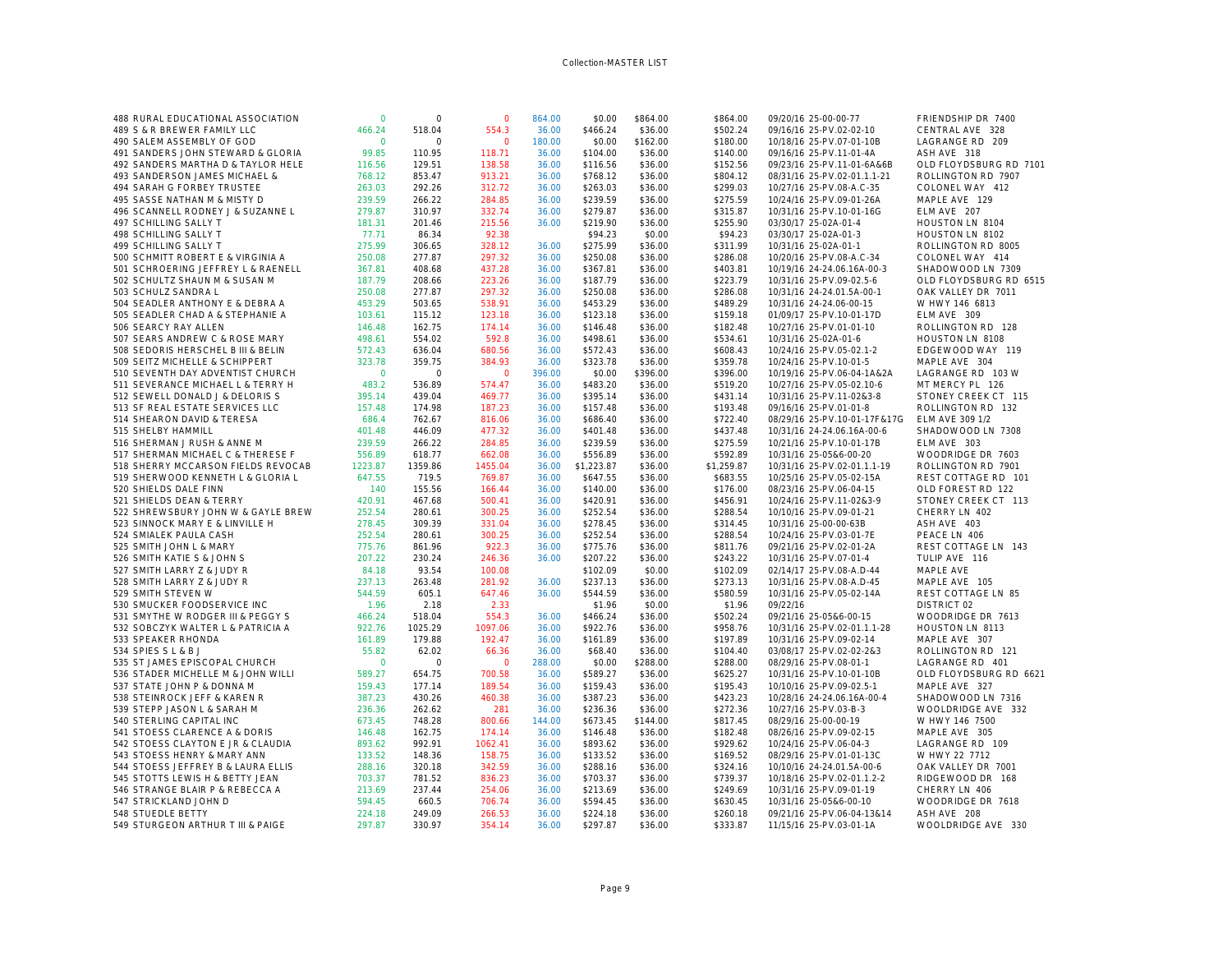| 488 RURAL EDUCATIONAL ASSOCIATION  | $\overline{0}$ | $\circ$        | $\overline{0}$ | 864.00 | \$0.00     | \$864.00 | \$864.00   | 09/20/16 25-00-00-77         | FRIENDSHIP DR 7400     |
|------------------------------------|----------------|----------------|----------------|--------|------------|----------|------------|------------------------------|------------------------|
| 489 S & R BREWER FAMILY LLC        | 466.24         | 518.04         | 554.3          | 36.00  | \$466.24   | \$36.00  | \$502.24   | 09/16/16 25-PV.02-02-10      | CENTRAL AVE 328        |
| 490 SALEM ASSEMBLY OF GOD          | $\overline{0}$ | $\circ$        | $\overline{0}$ | 180.00 | \$0.00     | \$162.00 | \$180.00   | 10/18/16 25-PV.07-01-10B     | LAGRANGE RD 209        |
| 491 SANDERS JOHN STEWARD & GLORIA  | 99.85          | 110.95         | 118.71         | 36.00  | \$104.00   | \$36.00  | \$140.00   | 09/16/16 25-PV.11-01-4A      | ASH AVE 318            |
| 492 SANDERS MARTHA D & TAYLOR HELE | 116.56         | 129.51         | 138.58         | 36.00  | \$116.56   | \$36.00  | \$152.56   | 09/23/16 25-PV.11-01-6A&6B   | OLD FLOYDSBURG RD 7101 |
| 493 SANDERSON JAMES MICHAEL &      | 768.12         | 853.47         | 913.21         | 36.00  | \$768.12   | \$36.00  | \$804.12   | 08/31/16 25-PV.02-01.1.1-21  | ROLLINGTON RD 7907     |
| 494 SARAH G FORBEY TRUSTEE         | 263.03         | 292.26         | 312.72         | 36.00  | \$263.03   | \$36.00  | \$299.03   | 10/27/16 25-PV.08-A.C-35     | COLONEL WAY 412        |
| 495 SASSE NATHAN M & MISTY D       | 239.59         | 266.22         | 284.85         | 36.00  | \$239.59   | \$36.00  | \$275.59   | 10/24/16 25-PV.09-01-26A     | MAPLE AVE 129          |
| 496 SCANNELL RODNEY J & SUZANNE L  | 279.87         | 310.97         | 332.74         | 36.00  | \$279.87   | \$36.00  | \$315.87   | 10/31/16 25-PV.10-01-16G     | ELM AVE 207            |
| 497 SCHILLING SALLY T              | 181.31         | 201.46         | 215.56         | 36.00  | \$219.90   | \$36.00  | \$255.90   | 03/30/17 25-02A-01-4         | HOUSTON LN 8104        |
| 498 SCHILLING SALLY T              | 77.71          | 86.34          | 92.38          |        | \$94.23    | \$0.00   | \$94.23    | 03/30/17 25-02A-01-3         | HOUSTON LN 8102        |
| 499 SCHILLING SALLY T              | 275.99         | 306.65         | 328.12         | 36.00  | \$275.99   | \$36.00  | \$311.99   | 10/31/16 25-02A-01-1         | ROLLINGTON RD 8005     |
| 500 SCHMITT ROBERT E & VIRGINIA A  | 250.08         | 277.87         | 297.32         | 36.00  | \$250.08   | \$36.00  | \$286.08   | 10/20/16 25-PV.08-A.C-34     | COLONEL WAY 414        |
| 501 SCHROERING JEFFREY L & RAENELL | 367.81         | 408.68         | 437.28         | 36.00  | \$367.81   | \$36.00  | \$403.81   | 10/19/16 24-24.06.16A-00-3   | SHADOWOOD LN 7309      |
| 502 SCHULTZ SHAUN M & SUSAN M      | 187.79         | 208.66         | 223.26         | 36.00  | \$187.79   | \$36.00  | \$223.79   | 10/31/16 25-PV.09-02.5-6     | OLD FLOYDSBURG RD 6515 |
| 503 SCHULZ SANDRA L                | 250.08         | 277.87         | 297.32         | 36.00  | \$250.08   | \$36.00  | \$286.08   | 10/31/16 24-24.01.5A-00-1    | OAK VALLEY DR 7011     |
| 504 SEADLER ANTHONY E & DEBRA A    | 453.29         | 503.65         | 538.91         | 36.00  | \$453.29   | \$36.00  | \$489.29   | 10/31/16 24-24.06-00-15      | W HWY 146 6813         |
| 505 SEADLER CHAD A & STEPHANIE A   | 103.61         | 115.12         | 123.18         | 36.00  | \$123.18   | \$36.00  | \$159.18   | 01/09/17 25-PV.10-01-17D     | ELM AVE 309            |
| 506 SEARCY RAY ALLEN               | 146.48         | 162.75         | 174.14         | 36.00  | \$146.48   | \$36.00  | \$182.48   | 10/27/16 25-PV.01-01-10      | ROLLINGTON RD 128      |
| 507 SEARS ANDREW C & ROSE MARY     | 498.61         | 554.02         | 592.8          | 36.00  | \$498.61   | \$36.00  | \$534.61   | 10/31/16 25-02A-01-6         | HOUSTON LN 8108        |
| 508 SEDORIS HERSCHEL B III & BELIN | 572.43         | 636.04         | 680.56         | 36.00  | \$572.43   | \$36.00  | \$608.43   | 10/24/16 25-PV.05-02.1-2     | EDGEWOOD WAY 119       |
| 509 SEITZ MICHELLE & SCHIPPERT     | 323.78         | 359.75         | 384.93         | 36.00  | \$323.78   | \$36.00  | \$359.78   | 10/24/16 25-PV.10-01-5       | MAPLE AVE 304          |
| 510 SEVENTH DAY ADVENTIST CHURCH   | $\overline{0}$ | $\overline{0}$ | $\overline{0}$ | 396.00 | \$0.00     | \$396.00 | \$396.00   | 10/19/16 25-PV.06-04-1A&2A   | LAGRANGE RD 103 W      |
| 511 SEVERANCE MICHAEL L & TERRY H  | 483.2          | 536.89         | 574.47         | 36.00  | \$483.20   | \$36.00  | \$519.20   | 10/27/16 25-PV.05-02.10-6    | MT MERCY PL 126        |
| 512 SEWELL DONALD J & DELORIS S    | 395.14         | 439.04         | 469.77         | 36.00  | \$395.14   | \$36.00  | \$431.14   | 10/31/16 25-PV.11-02&3-8     | STONEY CREEK CT 115    |
| 513 SF REAL ESTATE SERVICES LLC    | 157.48         | 174.98         | 187.23         | 36.00  | \$157.48   | \$36.00  | \$193.48   | 09/16/16 25-PV.01-01-8       | ROLLINGTON RD 132      |
| 514 SHEARON DAVID & TERESA         | 686.4          | 762.67         | 816.06         | 36.00  | \$686.40   | \$36.00  | \$722.40   | 08/29/16 25-PV.10-01-17F&17G | ELM AVE 309 1/2        |
| 515 SHELBY HAMMILL                 | 401.48         | 446.09         | 477.32         | 36.00  | \$401.48   | \$36.00  | \$437.48   | 10/31/16 24-24.06.16A-00-6   | SHADOWOOD LN 7308      |
| 516 SHERMAN J RUSH & ANNE M        | 239.59         | 266.22         | 284.85         | 36.00  | \$239.59   | \$36.00  | \$275.59   | 10/21/16 25-PV.10-01-17B     | ELM AVE 303            |
| 517 SHERMAN MICHAEL C & THERESE F  | 556.89         | 618.77         | 662.08         | 36.00  | \$556.89   | \$36.00  | \$592.89   | 10/31/16 25-05&6-00-20       | WOODRIDGE DR 7603      |
| 518 SHERRY MCCARSON FIELDS REVOCAB | 1223.87        | 1359.86        | 1455.04        | 36.00  | \$1,223.87 | \$36.00  | \$1,259.87 | 10/31/16 25-PV.02-01.1.1-19  | ROLLINGTON RD 7901     |
| 519 SHERWOOD KENNETH L & GLORIA L  | 647.55         | 719.5          | 769.87         | 36.00  | \$647.55   | \$36.00  | \$683.55   | 10/25/16 25-PV.05-02-15A     | REST COTTAGE RD 101    |
| 520 SHIELDS DALE FINN              | 140            | 155.56         | 166.44         | 36.00  | \$140.00   | \$36.00  | \$176.00   | 08/23/16 25-PV.06-04-15      | OLD FOREST RD 122      |
| 521 SHIELDS DEAN & TERRY           | 420.91         | 467.68         | 500.41         | 36.00  | \$420.91   | \$36.00  | \$456.91   | 10/24/16 25-PV.11-02&3-9     | STONEY CREEK CT 113    |
| 522 SHREWSBURY JOHN W & GAYLE BREW | 252.54         | 280.61         | 300.25         | 36.00  | \$252.54   | \$36.00  | \$288.54   | 10/10/16 25-PV.09-01-21      | CHERRY LN 402          |
| 523 SINNOCK MARY E & LINVILLE H    | 278.45         | 309.39         | 331.04         | 36.00  | \$278.45   | \$36.00  | \$314.45   | 10/31/16 25-00-00-63B        | ASH AVE 403            |
| 524 SMIALEK PAULA CASH             | 252.54         | 280.61         | 300.25         | 36.00  | \$252.54   | \$36.00  | \$288.54   | 10/24/16 25-PV.03-01-7E      | PEACE LN 406           |
| 525 SMITH JOHN L & MARY            | 775.76         | 861.96         | 922.3          | 36.00  | \$775.76   | \$36.00  | \$811.76   | 09/21/16 25-PV.02-01-2A      | REST COTTAGE LN 143    |
| 526 SMITH KATIE S & JOHN S         | 207.22         | 230.24         | 246.36         | 36.00  | \$207.22   | \$36.00  | \$243.22   | 10/31/16 25-PV.07-01-4       | TULIP AVE 116          |
| 527 SMITH LARRY Z & JUDY R         | 84.18          | 93.54          | 100.08         |        | \$102.09   | \$0.00   | \$102.09   | 02/14/17 25-PV.08-A.D-44     | MAPLE AVE              |
| 528 SMITH LARRY Z & JUDY R         | 237.13         | 263.48         | 281.92         | 36.00  | \$237.13   | \$36.00  | \$273.13   | 10/31/16 25-PV.08-A.D-45     | MAPLE AVE 105          |
| 529 SMITH STEVEN W                 | 544.59         | 605.1          | 647.46         | 36.00  | \$544.59   | \$36.00  | \$580.59   | 10/31/16 25-PV.05-02-14A     | REST COTTAGE LN 85     |
| 530 SMUCKER FOODSERVICE INC        | 1.96           | 2.18           | 2.33           |        | \$1.96     | \$0.00   | \$1.96     | 09/22/16                     | DISTRICT 02            |
| 531 SMYTHE W RODGER III & PEGGY S  | 466.24         | 518.04         | 554.3          | 36.00  | \$466.24   | \$36.00  | \$502.24   | 09/21/16 25-05&6-00-15       | WOODRIDGE DR 7613      |
| 532 SOBCZYK WALTER L & PATRICIA A  | 922.76         | 1025.29        | 1097.06        | 36.00  | \$922.76   | \$36.00  | \$958.76   | 10/31/16 25-PV.02-01.1.1-28  | HOUSTON LN 8113        |
| 533 SPEAKER RHONDA                 | 161.89         | 179.88         | 192.47         | 36.00  | \$161.89   | \$36.00  | \$197.89   | 10/31/16 25-PV.09-02-14      | MAPLE AVE 307          |
| 534 SPIES S L & B J                | 55.82          | 62.02          | 66.36          | 36.00  | \$68.40    | \$36.00  | \$104.40   | 03/08/17 25-PV.02-02-2&3     | ROLLINGTON RD 121      |
| 535 ST JAMES EPISCOPAL CHURCH      | $\overline{0}$ | $\circ$        | $\overline{0}$ | 288.00 | \$0.00     | \$288.00 | \$288.00   | 08/29/16 25-PV.08-01-1       | LAGRANGE RD 401        |
| 536 STADER MICHELLE M & JOHN WILLI | 589.27         | 654.75         | 700.58         | 36.00  | \$589.27   | \$36.00  | \$625.27   | 10/31/16 25-PV.10-01-10B     | OLD FLOYDSBURG RD 6621 |
| 537 STATE JOHN P & DONNA M         | 159.43         | 177.14         | 189.54         | 36.00  | \$159.43   | \$36.00  | \$195.43   | 10/10/16 25-PV.09-02.5-1     | MAPLE AVE 327          |
| 538 STEINROCK JEFF & KAREN R       | 387.23         | 430.26         | 460.38         | 36.00  | \$387.23   | \$36.00  | \$423.23   | 10/28/16 24-24.06.16A-00-4   | SHADOWOOD LN 7316      |
| 539 STEPP JASON L & SARAH M        | 236.36         | 262.62         | 281            | 36.00  | \$236.36   | \$36.00  | \$272.36   | 10/27/16 25-PV.03-B-3        | WOOLDRIDGE AVE 332     |
| 540 STERLING CAPITAL INC           | 673.45         | 748.28         | 800.66         | 144.00 | \$673.45   | \$144.00 | \$817.45   | 08/29/16 25-00-00-19         | W HWY 146 7500         |
| 541 STOESS CLARENCE A & DORIS      | 146.48         | 162.75         | 174.14         | 36.00  | \$146.48   | \$36.00  | \$182.48   | 08/26/16 25-PV.09-02-15      | MAPLE AVE 305          |
| 542 STOESS CLAYTON E JR & CLAUDIA  | 893.62         | 992.91         | 1062.41        | 36.00  | \$893.62   | \$36.00  | \$929.62   | 10/24/16 25-PV.06-04-3       | LAGRANGE RD 109        |
| 543 STOESS HENRY & MARY ANN        | 133.52         | 148.36         | 158.75         | 36.00  | \$133.52   | \$36.00  | \$169.52   | 08/29/16 25-PV.01-01-13C     | W HWY 22 7712          |
| 544 STOESS JEFFREY B & LAURA ELLIS | 288.16         | 320.18         | 342.59         | 36.00  | \$288.16   | \$36.00  | \$324.16   | 10/10/16 24-24.01.5A-00-6    | OAK VALLEY DR 7001     |
| 545 STOTTS LEWIS H & BETTY JEAN    | 703.37         | 781.52         | 836.23         | 36.00  | \$703.37   | \$36.00  | \$739.37   | 10/18/16 25-PV.02-01.1.2-2   | RIDGEWOOD DR 168       |
| 546 STRANGE BLAIR P & REBECCA A    | 213.69         | 237.44         | 254.06         | 36.00  | \$213.69   | \$36.00  | \$249.69   | 10/31/16 25-PV.09-01-19      | CHERRY LN 406          |
| 547 STRICKLAND JOHN D              | 594.45         | 660.5          | 706.74         | 36.00  | \$594.45   | \$36.00  | \$630.45   | 10/31/16 25-05&6-00-10       | WOODRIDGE DR 7618      |
| <b>548 STUEDLE BETTY</b>           | 224.18         | 249.09         | 266.53         | 36.00  | \$224.18   | \$36.00  | \$260.18   | 09/21/16 25-PV.06-04-13&14   | ASH AVE 208            |
| 549 STURGEON ARTHUR T III & PAIGE  | 297.87         | 330.97         | 354.14         | 36.00  | \$297.87   | \$36.00  | \$333.87   | 11/15/16 25-PV.03-01-1A      | WOOLDRIDGE AVE 330     |
|                                    |                |                |                |        |            |          |            |                              |                        |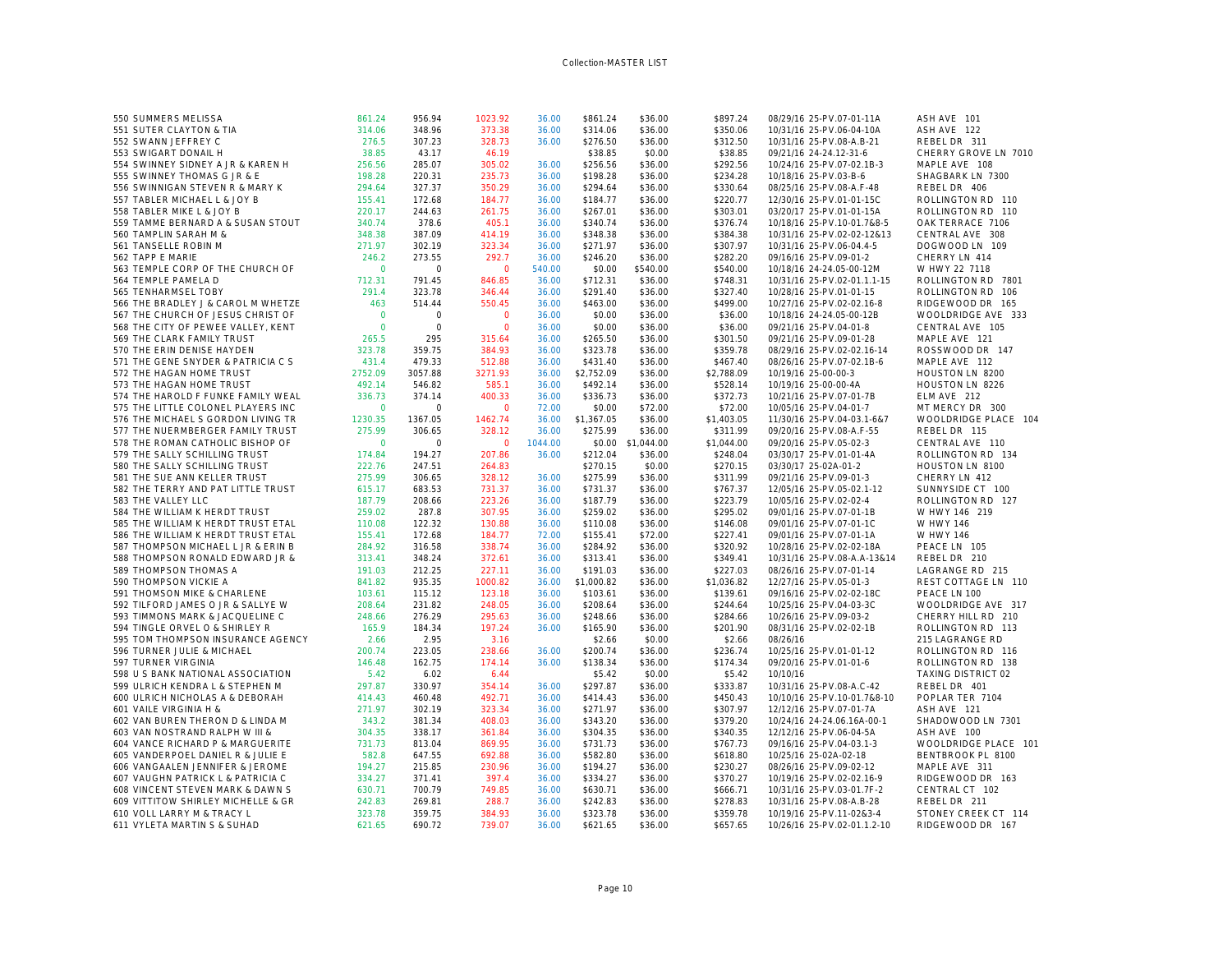| 550 SUMMERS MELISSA                | 861.24         | 956.94         | 1023.92        | 36.00   | \$861.24           | \$36.00            | \$897.24           | 08/29/16 25-PV.07-01-11A    | ASH AVE 101          |
|------------------------------------|----------------|----------------|----------------|---------|--------------------|--------------------|--------------------|-----------------------------|----------------------|
| 551 SUTER CLAYTON & TIA            | 314.06         | 348.96         | 373.38         | 36.00   | \$314.06           | \$36.00            | \$350.06           | 10/31/16 25-PV.06-04-10A    | ASH AVE 122          |
| 552 SWANN JEFFREY C                | 276.5          | 307.23         | 328.73         | 36.00   | \$276.50           | \$36.00            | \$312.50           | 10/31/16 25-PV.08-A.B-21    | REBEL DR 311         |
| 553 SWIGART DONAIL H               | 38.85          | 43.17          | 46.19          |         | \$38.85            | \$0.00             | \$38.85            | 09/21/16 24-24.12-31-6      | CHERRY GROVE LN 7010 |
| 554 SWINNEY SIDNEY A JR & KAREN H  | 256.56         | 285.07         | 305.02         | 36.00   | \$256.56           | \$36.00            | \$292.56           | 10/24/16 25-PV.07-02.1B-3   | MAPLE AVE 108        |
| 555 SWINNEY THOMAS G JR & E        | 198.28         | 220.31         | 235.73         | 36.00   | \$198.28           | \$36.00            | \$234.28           | 10/18/16 25-PV.03-B-6       | SHAGBARK LN 7300     |
| 556 SWINNIGAN STEVEN R & MARY K    | 294.64         | 327.37         | 350.29         | 36.00   | \$294.64           | \$36.00            | \$330.64           | 08/25/16 25-PV.08-A.F-48    | REBEL DR 406         |
| 557 TABLER MICHAEL L & JOY B       | 155.41         | 172.68         | 184.77         | 36.00   | \$184.77           | \$36.00            | \$220.77           | 12/30/16 25-PV.01-01-15C    | ROLLINGTON RD 110    |
| 558 TABLER MIKE L & JOY B          | 220.17         | 244.63         | 261.75         | 36.00   | \$267.01           | \$36.00            | \$303.01           | 03/20/17 25-PV.01-01-15A    | ROLLINGTON RD 110    |
| 559 TAMME BERNARD A & SUSAN STOUT  | 340.74         | 378.6          | 405.1          | 36.00   | \$340.74           | \$36.00            | \$376.74           | 10/18/16 25-PV.10-01.7&8-5  | OAK TERRACE 7106     |
| 560 TAMPLIN SARAH M &              | 348.38         | 387.09         | 414.19         | 36.00   | \$348.38           | \$36.00            | \$384.38           | 10/31/16 25-PV.02-02-12&13  | CENTRAL AVE 308      |
| 561 TANSELLE ROBIN M               | 271.97         | 302.19         | 323.34         | 36.00   | \$271.97           | \$36.00            | \$307.97           | 10/31/16 25-PV.06-04.4-5    | DOGWOOD LN 109       |
| 562 TAPP E MARIE                   | 246.2          | 273.55         | 292.7          | 36.00   | \$246.20           | \$36.00            | \$282.20           | 09/16/16 25-PV.09-01-2      | CHERRY LN 414        |
| 563 TEMPLE CORP OF THE CHURCH OF   | $\overline{0}$ | $\circ$        | $\overline{0}$ | 540.00  | \$0.00             | \$540.00           | \$540.00           | 10/18/16 24-24.05-00-12M    | W HWY 22 7118        |
| 564 TEMPLE PAMELA D                | 712.31         | 791.45         | 846.85         | 36.00   | \$712.31           | \$36.00            | \$748.31           | 10/31/16 25-PV.02-01.1.1-15 | ROLLINGTON RD 7801   |
| 565 TENHARMSEL TOBY                | 291.4          | 323.78         | 346.44         | 36.00   | \$291.40           | \$36.00            | \$327.40           | 10/28/16 25-PV.01-01-15     | ROLLINGTON RD 106    |
| 566 THE BRADLEY J & CAROL M WHETZE | 463            | 514.44         | 550.45         | 36.00   | \$463.00           | \$36.00            | \$499.00           | 10/27/16 25-PV.02-02.16-8   | RIDGEWOOD DR 165     |
| 567 THE CHURCH OF JESUS CHRIST OF  | $\Omega$       | $\Omega$       | $\Omega$       | 36.00   | \$0.00             | \$36.00            | \$36.00            | 10/18/16 24-24.05-00-12B    | WOOLDRIDGE AVE 333   |
| 568 THE CITY OF PEWEE VALLEY, KENT | $\mathbf{0}$   | $\circ$        | $\overline{0}$ | 36.00   | \$0.00             |                    | \$36.00            | 09/21/16 25-PV.04-01-8      | CENTRAL AVE 105      |
| 569 THE CLARK FAMILY TRUST         | 265.5          | 295            | 315.64         | 36.00   | \$265.50           | \$36.00<br>\$36.00 | \$301.50           |                             |                      |
|                                    |                |                |                |         |                    |                    |                    | 09/21/16 25-PV.09-01-28     | MAPLE AVE 121        |
| 570 THE ERIN DENISE HAYDEN         | 323.78         | 359.75         | 384.93         | 36.00   | \$323.78           | \$36.00            | \$359.78           | 08/29/16 25-PV.02-02.16-14  | ROSSWOOD DR 147      |
| 571 THE GENE SNYDER & PATRICIA C S | 431.4          | 479.33         | 512.88         | 36.00   | \$431.40           | \$36.00            | \$467.40           | 08/26/16 25-PV.07-02.1B-6   | MAPLE AVE 112        |
| 572 THE HAGAN HOME TRUST           | 2752.09        | 3057.88        | 3271.93        | 36.00   | \$2,752.09         | \$36.00            | \$2,788.09         | 10/19/16 25-00-00-3         | HOUSTON LN 8200      |
| 573 THE HAGAN HOME TRUST           | 492.14         | 546.82         | 585.1          | 36.00   | \$492.14           | \$36.00            | \$528.14           | 10/19/16 25-00-00-4A        | HOUSTON LN 8226      |
| 574 THE HAROLD F FUNKE FAMILY WEAL | 336.73         | 374.14         | 400.33         | 36.00   | \$336.73           | \$36.00            | \$372.73           | 10/21/16 25-PV.07-01-7B     | ELM AVE 212          |
| 575 THE LITTLE COLONEL PLAYERS INC | $\overline{0}$ | $\Omega$       | $\overline{0}$ | 72.00   | \$0.00             | \$72.00            | \$72.00            | 10/05/16 25-PV.04-01-7      | MT MERCY DR 300      |
| 576 THE MICHAEL S GORDON LIVING TR | 1230.35        | 1367.05        | 1462.74        | 36.00   | \$1,367.05         | \$36.00            | \$1,403.05         | 11/30/16 25-PV.04-03.1-6&7  | WOOLDRIDGE PLACE 104 |
| 577 THE NUERMBERGER FAMILY TRUST   | 275.99         | 306.65         | 328.12         | 36.00   | \$275.99           | \$36.00            | \$311.99           | 09/20/16 25-PV.08-A.F-55    | REBEL DR 115         |
| 578 THE ROMAN CATHOLIC BISHOP OF   | $\mathbf 0$    | $\circ$        | $\overline{0}$ | 1044.00 | \$0.00             | \$1,044.00         | \$1,044.00         | 09/20/16 25-PV.05-02-3      | CENTRAL AVE 110      |
| 579 THE SALLY SCHILLING TRUST      | 174.84         | 194.27         | 207.86         | 36.00   | \$212.04           | \$36.00            | \$248.04           | 03/30/17 25-PV.01-01-4A     | ROLLINGTON RD 134    |
| 580 THE SALLY SCHILLING TRUST      | 222.76         | 247.51         | 264.83         |         | \$270.15           | \$0.00             | \$270.15           | 03/30/17 25-02A-01-2        | HOUSTON LN 8100      |
| 581 THE SUE ANN KELLER TRUST       | 275.99         | 306.65         | 328.12         | 36.00   | \$275.99           | \$36.00            | \$311.99           | 09/21/16 25-PV.09-01-3      | CHERRY LN 412        |
| 582 THE TERRY AND PAT LITTLE TRUST | 615.17         | 683.53         | 731.37         | 36.00   | \$731.37           | \$36.00            | \$767.37           | 12/05/16 25-PV.05-02.1-12   | SUNNYSIDE CT 100     |
| 583 THE VALLEY LLC                 | 187.79         | 208.66         | 223.26         | 36.00   | \$187.79           | \$36.00            | \$223.79           | 10/05/16 25-PV.02-02-4      | ROLLINGTON RD 127    |
| 584 THE WILLIAM K HERDT TRUST      | 259.02         | 287.8          | 307.95         | 36.00   | \$259.02           | \$36.00            | \$295.02           | 09/01/16 25-PV.07-01-1B     | W HWY 146 219        |
| 585 THE WILLIAM K HERDT TRUST ETAL | 110.08         | 122.32         | 130.88         | 36.00   | \$110.08           | \$36.00            | \$146.08           | 09/01/16 25-PV.07-01-1C     | W HWY 146            |
| 586 THE WILLIAM K HERDT TRUST ETAL | 155.41         | 172.68         | 184.77         | 72.00   | \$155.41           | \$72.00            | \$227.41           | 09/01/16 25-PV.07-01-1A     | W HWY 146            |
| 587 THOMPSON MICHAEL L JR & ERIN B | 284.92         | 316.58         | 338.74         | 36.00   | \$284.92           | \$36.00            | \$320.92           | 10/28/16 25-PV.02-02-18A    | PEACE LN 105         |
| 588 THOMPSON RONALD EDWARD JR &    | 313.41         | 348.24         | 372.61         | 36.00   | \$313.41           | \$36.00            | \$349.41           | 10/31/16 25-PV.08-A.A-13&14 | REBEL DR 210         |
| 589 THOMPSON THOMAS A              | 191.03         | 212.25         | 227.11         | 36.00   | \$191.03           | \$36.00            | \$227.03           | 08/26/16 25-PV.07-01-14     | LAGRANGE RD 215      |
| 590 THOMPSON VICKIE A              | 841.82         | 935.35         | 1000.82        | 36.00   | \$1,000.82         | \$36.00            | \$1,036.82         | 12/27/16 25-PV.05-01-3      | REST COTTAGE LN 110  |
| 591 THOMSON MIKE & CHARLENE        | 103.61         | 115.12         | 123.18         | 36.00   | \$103.61           | \$36.00            | \$139.61           | 09/16/16 25-PV.02-02-18C    | PEACE LN 100         |
| 592 TILFORD JAMES O JR & SALLYE W  | 208.64         | 231.82         | 248.05         | 36.00   | \$208.64           | \$36.00            | \$244.64           | 10/25/16 25-PV.04-03-3C     | WOOLDRIDGE AVE 317   |
| 593 TIMMONS MARK & JACQUELINE C    | 248.66         | 276.29         | 295.63         | 36.00   | \$248.66           | \$36.00            | \$284.66           | 10/26/16 25-PV.09-03-2      | CHERRY HILL RD 210   |
| 594 TINGLE ORVEL O & SHIRLEY R     | 165.9          | 184.34         | 197.24         | 36.00   | \$165.90           | \$36.00            | \$201.90           | 08/31/16 25-PV.02-02-1B     | ROLLINGTON RD 113    |
| 595 TOM THOMPSON INSURANCE AGENCY  | 2.66           | 2.95           | 3.16           |         | \$2.66             | \$0.00             | \$2.66             | 08/26/16                    | 215 LAGRANGE RD      |
| 596 TURNER JULIE & MICHAEL         | 200.74         | 223.05         | 238.66         | 36.00   | \$200.74           | \$36.00            | \$236.74           | 10/25/16 25-PV.01-01-12     | ROLLINGTON RD 116    |
| 597 TURNER VIRGINIA                | 146.48         | 162.75         | 174.14         | 36.00   | \$138.34           | \$36.00            | \$174.34           | 09/20/16 25-PV.01-01-6      | ROLLINGTON RD 138    |
|                                    |                |                |                |         |                    |                    |                    | 10/10/16                    |                      |
| 598 U S BANK NATIONAL ASSOCIATION  | 5.42<br>297.87 | 6.02<br>330.97 | 6.44<br>354.14 | 36.00   | \$5.42<br>\$297.87 | \$0.00             | \$5.42<br>\$333.87 |                             | TAXING DISTRICT 02   |
| 599 ULRICH KENDRA L & STEPHEN M    |                |                |                |         |                    | \$36.00            |                    | 10/31/16 25-PV.08-A.C-42    | REBEL DR 401         |
| 600 ULRICH NICHOLAS A & DEBORAH    | 414.43         | 460.48         | 492.71         | 36.00   | \$414.43           | \$36.00            | \$450.43           | 10/10/16 25-PV.10-01.7&8-10 | POPLAR TER 7104      |
| 601 VAILE VIRGINIA H &             | 271.97         | 302.19         | 323.34         | 36.00   | \$271.97           | \$36.00            | \$307.97           | 12/12/16 25-PV.07-01-7A     | ASH AVE 121          |
| 602 VAN BUREN THERON D & LINDA M   | 343.2          | 381.34         | 408.03         | 36.00   | \$343.20           | \$36.00            | \$379.20           | 10/24/16 24-24.06.16A-00-1  | SHADOWOOD LN 7301    |
| 603 VAN NOSTRAND RALPH W III &     | 304.35         | 338.17         | 361.84         | 36.00   | \$304.35           | \$36.00            | \$340.35           | 12/12/16 25-PV.06-04-5A     | ASH AVE 100          |
| 604 VANCE RICHARD P & MARGUERITE   | 731.73         | 813.04         | 869.95         | 36.00   | \$731.73           | \$36.00            | \$767.73           | 09/16/16 25-PV.04-03.1-3    | WOOLDRIDGE PLACE 101 |
| 605 VANDERPOEL DANIEL R & JULIE E  | 582.8          | 647.55         | 692.88         | 36.00   | \$582.80           | \$36.00            | \$618.80           | 10/25/16 25-02A-02-18       | BENTBROOK PL 8100    |
| 606 VANGAALEN JENNIFER & JEROME    | 194.27         | 215.85         | 230.96         | 36.00   | \$194.27           | \$36.00            | \$230.27           | 08/26/16 25-PV.09-02-12     | MAPLE AVE 311        |
| 607 VAUGHN PATRICK L & PATRICIA C  | 334.27         | 371.41         | 397.4          | 36.00   | \$334.27           | \$36.00            | \$370.27           | 10/19/16 25-PV.02-02.16-9   | RIDGEWOOD DR 163     |
| 608 VINCENT STEVEN MARK & DAWN S   | 630.71         | 700.79         | 749.85         | 36.00   | \$630.71           | \$36.00            | \$666.71           | 10/31/16 25-PV.03-01.7F-2   | CENTRAL CT 102       |
| 609 VITTITOW SHIRLEY MICHELLE & GR | 242.83         | 269.81         | 288.7          | 36.00   | \$242.83           | \$36.00            | \$278.83           | 10/31/16 25-PV.08-A.B-28    | REBEL DR 211         |
| 610 VOLL LARRY M & TRACY L         | 323.78         | 359.75         | 384.93         | 36.00   | \$323.78           | \$36.00            | \$359.78           | 10/19/16 25-PV.11-02&3-4    | STONEY CREEK CT 114  |
| 611 VYLETA MARTIN S & SUHAD        | 621.65         | 690.72         | 739.07         | 36.00   | \$621.65           | \$36.00            | \$657.65           | 10/26/16 25-PV.02-01.1.2-10 | RIDGEWOOD DR 167     |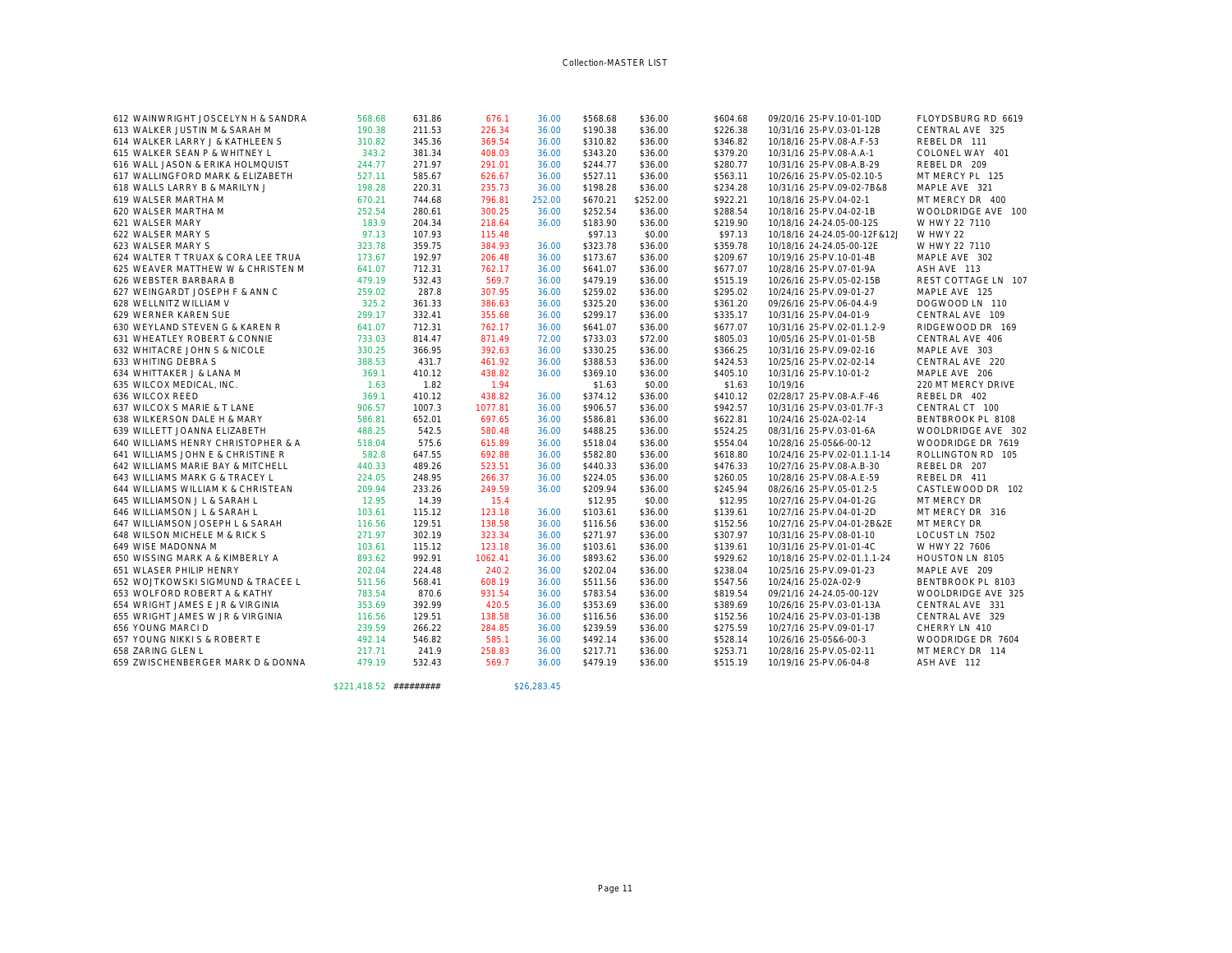| 612 WAINWRIGHT JOSCELYN H & SANDRA                      | 568.68           | 631.86          | 676.1            | 36.00          | \$568.68             | \$36.00            | \$604.68             | 09/20/16 25-PV.10-01-10D                            | FLOYDSBURG RD 6619                    |
|---------------------------------------------------------|------------------|-----------------|------------------|----------------|----------------------|--------------------|----------------------|-----------------------------------------------------|---------------------------------------|
| 613 WALKER JUSTIN M & SARAH M                           | 190.38           | 211.53          | 226.34           | 36.00          | \$190.38             | \$36.00            | \$226.38             | 10/31/16 25-PV.03-01-12B                            | CENTRAL AVE 325                       |
| 614 WALKER LARRY J & KATHLEEN S                         | 310.82           | 345.36          | 369.54           | 36.00          | \$310.82             | \$36.00            | \$346.82             | 10/18/16 25-PV.08-A.F-53                            | REBEL DR 111                          |
| 615 WALKER SEAN P & WHITNEY L                           | 343.2            | 381.34          | 408.03           | 36.00          | \$343.20             | \$36.00            | \$379.20             | 10/31/16 25-PV.08-A.A-1                             | COLONEL WAY 401                       |
| 616 WALL JASON & ERIKA HOLMQUIST                        | 244.77           | 271.97          | 291.01           | 36.00          | \$244.77             | \$36.00            | \$280.77             | 10/31/16 25-PV.08-A.B-29                            | REBEL DR 209                          |
| 617 WALLINGFORD MARK & ELIZABETH                        | 527.11           | 585.67          | 626.67           | 36.00          | \$527.11             | \$36.00            | \$563.11             | 10/26/16 25-PV.05-02.10-5                           | MT MERCY PL 125                       |
| 618 WALLS LARRY B & MARILYN J                           | 198.28           | 220.31          | 235.73           | 36.00          | \$198.28             | \$36.00            | \$234.28             | 10/31/16 25-PV.09-02-7B&8                           | MAPLE AVE 321                         |
| 619 WALSER MARTHA M                                     | 670.21           | 744.68          | 796.81           | 252.00         | \$670.21             | \$252.00           | \$922.21             | 10/18/16 25-PV.04-02-1                              | MT MERCY DR 400                       |
| 620 WALSER MARTHA M                                     | 252.54           | 280.61          | 300.25           | 36.00          | \$252.54             | \$36.00            | \$288.54             | 10/18/16 25-PV.04-02-1B                             | WOOLDRIDGE AVE 100                    |
| 621 WALSER MARY                                         | 183.9            | 204.34          | 218.64           | 36.00          | \$183.90             | \$36.00            | \$219.90             | 10/18/16 24-24.05-00-12S                            | W HWY 22 7110                         |
| 622 WALSER MARY S                                       | 97.13            | 107.93          | 115.48           |                | \$97.13              | \$0.00             | \$97.13              | 10/18/16 24-24.05-00-12F&12J                        | <b>W HWY 22</b>                       |
| 623 WALSER MARY S                                       | 323.78           | 359.75          | 384.93           | 36.00          | \$323.78             | \$36.00            | \$359.78             | 10/18/16 24-24.05-00-12E                            | W HWY 22 7110                         |
| 624 WALTER T TRUAX & CORA LEE TRUA                      | 173.67           | 192.97          | 206.48           | 36.00          | \$173.67             | \$36.00            | \$209.67             | 10/19/16 25-PV.10-01-4B                             | MAPLE AVE 302                         |
| 625 WEAVER MATTHEW W & CHRISTEN M                       | 641.07           | 712.31          | 762.17           | 36.00          | \$641.07             | \$36.00            | \$677.07             | 10/28/16 25-PV.07-01-9A                             | ASH AVE 113                           |
|                                                         |                  |                 | 569.7            |                |                      |                    |                      |                                                     |                                       |
| 626 WEBSTER BARBARA B<br>627 WEINGARDT JOSEPH E & ANN C | 479.19<br>259.02 | 532.43<br>287.8 |                  | 36.00          | \$479.19             | \$36.00            | \$515.19<br>\$295.02 | 10/26/16 25-PV.05-02-15B<br>10/24/16 25-PV.09-01-27 | REST COTTAGE LN 107<br>MAPI F AVF 125 |
| 628 WELLNITZ WILLIAM V                                  | 325.2            | 361.33          | 307.95<br>386.63 | 36.00<br>36.00 | \$259.02<br>\$325.20 | \$36.00<br>\$36.00 | \$361.20             | 09/26/16 25-PV.06-04.4-9                            | DOGWOOD LN 110                        |
| 629 WERNER KAREN SUE                                    | 299.17           | 332.41          | 355.68           |                | \$299.17             | \$36.00            | \$335.17             | 10/31/16 25-PV.04-01-9                              | CENTRAL AVE 109                       |
|                                                         |                  |                 |                  | 36.00          |                      |                    | \$677.07             |                                                     |                                       |
| 630 WEYLAND STEVEN G & KAREN R                          | 641.07           | 712.31          | 762.17           | 36.00          | \$641.07             | \$36.00            |                      | 10/31/16 25-PV.02-01.1.2-9                          | RIDGEWOOD DR 169                      |
| <b>631 WHEATLEY ROBERT &amp; CONNIE</b>                 | 733.03           | 814.47          | 871.49           | 72.00          | \$733.03             | \$72.00            | \$805.03             | 10/05/16 25-PV.01-01-5B                             | CENTRAL AVE 406                       |
| 632 WHITACRE JOHN S & NICOLE                            | 330.25           | 366.95          | 392.63           | 36.00          | \$330.25             | \$36.00            | \$366.25             | 10/31/16 25-PV.09-02-16                             | MAPLE AVE 303                         |
| 633 WHITING DEBRA S                                     | 388.53           | 431.7           | 461.92           | 36.00          | \$388.53             | \$36.00            | \$424.53             | 10/25/16 25-PV.02-02-14                             | CENTRAL AVE 220                       |
| 634 WHITTAKER J & LANA M                                | 369.1            | 410.12          | 438.82           | 36.00          | \$369.10             | \$36.00            | \$405.10             | 10/31/16 25-PV.10-01-2                              | MAPLE AVE 206                         |
| 635 WILCOX MEDICAL, INC.                                | 1.63             | 1.82            | 1.94             |                | \$1.63               | \$0.00             | \$1.63               | 10/19/16                                            | 220 MT MERCY DRIVE                    |
| 636 WILCOX REED                                         | 369.1            | 410.12          | 438.82           | 36.00          | \$374.12             | \$36.00            | \$410.12             | 02/28/17 25-PV.08-A.F-46                            | REBEL DR 402                          |
| 637 WILCOX S MARIE & T LANE                             | 906.57           | 1007.3          | 1077.81          | 36.00          | \$906.57             | \$36.00            | \$942.57             | 10/31/16 25-PV.03-01.7F-3                           | CENTRAL CT 100                        |
| 638 WILKERSON DALE H & MARY                             | 586.81           | 652.01          | 697.65           | 36.00          | \$586.81             | \$36.00            | \$622.81             | 10/24/16 25-02A-02-14                               | BENTBROOK PL 8108                     |
| 639 WILLETT JOANNA ELIZABETH                            | 488.25           | 542.5           | 580.48           | 36.00          | \$488.25             | \$36.00            | \$524.25             | 08/31/16 25-PV.03-01-6A                             | WOOLDRIDGE AVE 302                    |
| 640 WILLIAMS HENRY CHRISTOPHER & A                      | 518.04           | 575.6           | 615.89           | 36.00          | \$518.04             | \$36.00            | \$554.04             | 10/28/16 25-05&6-00-12                              | WOODRIDGE DR 7619                     |
| 641 WILLIAMS JOHN E & CHRISTINE R                       | 582.8            | 647.55          | 692.88           | 36.00          | \$582.80             | \$36.00            | \$618.80             | 10/24/16 25-PV.02-01.1.1-14                         | ROLLINGTON RD 105                     |
| 642 WILLIAMS MARIE BAY & MITCHELL                       | 440.33           | 489.26          | 523.51           | 36.00          | \$440.33             | \$36.00            | \$476.33             | 10/27/16 25-PV.08-A.B-30                            | REBEL DR 207                          |
| 643 WILLIAMS MARK G & TRACEY L                          | 224.05           | 248.95          | 266.37           | 36.00          | \$224.05             | \$36.00            | \$260.05             | 10/28/16 25-PV.08-A.E-59                            | REBEL DR 411                          |
| 644 WILLIAMS WILLIAM K & CHRISTEAN                      | 209.94           | 233.26          | 249.59           | 36.00          | \$209.94             | \$36.00            | \$245.94             | 08/26/16 25-PV.05-01.2-5                            | CASTLEWOOD DR 102                     |
| 645 WILLIAMSON J L & SARAH L                            | 12.95            | 14.39           | 15.4             |                | \$12.95              | \$0.00             | \$12.95              | 10/27/16 25-PV.04-01-2G                             | MT MERCY DR                           |
| 646 WILLIAMSON J L & SARAH L                            | 103.61           | 115.12          | 123.18           | 36.00          | \$103.61             | \$36.00            | \$139.61             | 10/27/16 25-PV.04-01-2D                             | MT MERCY DR 316                       |
| 647 WILLIAMSON JOSEPH L & SARAH                         | 116.56           | 129.51          | 138.58           | 36.00          | \$116.56             | \$36.00            | \$152.56             | 10/27/16 25-PV.04-01-2B&2E                          | MT MERCY DR                           |
| 648 WILSON MICHELE M & RICK S                           | 271.97           | 302.19          | 323.34           | 36.00          | \$271.97             | \$36.00            | \$307.97             | 10/31/16 25-PV.08-01-10                             | LOCUST LN 7502                        |
| 649 WISE MADONNA M                                      | 103.61           | 115.12          | 123.18           | 36.00          | \$103.61             | \$36.00            | \$139.61             | 10/31/16 25-PV.01-01-4C                             | W HWY 22 7606                         |
| 650 WISSING MARK A & KIMBERLY A                         | 893.62           | 992.91          | 1062.41          | 36.00          | \$893.62             | \$36.00            | \$929.62             | 10/18/16 25-PV.02-01.1.1-24                         | <b>HOUSTON LN 8105</b>                |
| 651 WLASER PHILIP HENRY                                 | 202.04           | 224.48          | 240.2            | 36.00          | \$202.04             | \$36.00            | \$238.04             | 10/25/16 25-PV.09-01-23                             | MAPLE AVE 209                         |
| 652 WOJTKOWSKI SIGMUND & TRACEE L                       | 511.56           | 568.41          | 608.19           | 36.00          | \$511.56             | \$36.00            | \$547.56             | 10/24/16 25-02A-02-9                                | BENTBROOK PL 8103                     |
| 653 WOLFORD ROBERT A & KATHY                            | 783.54           | 870.6           | 931.54           | 36.00          | \$783.54             | \$36.00            | \$819.54             | 09/21/16 24-24.05-00-12V                            | WOOLDRIDGE AVE 325                    |
| 654 WRIGHT JAMES E JR & VIRGINIA                        | 353.69           | 392.99          | 420.5            | 36.00          | \$353.69             | \$36.00            | \$389.69             | 10/26/16 25-PV.03-01-13A                            | CENTRAL AVE 331                       |
| 655 WRIGHT JAMES W JR & VIRGINIA                        | 116.56           | 129.51          | 138.58           | 36.00          | \$116.56             | \$36.00            | \$152.56             | 10/24/16 25-PV.03-01-13B                            | CENTRAL AVE 329                       |
| 656 YOUNG MARCI D                                       | 239.59           | 266.22          | 284.85           | 36.00          | \$239.59             | \$36.00            | \$275.59             | 10/27/16 25-PV.09-01-17                             | CHERRY LN 410                         |
| 657 YOUNG NIKKI S & ROBERT E                            | 492.14           | 546.82          | 585.1            | 36.00          | \$492.14             | \$36.00            | \$528.14             | 10/26/16 25-05&6-00-3                               | WOODRIDGE DR 7604                     |
| 658 ZARING GLEN L                                       | 217.71           | 241.9           | 258.83           | 36.00          | \$217.71             | \$36.00            | \$253.71             | 10/28/16 25-PV.05-02-11                             | MT MERCY DR 114                       |
| 659 ZWISCHENBERGER MARK D & DONNA                       | 479.19           | 532.43          | 569.7            | 36.00          | \$479.19             | \$36.00            | \$515.19             | 10/19/16 25-PV.06-04-8                              | ASH AVE 112                           |
|                                                         |                  |                 |                  |                |                      |                    |                      |                                                     |                                       |

\$221,418.52 ######### \$26,283.45